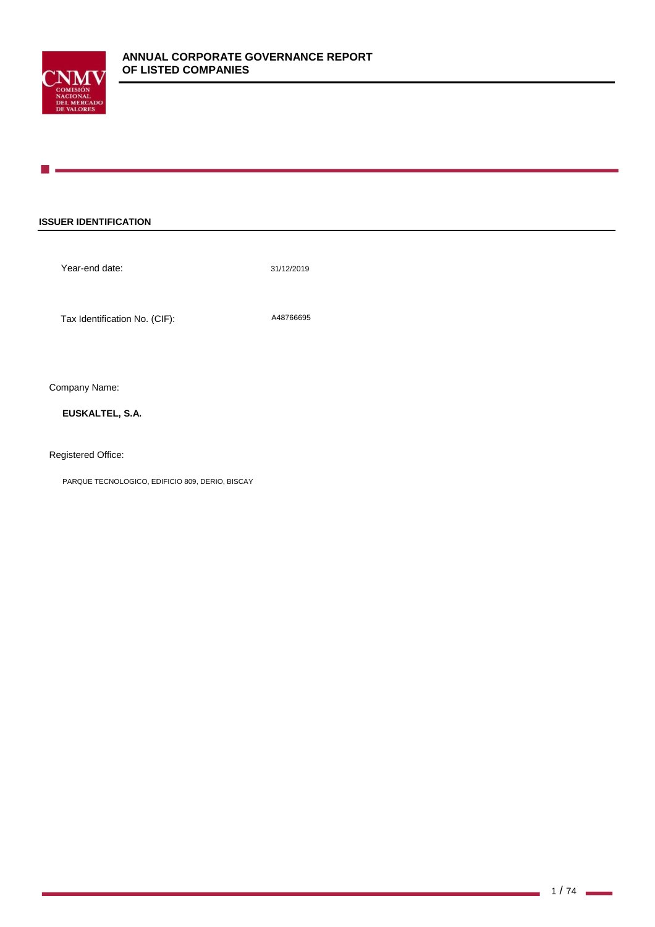

## **ISSUER IDENTIFICATION**

Year-end date:

31/12/2019

Tax Identification No. (CIF): A48766695

Company Name:

**EUSKALTEL, S.A.**

Registered Office:

PARQUE TECNOLOGICO, EDIFICIO 809, DERIO, BISCAY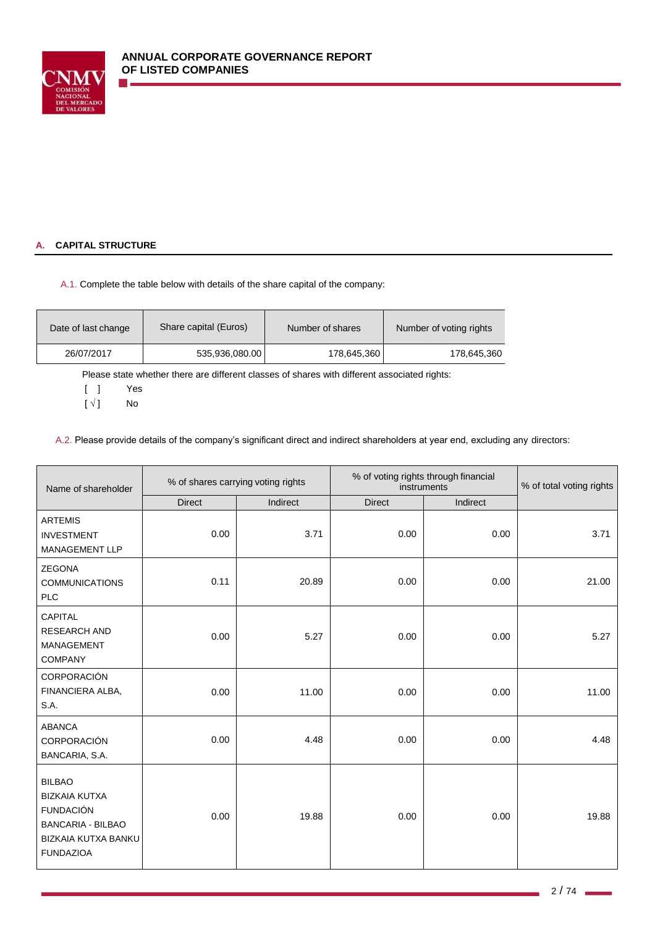

# **A. CAPITAL STRUCTURE**

A.1. Complete the table below with details of the share capital of the company:

| Share capital (Euros)<br>Date of last change |                | Number of shares | Number of voting rights |
|----------------------------------------------|----------------|------------------|-------------------------|
| 26/07/2017                                   | 535,936,080.00 | 178,645,360      | 178,645,360             |

Please state whether there are different classes of shares with different associated rights:

[ ] Yes

 $[\sqrt{]}$  No

A.2. Please provide details of the company's significant direct and indirect shareholders at year end, excluding any directors:

| Name of shareholder                                                                                                                     | % of shares carrying voting rights |          | % of voting rights through financial<br>instruments | % of total voting rights |       |
|-----------------------------------------------------------------------------------------------------------------------------------------|------------------------------------|----------|-----------------------------------------------------|--------------------------|-------|
|                                                                                                                                         | <b>Direct</b>                      | Indirect | <b>Direct</b>                                       | Indirect                 |       |
| <b>ARTEMIS</b><br><b>INVESTMENT</b><br>MANAGEMENT LLP                                                                                   | 0.00                               | 3.71     | 0.00                                                | 0.00                     | 3.71  |
| <b>ZEGONA</b><br><b>COMMUNICATIONS</b><br><b>PLC</b>                                                                                    | 0.11                               | 20.89    | 0.00                                                | 0.00                     | 21.00 |
| <b>CAPITAL</b><br><b>RESEARCH AND</b><br><b>MANAGEMENT</b><br><b>COMPANY</b>                                                            | 0.00                               | 5.27     | 0.00                                                | 0.00                     | 5.27  |
| CORPORACIÓN<br>FINANCIERA ALBA,<br>S.A.                                                                                                 | 0.00                               | 11.00    | 0.00                                                | 0.00                     | 11.00 |
| <b>ABANCA</b><br>CORPORACIÓN<br>BANCARIA, S.A.                                                                                          | 0.00                               | 4.48     | 0.00                                                | 0.00                     | 4.48  |
| <b>BILBAO</b><br><b>BIZKAIA KUTXA</b><br><b>FUNDACIÓN</b><br><b>BANCARIA - BILBAO</b><br><b>BIZKAIA KUTXA BANKU</b><br><b>FUNDAZIOA</b> | 0.00                               | 19.88    | 0.00                                                | 0.00                     | 19.88 |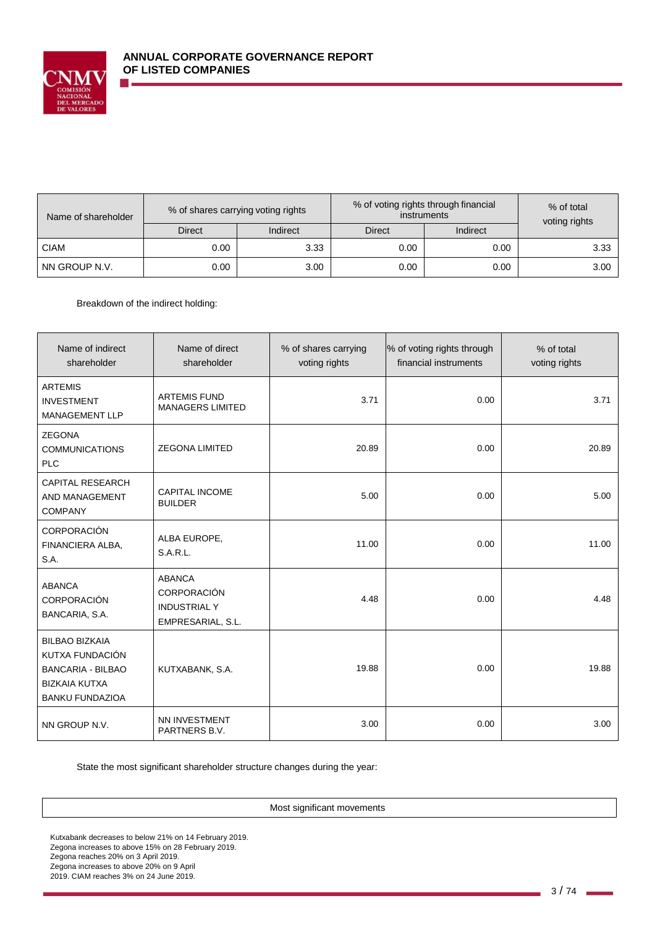

| Name of shareholder |               | % of shares carrying voting rights |               | % of voting rights through financial<br><i>instruments</i> |               |
|---------------------|---------------|------------------------------------|---------------|------------------------------------------------------------|---------------|
|                     | <b>Direct</b> | Indirect                           | <b>Direct</b> | Indirect                                                   | voting rights |
| <b>CIAM</b>         | 0.00          | 3.33                               | 0.00          | 0.00                                                       | 3.33          |
| NN GROUP N.V.       | 0.00          | 3.00                               | 0.00          | 0.00                                                       | 3.00          |

Breakdown of the indirect holding:

| Name of indirect<br>shareholder                                                                                        | Name of direct<br>shareholder                                                   | % of shares carrying<br>voting rights | % of voting rights through<br>financial instruments | % of total<br>voting rights |
|------------------------------------------------------------------------------------------------------------------------|---------------------------------------------------------------------------------|---------------------------------------|-----------------------------------------------------|-----------------------------|
| <b>ARTEMIS</b><br><b>INVESTMENT</b><br>MANAGEMENT LLP                                                                  | <b>ARTEMIS FUND</b><br><b>MANAGERS LIMITED</b>                                  | 3.71                                  | 0.00                                                | 3.71                        |
| <b>ZEGONA</b><br><b>COMMUNICATIONS</b><br><b>PLC</b>                                                                   | <b>ZEGONA LIMITED</b>                                                           | 20.89                                 | 0.00                                                | 20.89                       |
| <b>CAPITAL RESEARCH</b><br>AND MANAGEMENT<br><b>COMPANY</b>                                                            | <b>CAPITAL INCOME</b><br><b>BUILDER</b>                                         | 5.00                                  | 0.00                                                | 5.00                        |
| <b>CORPORACIÓN</b><br>FINANCIERA ALBA,<br>S.A.                                                                         | ALBA EUROPE,<br><b>S.A.R.L.</b>                                                 | 11.00                                 | 0.00                                                | 11.00                       |
| <b>ABANCA</b><br>CORPORACIÓN<br>BANCARIA, S.A.                                                                         | <b>ABANCA</b><br><b>CORPORACIÓN</b><br><b>INDUSTRIAL Y</b><br>EMPRESARIAL, S.L. | 4.48                                  | 0.00                                                | 4.48                        |
| <b>BILBAO BIZKAIA</b><br>KUTXA FUNDACIÓN<br><b>BANCARIA - BILBAO</b><br><b>BIZKAIA KUTXA</b><br><b>BANKU FUNDAZIOA</b> | KUTXABANK, S.A.                                                                 | 19.88                                 | 0.00                                                | 19.88                       |
| NN GROUP N.V.                                                                                                          | NN INVESTMENT<br>PARTNERS B.V.                                                  | 3.00                                  | 0.00                                                | 3.00                        |

State the most significant shareholder structure changes during the year:

Most significant movements

Kutxabank decreases to below 21% on 14 February 2019. Zegona increases to above 15% on 28 February 2019. Zegona reaches 20% on 3 April 2019. Zegona increases to above 20% on 9 April 2019. CIAM reaches 3% on 24 June 2019.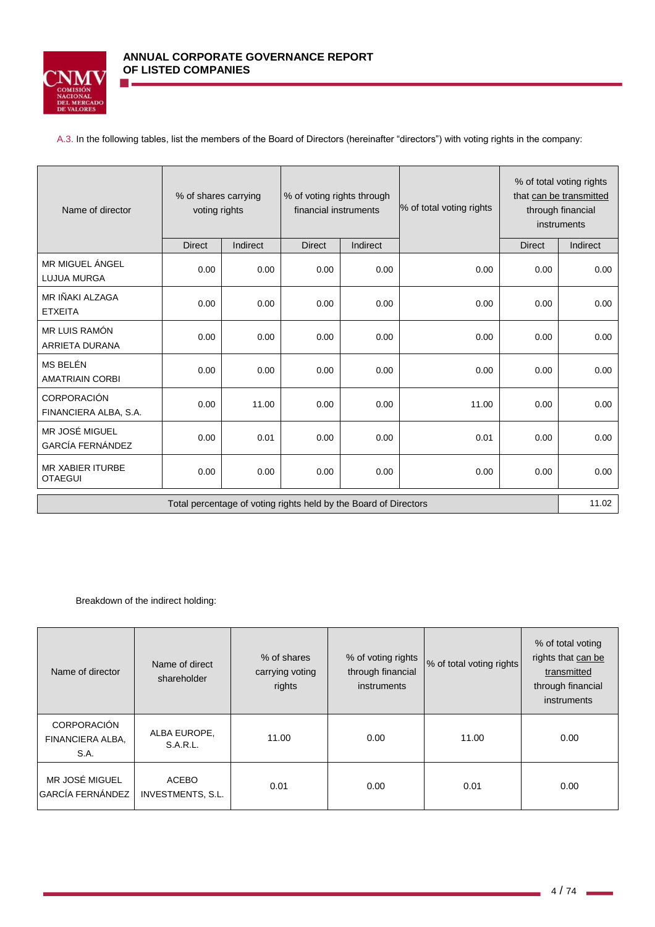

A.3. In the following tables, list the members of the Board of Directors (hereinafter "directors") with voting rights in the company:

| Name of director                                                 | % of shares carrying<br>voting rights |                 | % of voting rights through<br>financial instruments |          |       |               |          |  |  |  | % of total voting rights |  | % of total voting rights<br>that can be transmitted<br>through financial<br>instruments |
|------------------------------------------------------------------|---------------------------------------|-----------------|-----------------------------------------------------|----------|-------|---------------|----------|--|--|--|--------------------------|--|-----------------------------------------------------------------------------------------|
|                                                                  | <b>Direct</b>                         | <b>Indirect</b> | <b>Direct</b>                                       | Indirect |       | <b>Direct</b> | Indirect |  |  |  |                          |  |                                                                                         |
| MR MIGUEL ÁNGEL<br><b>LUJUA MURGA</b>                            | 0.00                                  | 0.00            | 0.00                                                | 0.00     | 0.00  | 0.00          | 0.00     |  |  |  |                          |  |                                                                                         |
| MR IÑAKI ALZAGA<br><b>ETXEITA</b>                                | 0.00                                  | 0.00            | 0.00                                                | 0.00     | 0.00  | 0.00          | 0.00     |  |  |  |                          |  |                                                                                         |
| MR LUIS RAMÓN<br>ARRIETA DURANA                                  | 0.00                                  | 0.00            | 0.00                                                | 0.00     | 0.00  | 0.00          | 0.00     |  |  |  |                          |  |                                                                                         |
| MS BELÉN<br><b>AMATRIAIN CORBI</b>                               | 0.00                                  | 0.00            | 0.00                                                | 0.00     | 0.00  | 0.00          | 0.00     |  |  |  |                          |  |                                                                                         |
| <b>CORPORACIÓN</b><br>FINANCIERA ALBA, S.A.                      | 0.00                                  | 11.00           | 0.00                                                | 0.00     | 11.00 | 0.00          | 0.00     |  |  |  |                          |  |                                                                                         |
| MR JOSÉ MIGUEL<br><b>GARCÍA FERNÁNDEZ</b>                        | 0.00                                  | 0.01            | 0.00                                                | 0.00     | 0.01  | 0.00          | 0.00     |  |  |  |                          |  |                                                                                         |
| <b>MR XABIER ITURBE</b><br><b>OTAEGUI</b>                        | 0.00                                  | 0.00            | 0.00                                                | 0.00     | 0.00  | 0.00          | 0.00     |  |  |  |                          |  |                                                                                         |
| Total percentage of voting rights held by the Board of Directors |                                       |                 |                                                     |          |       | 11.02         |          |  |  |  |                          |  |                                                                                         |

Breakdown of the indirect holding:

| Name of director                               | Name of direct<br>shareholder     | % of shares<br>carrying voting<br>rights | % of voting rights<br>through financial<br>instruments | % of total voting rights | % of total voting<br>rights that can be<br>transmitted<br>through financial<br>instruments |
|------------------------------------------------|-----------------------------------|------------------------------------------|--------------------------------------------------------|--------------------------|--------------------------------------------------------------------------------------------|
| <b>CORPORACIÓN</b><br>FINANCIERA ALBA,<br>S.A. | ALBA EUROPE,<br><b>S.A.R.L.</b>   | 11.00                                    | 0.00                                                   | 11.00                    | 0.00                                                                                       |
| MR JOSÉ MIGUEL<br><b>GARCÍA FERNÁNDEZ</b>      | <b>ACEBO</b><br>INVESTMENTS, S.L. | 0.01                                     | 0.00                                                   | 0.01                     | 0.00                                                                                       |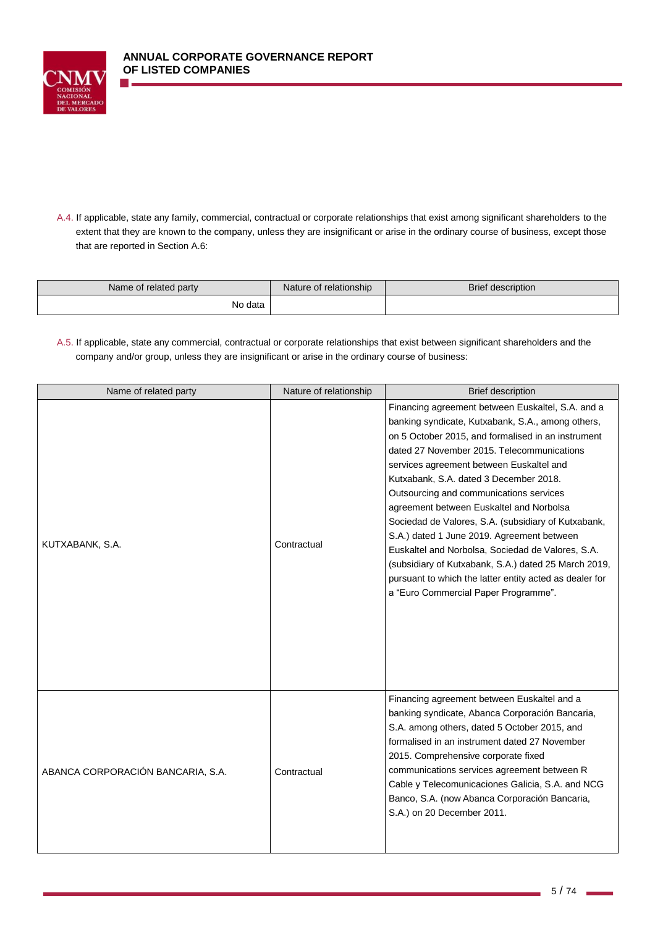

A.4. If applicable, state any family, commercial, contractual or corporate relationships that exist among significant shareholders to the extent that they are known to the company, unless they are insignificant or arise in the ordinary course of business, except those that are reported in Section A.6:

| Name of related party | Nature of relationship | Brief description |
|-----------------------|------------------------|-------------------|
| No data               |                        |                   |

A.5. If applicable, state any commercial, contractual or corporate relationships that exist between significant shareholders and the company and/or group, unless they are insignificant or arise in the ordinary course of business:

| Name of related party             | Nature of relationship | <b>Brief description</b>                                                                                                                                                                                                                                                                                                                                                                                                                                                                                                                                                                                                                                                                                     |
|-----------------------------------|------------------------|--------------------------------------------------------------------------------------------------------------------------------------------------------------------------------------------------------------------------------------------------------------------------------------------------------------------------------------------------------------------------------------------------------------------------------------------------------------------------------------------------------------------------------------------------------------------------------------------------------------------------------------------------------------------------------------------------------------|
| KUTXABANK, S.A.                   | Contractual            | Financing agreement between Euskaltel, S.A. and a<br>banking syndicate, Kutxabank, S.A., among others,<br>on 5 October 2015, and formalised in an instrument<br>dated 27 November 2015. Telecommunications<br>services agreement between Euskaltel and<br>Kutxabank, S.A. dated 3 December 2018.<br>Outsourcing and communications services<br>agreement between Euskaltel and Norbolsa<br>Sociedad de Valores, S.A. (subsidiary of Kutxabank,<br>S.A.) dated 1 June 2019. Agreement between<br>Euskaltel and Norbolsa, Sociedad de Valores, S.A.<br>(subsidiary of Kutxabank, S.A.) dated 25 March 2019,<br>pursuant to which the latter entity acted as dealer for<br>a "Euro Commercial Paper Programme". |
| ABANCA CORPORACIÓN BANCARIA, S.A. | Contractual            | Financing agreement between Euskaltel and a<br>banking syndicate, Abanca Corporación Bancaria,<br>S.A. among others, dated 5 October 2015, and<br>formalised in an instrument dated 27 November<br>2015. Comprehensive corporate fixed<br>communications services agreement between R<br>Cable y Telecomunicaciones Galicia, S.A. and NCG<br>Banco, S.A. (now Abanca Corporación Bancaria,<br>S.A.) on 20 December 2011.                                                                                                                                                                                                                                                                                     |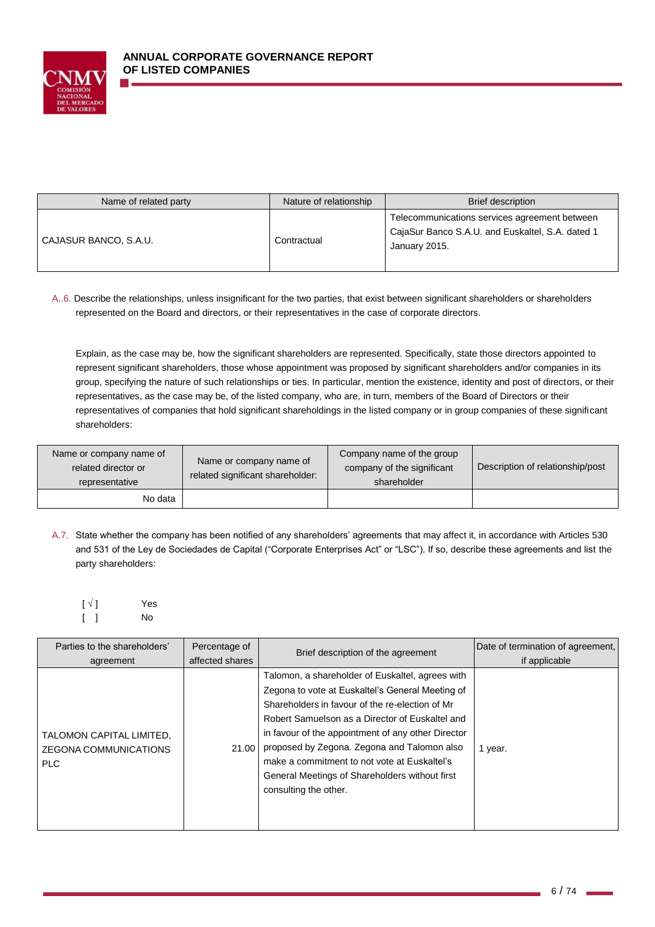

| Name of related party | Nature of relationship | Brief description                                                                                                  |
|-----------------------|------------------------|--------------------------------------------------------------------------------------------------------------------|
| CAJASUR BANCO, S.A.U. | Contractual            | Telecommunications services agreement between<br>CajaSur Banco S.A.U. and Euskaltel, S.A. dated 1<br>January 2015. |

A..6. Describe the relationships, unless insignificant for the two parties, that exist between significant shareholders or shareholders represented on the Board and directors, or their representatives in the case of corporate directors.

Explain, as the case may be, how the significant shareholders are represented. Specifically, state those directors appointed to represent significant shareholders, those whose appointment was proposed by significant shareholders and/or companies in its group, specifying the nature of such relationships or ties. In particular, mention the existence, identity and post of directors, or their representatives, as the case may be, of the listed company, who are, in turn, members of the Board of Directors or their representatives of companies that hold significant shareholdings in the listed company or in group companies of these significant shareholders:

| Name or company name of<br>related director or<br>representative | Name or company name of<br>related significant shareholder: | Company name of the group<br>company of the significant<br>shareholder | Description of relationship/post |
|------------------------------------------------------------------|-------------------------------------------------------------|------------------------------------------------------------------------|----------------------------------|
| No data                                                          |                                                             |                                                                        |                                  |

A.7. State whether the company has been notified of any shareholders' agreements that may affect it, in accordance with Articles 530 and 531 of the Ley de Sociedades de Capital ("Corporate Enterprises Act" or "LSC"). If so, describe these agreements and list the party shareholders:

| $\lceil \sqrt{1} \rceil$ | Yes |
|--------------------------|-----|
| $\lceil$ $\rceil$        | No  |

| Parties to the shareholders'                                    | Percentage of   | Brief description of the agreement                                                                                                                                                                                                                                                                                                                                                                                                         | Date of termination of agreement, |
|-----------------------------------------------------------------|-----------------|--------------------------------------------------------------------------------------------------------------------------------------------------------------------------------------------------------------------------------------------------------------------------------------------------------------------------------------------------------------------------------------------------------------------------------------------|-----------------------------------|
| agreement                                                       | affected shares |                                                                                                                                                                                                                                                                                                                                                                                                                                            | if applicable                     |
| TALOMON CAPITAL LIMITED.<br><b>ZEGONA COMMUNICATIONS</b><br>PLC | 21.00           | Talomon, a shareholder of Euskaltel, agrees with<br>Zegona to vote at Euskaltel's General Meeting of<br>Shareholders in favour of the re-election of Mr<br>Robert Samuelson as a Director of Euskaltel and<br>in favour of the appointment of any other Director<br>proposed by Zegona. Zegona and Talomon also<br>make a commitment to not vote at Euskaltel's<br>General Meetings of Shareholders without first<br>consulting the other. | 1 year.                           |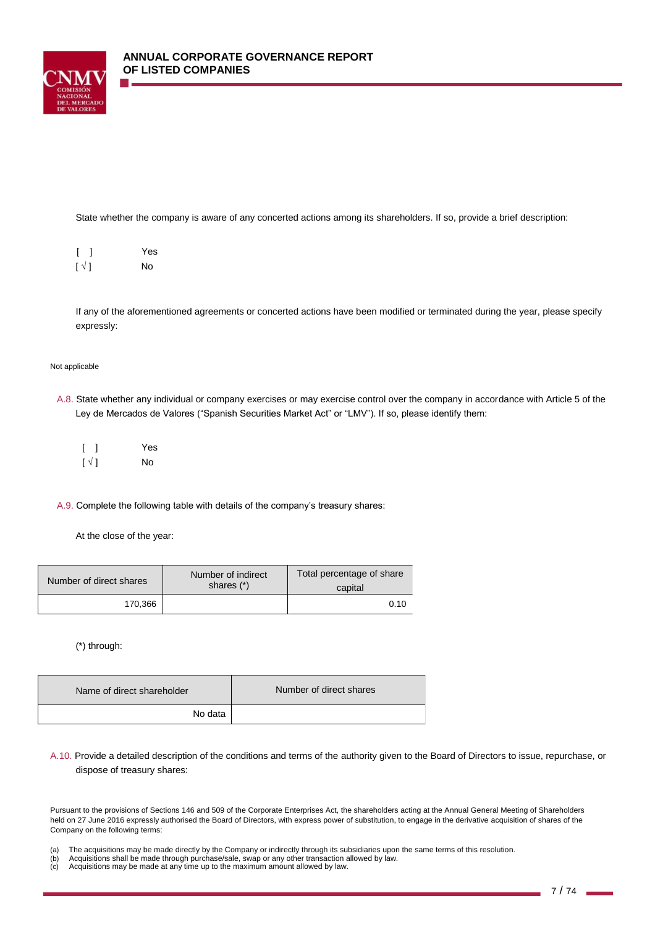

State whether the company is aware of any concerted actions among its shareholders. If so, provide a brief description:

|                          | Yes |
|--------------------------|-----|
| $\lceil \sqrt{1} \rceil$ | No  |

If any of the aforementioned agreements or concerted actions have been modified or terminated during the year, please specify expressly:

#### Not applicable

A.8. State whether any individual or company exercises or may exercise control over the company in accordance with Article 5 of the Ley de Mercados de Valores ("Spanish Securities Market Act" or "LMV"). If so, please identify them:

|                        | Yes |
|------------------------|-----|
| $\lbrack \vee \rbrack$ | No  |

A.9. Complete the following table with details of the company's treasury shares:

At the close of the year:

| Number of direct shares | Number of indirect<br>shares (*) | Total percentage of share<br>capital |
|-------------------------|----------------------------------|--------------------------------------|
| 170.366                 |                                  | 0.10                                 |

(\*) through:

| Name of direct shareholder | Number of direct shares |
|----------------------------|-------------------------|
| No data                    |                         |

A.10. Provide a detailed description of the conditions and terms of the authority given to the Board of Directors to issue, repurchase, or dispose of treasury shares:

Pursuant to the provisions of Sections 146 and 509 of the Corporate Enterprises Act, the shareholders acting at the Annual General Meeting of Shareholders held on 27 June 2016 expressly authorised the Board of Directors, with express power of substitution, to engage in the derivative acquisition of shares of the Company on the following terms:

- (a) The acquisitions may be made directly by the Company or indirectly through its subsidiaries upon the same terms of this resolution.<br>(b) Acquisitions shall be made through purchase/sale, swap or any other transaction al
- Acquisitions shall be made through purchase/sale, swap or any other transaction allowed by law.
- (c) Acquisitions may be made at any time up to the maximum amount allowed by law.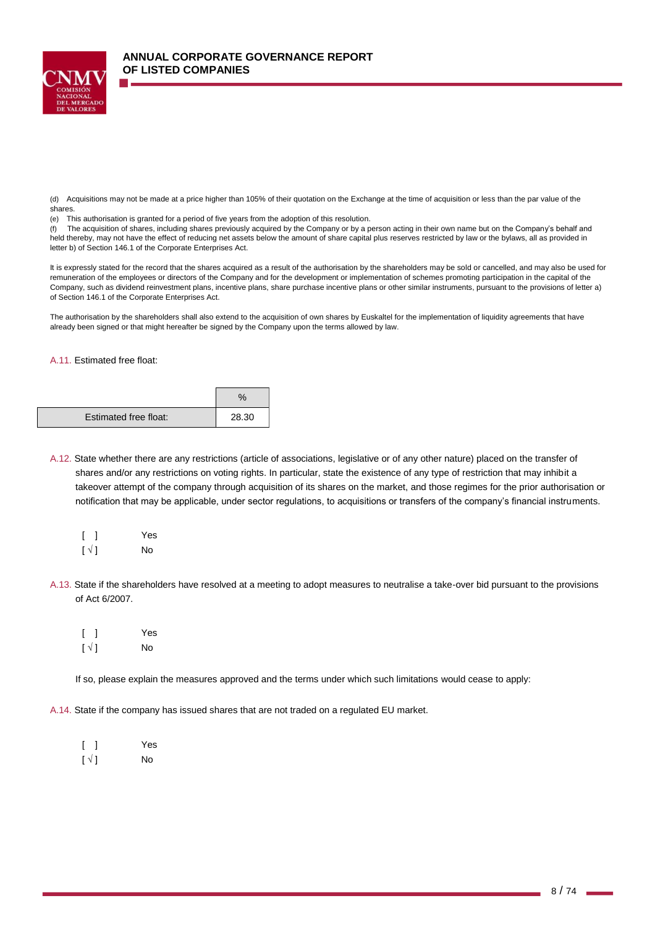

(d) Acquisitions may not be made at a price higher than 105% of their quotation on the Exchange at the time of acquisition or less than the par value of the shares.

(e) This authorisation is granted for a period of five years from the adoption of this resolution.

(f) The acquisition of shares, including shares previously acquired by the Company or by a person acting in their own name but on the Company's behalf and held thereby, may not have the effect of reducing net assets below the amount of share capital plus reserves restricted by law or the bylaws, all as provided in letter b) of Section 146.1 of the Corporate Enterprises Act.

It is expressly stated for the record that the shares acquired as a result of the authorisation by the shareholders may be sold or cancelled, and may also be used for remuneration of the employees or directors of the Company and for the development or implementation of schemes promoting participation in the capital of the Company, such as dividend reinvestment plans, incentive plans, share purchase incentive plans or other similar instruments, pursuant to the provisions of letter a) of Section 146.1 of the Corporate Enterprises Act.

The authorisation by the shareholders shall also extend to the acquisition of own shares by Euskaltel for the implementation of liquidity agreements that have already been signed or that might hereafter be signed by the Company upon the terms allowed by law.

#### A.11. Estimated free float:

| Estimated free float: | 28.30 |
|-----------------------|-------|

A.12. State whether there are any restrictions (article of associations, legislative or of any other nature) placed on the transfer of shares and/or any restrictions on voting rights. In particular, state the existence of any type of restriction that may inhibit a takeover attempt of the company through acquisition of its shares on the market, and those regimes for the prior authorisation or notification that may be applicable, under sector regulations, to acquisitions or transfers of the company's financial instruments.

|                          | Yes |
|--------------------------|-----|
| $\lceil \sqrt{1} \rceil$ | No  |

- A.13. State if the shareholders have resolved at a meeting to adopt measures to neutralise a take-over bid pursuant to the provisions of Act 6/2007.
	- [ ] Yes  $\lceil \sqrt{ } \rceil$  No

If so, please explain the measures approved and the terms under which such limitations would cease to apply:

A.14. State if the company has issued shares that are not traded on a regulated EU market.

|                          | Yes |
|--------------------------|-----|
| $\lceil \sqrt{1} \rceil$ | No  |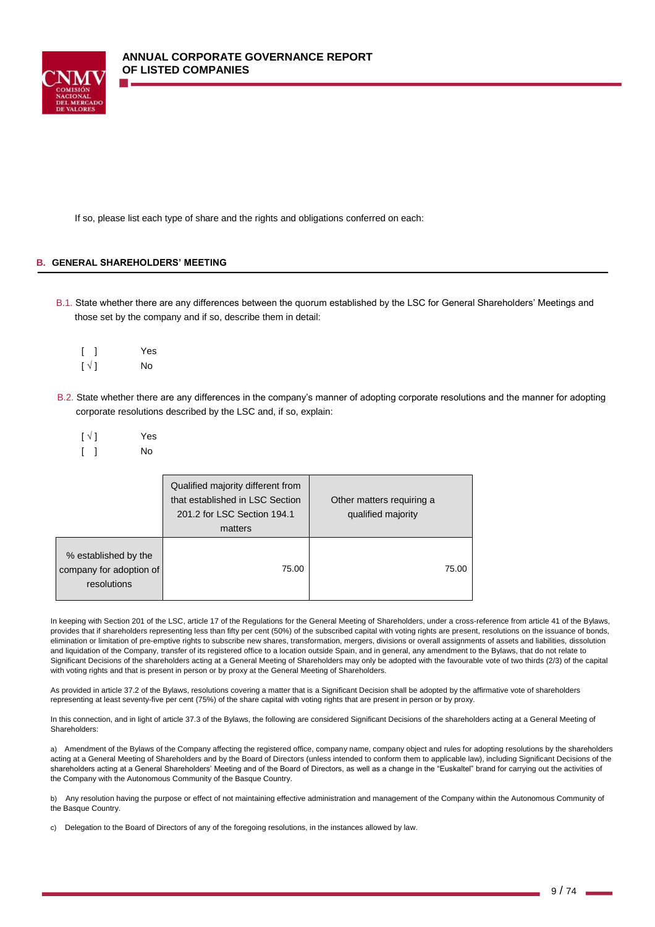If so, please list each type of share and the rights and obligations conferred on each:

### **B. GENERAL SHAREHOLDERS' MEETING**

B.1. State whether there are any differences between the quorum established by the LSC for General Shareholders' Meetings and those set by the company and if so, describe them in detail:

|                          | Yes |
|--------------------------|-----|
| $\lceil \sqrt{1} \rceil$ | No  |

- B.2. State whether there are any differences in the company's manner of adopting corporate resolutions and the manner for adopting corporate resolutions described by the LSC and, if so, explain:
	- $\lceil \sqrt{|} \rceil$  Yes [ ] No

|                                                                | Qualified majority different from<br>that established in LSC Section<br>201.2 for LSC Section 194.1<br>matters | Other matters requiring a<br>qualified majority |  |
|----------------------------------------------------------------|----------------------------------------------------------------------------------------------------------------|-------------------------------------------------|--|
| % established by the<br>company for adoption of<br>resolutions | 75.00                                                                                                          | 75.00                                           |  |

In keeping with Section 201 of the LSC, article 17 of the Regulations for the General Meeting of Shareholders, under a cross-reference from article 41 of the Bylaws, provides that if shareholders representing less than fifty per cent (50%) of the subscribed capital with voting rights are present, resolutions on the issuance of bonds, elimination or limitation of pre-emptive rights to subscribe new shares, transformation, mergers, divisions or overall assignments of assets and liabilities, dissolution and liquidation of the Company, transfer of its registered office to a location outside Spain, and in general, any amendment to the Bylaws, that do not relate to Significant Decisions of the shareholders acting at a General Meeting of Shareholders may only be adopted with the favourable vote of two thirds (2/3) of the capital with voting rights and that is present in person or by proxy at the General Meeting of Shareholders.

As provided in article 37.2 of the Bylaws, resolutions covering a matter that is a Significant Decision shall be adopted by the affirmative vote of shareholders representing at least seventy-five per cent (75%) of the share capital with voting rights that are present in person or by proxy.

In this connection, and in light of article 37.3 of the Bylaws, the following are considered Significant Decisions of the shareholders acting at a General Meeting of Shareholders:

a) Amendment of the Bylaws of the Company affecting the registered office, company name, company object and rules for adopting resolutions by the shareholders acting at a General Meeting of Shareholders and by the Board of Directors (unless intended to conform them to applicable law), including Significant Decisions of the shareholders acting at a General Shareholders' Meeting and of the Board of Directors, as well as a change in the "Euskaltel" brand for carrying out the activities of the Company with the Autonomous Community of the Basque Country.

b) Any resolution having the purpose or effect of not maintaining effective administration and management of the Company within the Autonomous Community of the Basque Country.

c) Delegation to the Board of Directors of any of the foregoing resolutions, in the instances allowed by law.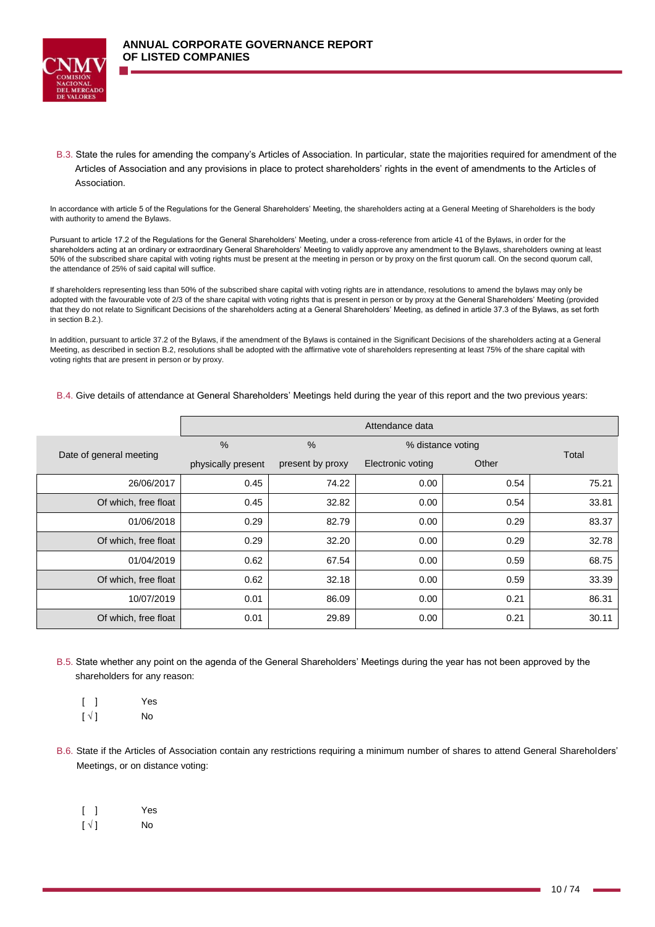

B.3. State the rules for amending the company's Articles of Association. In particular, state the majorities required for amendment of the Articles of Association and any provisions in place to protect shareholders' rights in the event of amendments to the Articles of Association.

In accordance with article 5 of the Regulations for the General Shareholders' Meeting, the shareholders acting at a General Meeting of Shareholders is the body with authority to amend the Bylaws.

Pursuant to article 17.2 of the Regulations for the General Shareholders' Meeting, under a cross-reference from article 41 of the Bylaws, in order for the shareholders acting at an ordinary or extraordinary General Shareholders' Meeting to validly approve any amendment to the Bylaws, shareholders owning at least 50% of the subscribed share capital with voting rights must be present at the meeting in person or by proxy on the first quorum call. On the second quorum call, the attendance of 25% of said capital will suffice.

If shareholders representing less than 50% of the subscribed share capital with voting rights are in attendance, resolutions to amend the bylaws may only be adopted with the favourable vote of 2/3 of the share capital with voting rights that is present in person or by proxy at the General Shareholders' Meeting (provided that they do not relate to Significant Decisions of the shareholders acting at a General Shareholders' Meeting, as defined in article 37.3 of the Bylaws, as set forth in section B.2.).

In addition, pursuant to article 37.2 of the Bylaws, if the amendment of the Bylaws is contained in the Significant Decisions of the shareholders acting at a General Meeting, as described in section B.2, resolutions shall be adopted with the affirmative vote of shareholders representing at least 75% of the share capital with voting rights that are present in person or by proxy.

#### B.4. Give details of attendance at General Shareholders' Meetings held during the year of this report and the two previous years:

|                         | Attendance data    |                  |                   |       |       |
|-------------------------|--------------------|------------------|-------------------|-------|-------|
|                         | $\frac{0}{0}$      | $\%$             | % distance voting |       | Total |
| Date of general meeting | physically present | present by proxy | Electronic voting | Other |       |
| 26/06/2017              | 0.45               | 74.22            | 0.00              | 0.54  | 75.21 |
| Of which, free float    | 0.45               | 32.82            | 0.00              | 0.54  | 33.81 |
| 01/06/2018              | 0.29               | 82.79            | 0.00              | 0.29  | 83.37 |
| Of which, free float    | 0.29               | 32.20            | 0.00              | 0.29  | 32.78 |
| 01/04/2019              | 0.62               | 67.54            | 0.00              | 0.59  | 68.75 |
| Of which, free float    | 0.62               | 32.18            | 0.00              | 0.59  | 33.39 |
| 10/07/2019              | 0.01               | 86.09            | 0.00              | 0.21  | 86.31 |
| Of which, free float    | 0.01               | 29.89            | 0.00              | 0.21  | 30.11 |

B.5. State whether any point on the agenda of the General Shareholders' Meetings during the year has not been approved by the shareholders for any reason:

- [ ] Yes  $[\sqrt{}]$  No
- B.6. State if the Articles of Association contain any restrictions requiring a minimum number of shares to attend General Shareholders' Meetings, or on distance voting:
	- [ ] Yes  $\lceil \sqrt{} \rceil$  No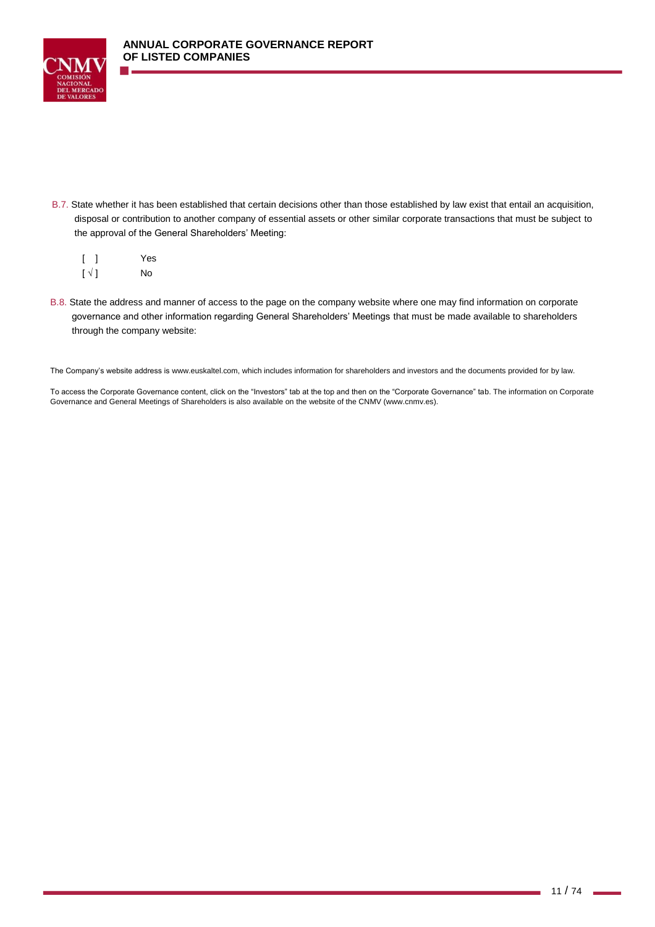

B.7. State whether it has been established that certain decisions other than those established by law exist that entail an acquisition, disposal or contribution to another company of essential assets or other similar corporate transactions that must be subject to the approval of the General Shareholders' Meeting:

|                        | Yes |
|------------------------|-----|
| $\lbrack \vee \rbrack$ | No  |

B.8. State the address and manner of access to the page on the company website where one may find information on corporate governance and other information regarding General Shareholders' Meetings that must be made available to shareholders through the company website:

The Company's website address i[s www.euskaltel.com,](http://www.euskaltel.com/) which includes information for shareholders and investors and the documents provided for by law.

To access the Corporate Governance content, click on the "Investors" tab at the top and then on the "Corporate Governance" tab. The information on Corporate Governance and General Meetings of Shareholders is also available on the website of the CNMV [\(www.cnmv.es\)](http://www.cnmv.es/).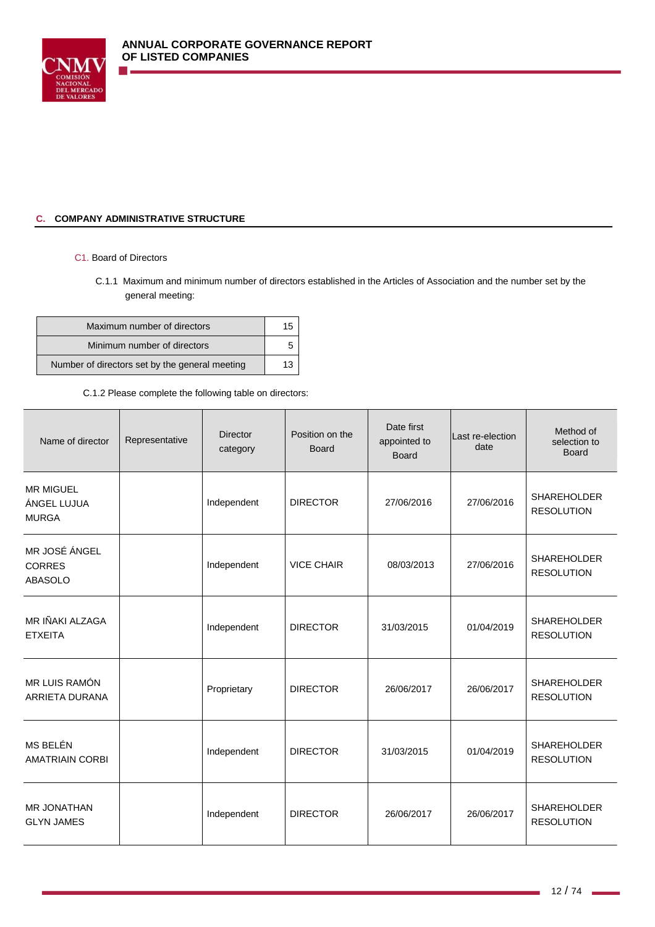

## **C. COMPANY ADMINISTRATIVE STRUCTURE**

## C1. Board of Directors

C.1.1 Maximum and minimum number of directors established in the Articles of Association and the number set by the general meeting:

| Maximum number of directors                    |  |
|------------------------------------------------|--|
| Minimum number of directors                    |  |
| Number of directors set by the general meeting |  |

## C.1.2 Please complete the following table on directors:

| Name of director                                 | Representative | <b>Director</b><br>category | Position on the<br><b>Board</b> | Date first<br>appointed to<br><b>Board</b> | Last re-election<br>date | Method of<br>selection to<br><b>Board</b> |
|--------------------------------------------------|----------------|-----------------------------|---------------------------------|--------------------------------------------|--------------------------|-------------------------------------------|
| <b>MR MIGUEL</b><br>ÁNGEL LUJUA<br><b>MURGA</b>  |                | Independent                 | <b>DIRECTOR</b>                 | 27/06/2016                                 | 27/06/2016               | <b>SHAREHOLDER</b><br><b>RESOLUTION</b>   |
| MR JOSÉ ÁNGEL<br><b>CORRES</b><br><b>ABASOLO</b> |                | Independent                 | <b>VICE CHAIR</b>               | 08/03/2013                                 | 27/06/2016               | <b>SHAREHOLDER</b><br><b>RESOLUTION</b>   |
| MR IÑAKI ALZAGA<br><b>ETXEITA</b>                |                | Independent                 | <b>DIRECTOR</b>                 | 31/03/2015                                 | 01/04/2019               | <b>SHAREHOLDER</b><br><b>RESOLUTION</b>   |
| MR LUIS RAMÓN<br>ARRIETA DURANA                  |                | Proprietary                 | <b>DIRECTOR</b>                 | 26/06/2017                                 | 26/06/2017               | <b>SHAREHOLDER</b><br><b>RESOLUTION</b>   |
| MS BELÉN<br><b>AMATRIAIN CORBI</b>               |                | Independent                 | <b>DIRECTOR</b>                 | 31/03/2015                                 | 01/04/2019               | <b>SHAREHOLDER</b><br><b>RESOLUTION</b>   |
| <b>MR JONATHAN</b><br><b>GLYN JAMES</b>          |                | Independent                 | <b>DIRECTOR</b>                 | 26/06/2017                                 | 26/06/2017               | <b>SHAREHOLDER</b><br><b>RESOLUTION</b>   |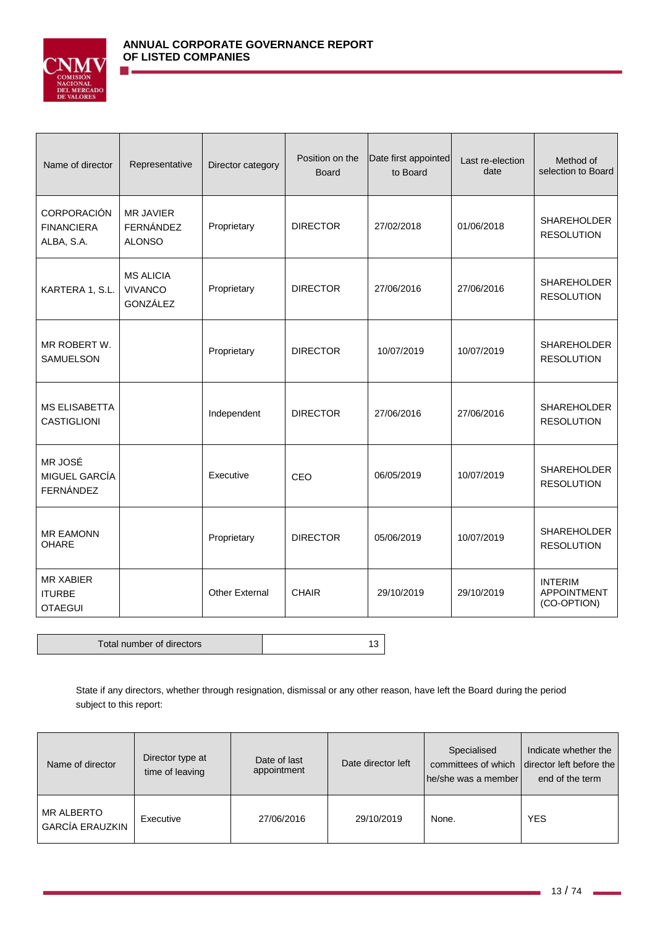

| Name of director                                    | Representative                                 | Director category | Position on the<br><b>Board</b> | Date first appointed<br>to Board | Last re-election<br>date | Method of<br>selection to Board                     |
|-----------------------------------------------------|------------------------------------------------|-------------------|---------------------------------|----------------------------------|--------------------------|-----------------------------------------------------|
| CORPORACIÓN<br><b>FINANCIERA</b><br>ALBA, S.A.      | <b>MR JAVIER</b><br>FERNÁNDEZ<br><b>ALONSO</b> | Proprietary       | <b>DIRECTOR</b>                 | 27/02/2018                       | 01/06/2018               | <b>SHAREHOLDER</b><br><b>RESOLUTION</b>             |
| KARTERA 1, S.L.                                     | <b>MS ALICIA</b><br><b>VIVANCO</b><br>GONZÁLEZ | Proprietary       | <b>DIRECTOR</b>                 | 27/06/2016                       | 27/06/2016               | <b>SHAREHOLDER</b><br><b>RESOLUTION</b>             |
| MR ROBERT W.<br><b>SAMUELSON</b>                    |                                                | Proprietary       | <b>DIRECTOR</b>                 | 10/07/2019                       | 10/07/2019               | <b>SHAREHOLDER</b><br><b>RESOLUTION</b>             |
| <b>MS ELISABETTA</b><br><b>CASTIGLIONI</b>          |                                                | Independent       | <b>DIRECTOR</b>                 | 27/06/2016                       | 27/06/2016               | SHAREHOLDER<br><b>RESOLUTION</b>                    |
| MR JOSÉ<br>MIGUEL GARCÍA<br><b>FERNÁNDEZ</b>        |                                                | Executive         | CEO                             | 06/05/2019                       | 10/07/2019               | <b>SHAREHOLDER</b><br><b>RESOLUTION</b>             |
| <b>MR EAMONN</b><br><b>OHARE</b>                    |                                                | Proprietary       | <b>DIRECTOR</b>                 | 05/06/2019                       | 10/07/2019               | <b>SHAREHOLDER</b><br><b>RESOLUTION</b>             |
| <b>MR XABIER</b><br><b>ITURBE</b><br><b>OTAEGUI</b> |                                                | Other External    | <b>CHAIR</b>                    | 29/10/2019                       | 29/10/2019               | <b>INTERIM</b><br><b>APPOINTMENT</b><br>(CO-OPTION) |

Total number of directors and the state of the 13

State if any directors, whether through resignation, dismissal or any other reason, have left the Board during the period subject to this report:

| Name of director                            | Director type at<br>time of leaving | Date of last<br>appointment | Date director left | Specialised<br>committees of which<br>he/she was a member | Indicate whether the<br>director left before the<br>end of the term |
|---------------------------------------------|-------------------------------------|-----------------------------|--------------------|-----------------------------------------------------------|---------------------------------------------------------------------|
| <b>MR ALBERTO</b><br><b>GARCÍA ERAUZKIN</b> | Executive                           | 27/06/2016                  | 29/10/2019         | None.                                                     | <b>YES</b>                                                          |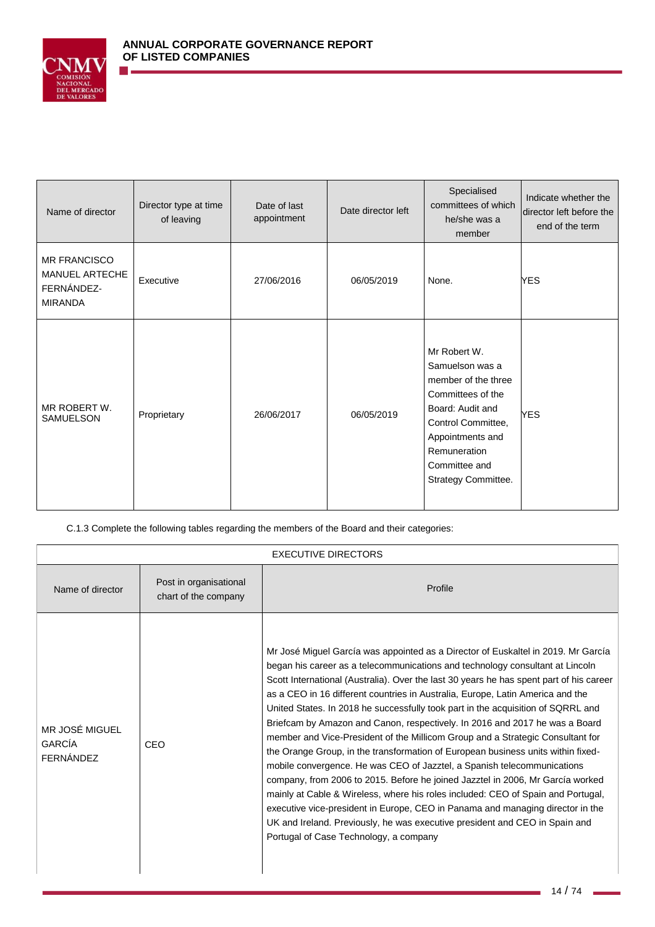

| Name of director                                                      | Director type at time<br>of leaving | Date of last<br>appointment | Date director left | Specialised<br>committees of which<br>he/she was a<br>member                                                                                                                                      | Indicate whether the<br>director left before the<br>end of the term |
|-----------------------------------------------------------------------|-------------------------------------|-----------------------------|--------------------|---------------------------------------------------------------------------------------------------------------------------------------------------------------------------------------------------|---------------------------------------------------------------------|
| <b>MR FRANCISCO</b><br>MANUEL ARTECHE<br>FERNÁNDEZ-<br><b>MIRANDA</b> | Executive                           | 27/06/2016                  | 06/05/2019         | None.                                                                                                                                                                                             | <b>YES</b>                                                          |
| MR ROBERT W.<br><b>SAMUELSON</b>                                      | Proprietary                         | 26/06/2017                  | 06/05/2019         | Mr Robert W.<br>Samuelson was a<br>member of the three<br>Committees of the<br>Board: Audit and<br>Control Committee,<br>Appointments and<br>Remuneration<br>Committee and<br>Strategy Committee. | <b>YES</b>                                                          |

C.1.3 Complete the following tables regarding the members of the Board and their categories:

| <b>EXECUTIVE DIRECTORS</b>                   |                                                |                                                                                                                                                                                                                                                                                                                                                                                                                                                                                                                                                                                                                                                                                                                                                                                                                                                                                                                                                                                                                                                                                                                                                      |  |  |  |
|----------------------------------------------|------------------------------------------------|------------------------------------------------------------------------------------------------------------------------------------------------------------------------------------------------------------------------------------------------------------------------------------------------------------------------------------------------------------------------------------------------------------------------------------------------------------------------------------------------------------------------------------------------------------------------------------------------------------------------------------------------------------------------------------------------------------------------------------------------------------------------------------------------------------------------------------------------------------------------------------------------------------------------------------------------------------------------------------------------------------------------------------------------------------------------------------------------------------------------------------------------------|--|--|--|
| Name of director                             | Post in organisational<br>chart of the company | Profile                                                                                                                                                                                                                                                                                                                                                                                                                                                                                                                                                                                                                                                                                                                                                                                                                                                                                                                                                                                                                                                                                                                                              |  |  |  |
| MR JOSÉ MIGUEL<br><b>GARCÍA</b><br>FERNÁNDEZ | CEO                                            | Mr José Miguel García was appointed as a Director of Euskaltel in 2019. Mr García<br>began his career as a telecommunications and technology consultant at Lincoln<br>Scott International (Australia). Over the last 30 years he has spent part of his career<br>as a CEO in 16 different countries in Australia, Europe, Latin America and the<br>United States. In 2018 he successfully took part in the acquisition of SQRRL and<br>Briefcam by Amazon and Canon, respectively. In 2016 and 2017 he was a Board<br>member and Vice-President of the Millicom Group and a Strategic Consultant for<br>the Orange Group, in the transformation of European business units within fixed-<br>mobile convergence. He was CEO of Jazztel, a Spanish telecommunications<br>company, from 2006 to 2015. Before he joined Jazztel in 2006, Mr García worked<br>mainly at Cable & Wireless, where his roles included: CEO of Spain and Portugal,<br>executive vice-president in Europe, CEO in Panama and managing director in the<br>UK and Ireland. Previously, he was executive president and CEO in Spain and<br>Portugal of Case Technology, a company |  |  |  |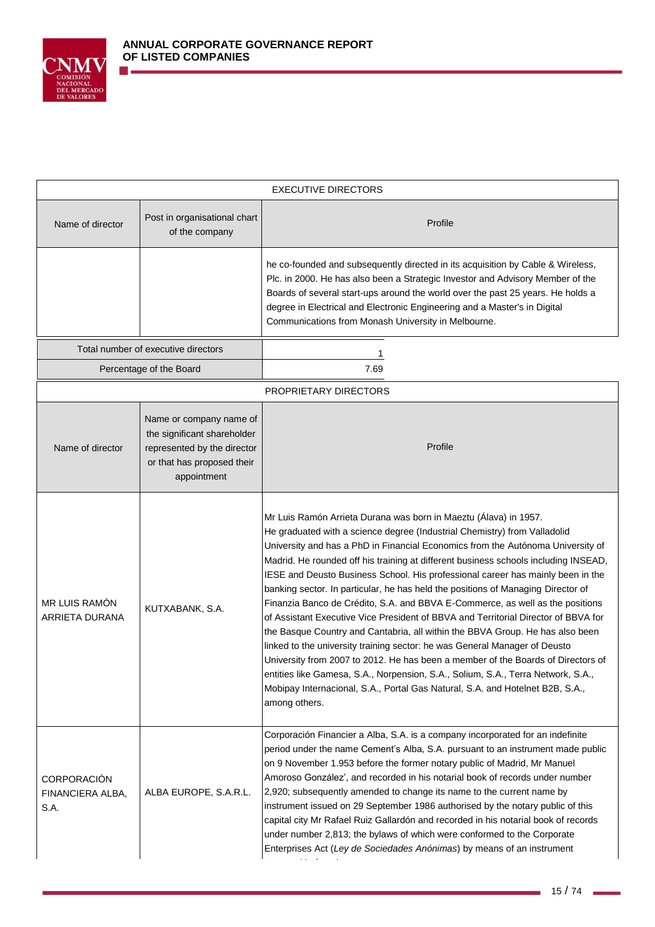

| <b>EXECUTIVE DIRECTORS</b>                     |                                                                                                                                    |                                                                                                                                                                                                                                                                                                                                                                                                                                                                                                                                                                                                                                                                                                                                                                                                                                                                                                                                                                                                                                                                                                                |  |  |
|------------------------------------------------|------------------------------------------------------------------------------------------------------------------------------------|----------------------------------------------------------------------------------------------------------------------------------------------------------------------------------------------------------------------------------------------------------------------------------------------------------------------------------------------------------------------------------------------------------------------------------------------------------------------------------------------------------------------------------------------------------------------------------------------------------------------------------------------------------------------------------------------------------------------------------------------------------------------------------------------------------------------------------------------------------------------------------------------------------------------------------------------------------------------------------------------------------------------------------------------------------------------------------------------------------------|--|--|
| Name of director                               | Post in organisational chart<br>of the company                                                                                     | Profile                                                                                                                                                                                                                                                                                                                                                                                                                                                                                                                                                                                                                                                                                                                                                                                                                                                                                                                                                                                                                                                                                                        |  |  |
|                                                |                                                                                                                                    | he co-founded and subsequently directed in its acquisition by Cable & Wireless,<br>Plc. in 2000. He has also been a Strategic Investor and Advisory Member of the<br>Boards of several start-ups around the world over the past 25 years. He holds a<br>degree in Electrical and Electronic Engineering and a Master's in Digital<br>Communications from Monash University in Melbourne.                                                                                                                                                                                                                                                                                                                                                                                                                                                                                                                                                                                                                                                                                                                       |  |  |
|                                                | Total number of executive directors                                                                                                |                                                                                                                                                                                                                                                                                                                                                                                                                                                                                                                                                                                                                                                                                                                                                                                                                                                                                                                                                                                                                                                                                                                |  |  |
|                                                | Percentage of the Board                                                                                                            | 7.69                                                                                                                                                                                                                                                                                                                                                                                                                                                                                                                                                                                                                                                                                                                                                                                                                                                                                                                                                                                                                                                                                                           |  |  |
|                                                |                                                                                                                                    | PROPRIETARY DIRECTORS                                                                                                                                                                                                                                                                                                                                                                                                                                                                                                                                                                                                                                                                                                                                                                                                                                                                                                                                                                                                                                                                                          |  |  |
| Name of director                               | Name or company name of<br>the significant shareholder<br>represented by the director<br>or that has proposed their<br>appointment | Profile                                                                                                                                                                                                                                                                                                                                                                                                                                                                                                                                                                                                                                                                                                                                                                                                                                                                                                                                                                                                                                                                                                        |  |  |
| MR LUIS RAMÓN<br>ARRIETA DURANA                | KUTXABANK, S.A.                                                                                                                    | Mr Luis Ramón Arrieta Durana was born in Maeztu (Álava) in 1957.<br>He graduated with a science degree (Industrial Chemistry) from Valladolid<br>University and has a PhD in Financial Economics from the Autónoma University of<br>Madrid. He rounded off his training at different business schools including INSEAD,<br>IESE and Deusto Business School. His professional career has mainly been in the<br>banking sector. In particular, he has held the positions of Managing Director of<br>Finanzia Banco de Crédito, S.A. and BBVA E-Commerce, as well as the positions<br>of Assistant Executive Vice President of BBVA and Territorial Director of BBVA for<br>the Basque Country and Cantabria, all within the BBVA Group. He has also been<br>linked to the university training sector: he was General Manager of Deusto<br>University from 2007 to 2012. He has been a member of the Boards of Directors of<br>entities like Gamesa, S.A., Norpension, S.A., Solium, S.A., Terra Network, S.A.,<br>Mobipay Internacional, S.A., Portal Gas Natural, S.A. and Hotelnet B2B, S.A.,<br>among others. |  |  |
| <b>CORPORACIÓN</b><br>FINANCIERA ALBA,<br>S.A. | ALBA EUROPE, S.A.R.L.                                                                                                              | Corporación Financier a Alba, S.A. is a company incorporated for an indefinite<br>period under the name Cement's Alba, S.A. pursuant to an instrument made public<br>on 9 November 1.953 before the former notary public of Madrid, Mr Manuel<br>Amoroso González', and recorded in his notarial book of records under number<br>2,920; subsequently amended to change its name to the current name by<br>instrument issued on 29 September 1986 authorised by the notary public of this<br>capital city Mr Rafael Ruiz Gallardón and recorded in his notarial book of records<br>under number 2,813; the bylaws of which were conformed to the Corporate<br>Enterprises Act (Ley de Sociedades Anónimas) by means of an instrument                                                                                                                                                                                                                                                                                                                                                                            |  |  |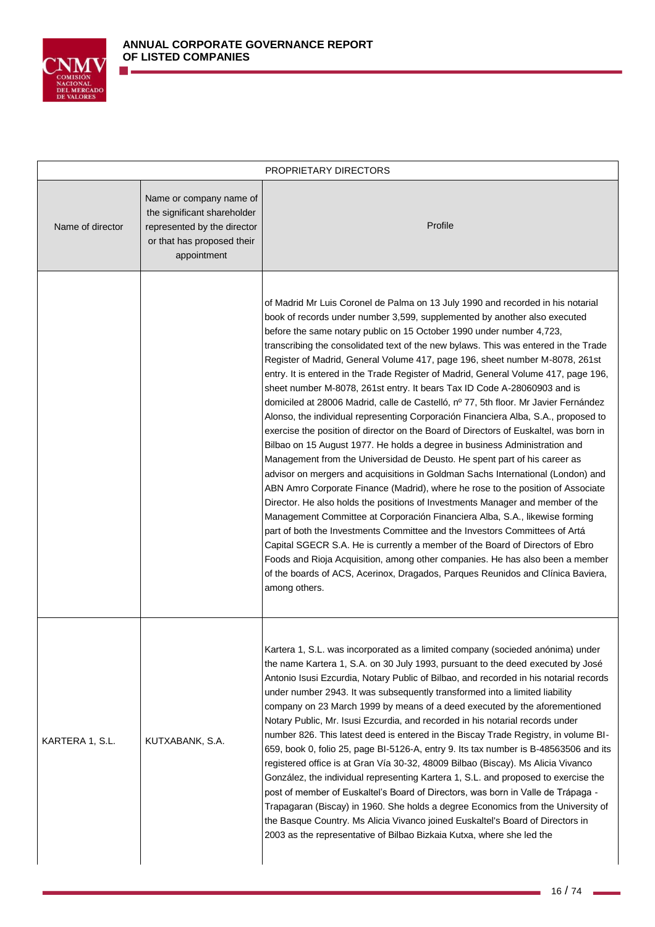

|                  |                                                                                                                                    | PROPRIETARY DIRECTORS                                                                                                                                                                                                                                                                                                                                                                                                                                                                                                                                                                                                                                                                                                                                                                                                                                                                                                                                                                                                                                                                                                                                                                                                                                                                                                                                                                                                                                                                                                                                                                                                                                                                                       |
|------------------|------------------------------------------------------------------------------------------------------------------------------------|-------------------------------------------------------------------------------------------------------------------------------------------------------------------------------------------------------------------------------------------------------------------------------------------------------------------------------------------------------------------------------------------------------------------------------------------------------------------------------------------------------------------------------------------------------------------------------------------------------------------------------------------------------------------------------------------------------------------------------------------------------------------------------------------------------------------------------------------------------------------------------------------------------------------------------------------------------------------------------------------------------------------------------------------------------------------------------------------------------------------------------------------------------------------------------------------------------------------------------------------------------------------------------------------------------------------------------------------------------------------------------------------------------------------------------------------------------------------------------------------------------------------------------------------------------------------------------------------------------------------------------------------------------------------------------------------------------------|
| Name of director | Name or company name of<br>the significant shareholder<br>represented by the director<br>or that has proposed their<br>appointment | Profile                                                                                                                                                                                                                                                                                                                                                                                                                                                                                                                                                                                                                                                                                                                                                                                                                                                                                                                                                                                                                                                                                                                                                                                                                                                                                                                                                                                                                                                                                                                                                                                                                                                                                                     |
|                  |                                                                                                                                    | of Madrid Mr Luis Coronel de Palma on 13 July 1990 and recorded in his notarial<br>book of records under number 3,599, supplemented by another also executed<br>before the same notary public on 15 October 1990 under number 4,723,<br>transcribing the consolidated text of the new bylaws. This was entered in the Trade<br>Register of Madrid, General Volume 417, page 196, sheet number M-8078, 261st<br>entry. It is entered in the Trade Register of Madrid, General Volume 417, page 196,<br>sheet number M-8078, 261st entry. It bears Tax ID Code A-28060903 and is<br>domiciled at 28006 Madrid, calle de Castelló, nº 77, 5th floor. Mr Javier Fernández<br>Alonso, the individual representing Corporación Financiera Alba, S.A., proposed to<br>exercise the position of director on the Board of Directors of Euskaltel, was born in<br>Bilbao on 15 August 1977. He holds a degree in business Administration and<br>Management from the Universidad de Deusto. He spent part of his career as<br>advisor on mergers and acquisitions in Goldman Sachs International (London) and<br>ABN Amro Corporate Finance (Madrid), where he rose to the position of Associate<br>Director. He also holds the positions of Investments Manager and member of the<br>Management Committee at Corporación Financiera Alba, S.A., likewise forming<br>part of both the Investments Committee and the Investors Committees of Artá<br>Capital SGECR S.A. He is currently a member of the Board of Directors of Ebro<br>Foods and Rioja Acquisition, among other companies. He has also been a member<br>of the boards of ACS, Acerinox, Dragados, Parques Reunidos and Clínica Baviera,<br>among others. |
| KARTERA 1, S.L.  | KUTXABANK, S.A.                                                                                                                    | Kartera 1, S.L. was incorporated as a limited company (socieded anónima) under<br>the name Kartera 1, S.A. on 30 July 1993, pursuant to the deed executed by José<br>Antonio Isusi Ezcurdia, Notary Public of Bilbao, and recorded in his notarial records<br>under number 2943. It was subsequently transformed into a limited liability<br>company on 23 March 1999 by means of a deed executed by the aforementioned<br>Notary Public, Mr. Isusi Ezcurdia, and recorded in his notarial records under<br>number 826. This latest deed is entered in the Biscay Trade Registry, in volume BI-<br>659, book 0, folio 25, page BI-5126-A, entry 9. Its tax number is B-48563506 and its<br>registered office is at Gran Vía 30-32, 48009 Bilbao (Biscay). Ms Alicia Vivanco<br>González, the individual representing Kartera 1, S.L. and proposed to exercise the<br>post of member of Euskaltel's Board of Directors, was born in Valle de Trápaga -<br>Trapagaran (Biscay) in 1960. She holds a degree Economics from the University of<br>the Basque Country. Ms Alicia Vivanco joined Euskaltel's Board of Directors in<br>2003 as the representative of Bilbao Bizkaia Kutxa, where she led the                                                                                                                                                                                                                                                                                                                                                                                                                                                                                                        |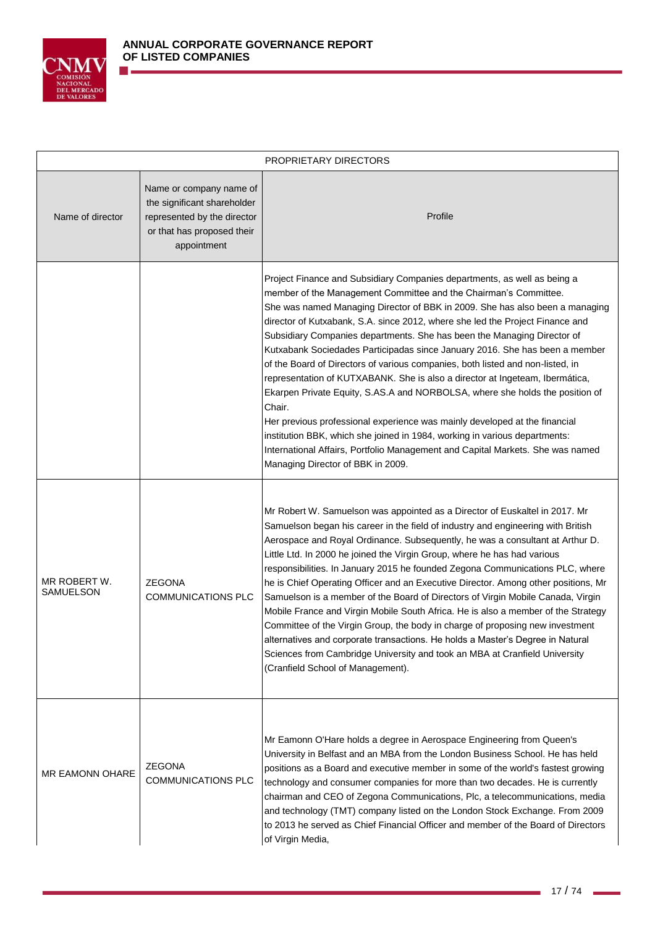

|                           |                                                                                                                                    | PROPRIETARY DIRECTORS                                                                                                                                                                                                                                                                                                                                                                                                                                                                                                                                                                                                                                                                                                                                                                                                                                                                                                                                                                                                  |
|---------------------------|------------------------------------------------------------------------------------------------------------------------------------|------------------------------------------------------------------------------------------------------------------------------------------------------------------------------------------------------------------------------------------------------------------------------------------------------------------------------------------------------------------------------------------------------------------------------------------------------------------------------------------------------------------------------------------------------------------------------------------------------------------------------------------------------------------------------------------------------------------------------------------------------------------------------------------------------------------------------------------------------------------------------------------------------------------------------------------------------------------------------------------------------------------------|
| Name of director          | Name or company name of<br>the significant shareholder<br>represented by the director<br>or that has proposed their<br>appointment | Profile                                                                                                                                                                                                                                                                                                                                                                                                                                                                                                                                                                                                                                                                                                                                                                                                                                                                                                                                                                                                                |
|                           |                                                                                                                                    | Project Finance and Subsidiary Companies departments, as well as being a<br>member of the Management Committee and the Chairman's Committee.<br>She was named Managing Director of BBK in 2009. She has also been a managing<br>director of Kutxabank, S.A. since 2012, where she led the Project Finance and<br>Subsidiary Companies departments. She has been the Managing Director of<br>Kutxabank Sociedades Participadas since January 2016. She has been a member<br>of the Board of Directors of various companies, both listed and non-listed, in<br>representation of KUTXABANK. She is also a director at Ingeteam, Ibermática,<br>Ekarpen Private Equity, S.AS.A and NORBOLSA, where she holds the position of<br>Chair.<br>Her previous professional experience was mainly developed at the financial<br>institution BBK, which she joined in 1984, working in various departments:<br>International Affairs, Portfolio Management and Capital Markets. She was named<br>Managing Director of BBK in 2009. |
| MR ROBERT W.<br>SAMUELSON | <b>ZEGONA</b><br><b>COMMUNICATIONS PLC</b>                                                                                         | Mr Robert W. Samuelson was appointed as a Director of Euskaltel in 2017. Mr<br>Samuelson began his career in the field of industry and engineering with British<br>Aerospace and Royal Ordinance. Subsequently, he was a consultant at Arthur D.<br>Little Ltd. In 2000 he joined the Virgin Group, where he has had various<br>responsibilities. In January 2015 he founded Zegona Communications PLC, where<br>he is Chief Operating Officer and an Executive Director. Among other positions, Mr<br>Samuelson is a member of the Board of Directors of Virgin Mobile Canada, Virgin<br>Mobile France and Virgin Mobile South Africa. He is also a member of the Strategy<br>Committee of the Virgin Group, the body in charge of proposing new investment<br>alternatives and corporate transactions. He holds a Master's Degree in Natural<br>Sciences from Cambridge University and took an MBA at Cranfield University<br>(Cranfield School of Management).                                                      |
| <b>MR EAMONN OHARE</b>    | <b>ZEGONA</b><br><b>COMMUNICATIONS PLC</b>                                                                                         | Mr Eamonn O'Hare holds a degree in Aerospace Engineering from Queen's<br>University in Belfast and an MBA from the London Business School. He has held<br>positions as a Board and executive member in some of the world's fastest growing<br>technology and consumer companies for more than two decades. He is currently<br>chairman and CEO of Zegona Communications, Plc, a telecommunications, media<br>and technology (TMT) company listed on the London Stock Exchange. From 2009<br>to 2013 he served as Chief Financial Officer and member of the Board of Directors<br>of Virgin Media,                                                                                                                                                                                                                                                                                                                                                                                                                      |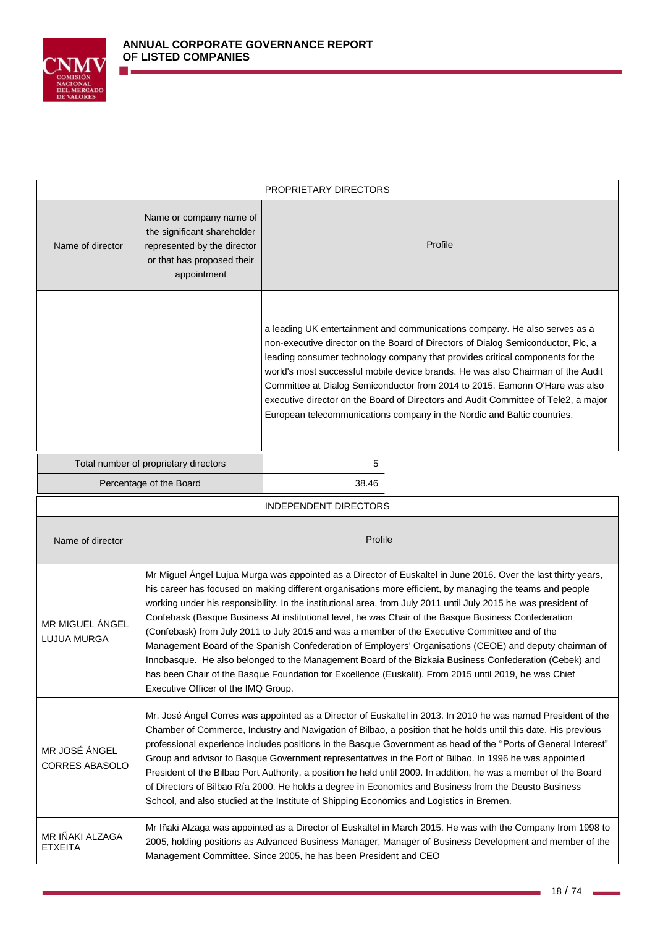

|                                        | PROPRIETARY DIRECTORS                                                                                                                                                                                                                                                                                                                                                                                                                                                                                                                                                                                                                                                                                                                                                                                                                                                                                                         |                                                                                                                                                                                                                                                                                                                                                                                                                                                                                                                                                                                    |  |  |  |
|----------------------------------------|-------------------------------------------------------------------------------------------------------------------------------------------------------------------------------------------------------------------------------------------------------------------------------------------------------------------------------------------------------------------------------------------------------------------------------------------------------------------------------------------------------------------------------------------------------------------------------------------------------------------------------------------------------------------------------------------------------------------------------------------------------------------------------------------------------------------------------------------------------------------------------------------------------------------------------|------------------------------------------------------------------------------------------------------------------------------------------------------------------------------------------------------------------------------------------------------------------------------------------------------------------------------------------------------------------------------------------------------------------------------------------------------------------------------------------------------------------------------------------------------------------------------------|--|--|--|
| Name of director                       | Name or company name of<br>the significant shareholder<br>represented by the director<br>or that has proposed their<br>appointment                                                                                                                                                                                                                                                                                                                                                                                                                                                                                                                                                                                                                                                                                                                                                                                            | Profile                                                                                                                                                                                                                                                                                                                                                                                                                                                                                                                                                                            |  |  |  |
|                                        |                                                                                                                                                                                                                                                                                                                                                                                                                                                                                                                                                                                                                                                                                                                                                                                                                                                                                                                               | a leading UK entertainment and communications company. He also serves as a<br>non-executive director on the Board of Directors of Dialog Semiconductor, Plc, a<br>leading consumer technology company that provides critical components for the<br>world's most successful mobile device brands. He was also Chairman of the Audit<br>Committee at Dialog Semiconductor from 2014 to 2015. Eamonn O'Hare was also<br>executive director on the Board of Directors and Audit Committee of Tele2, a major<br>European telecommunications company in the Nordic and Baltic countries. |  |  |  |
| Total number of proprietary directors  |                                                                                                                                                                                                                                                                                                                                                                                                                                                                                                                                                                                                                                                                                                                                                                                                                                                                                                                               | 5                                                                                                                                                                                                                                                                                                                                                                                                                                                                                                                                                                                  |  |  |  |
|                                        | Percentage of the Board                                                                                                                                                                                                                                                                                                                                                                                                                                                                                                                                                                                                                                                                                                                                                                                                                                                                                                       | 38.46                                                                                                                                                                                                                                                                                                                                                                                                                                                                                                                                                                              |  |  |  |
|                                        |                                                                                                                                                                                                                                                                                                                                                                                                                                                                                                                                                                                                                                                                                                                                                                                                                                                                                                                               | INDEPENDENT DIRECTORS                                                                                                                                                                                                                                                                                                                                                                                                                                                                                                                                                              |  |  |  |
| Name of director                       |                                                                                                                                                                                                                                                                                                                                                                                                                                                                                                                                                                                                                                                                                                                                                                                                                                                                                                                               | Profile                                                                                                                                                                                                                                                                                                                                                                                                                                                                                                                                                                            |  |  |  |
| MR MIGUEL ÁNGEL<br><b>LUJUA MURGA</b>  | Mr Miguel Ángel Lujua Murga was appointed as a Director of Euskaltel in June 2016. Over the last thirty years,<br>his career has focused on making different organisations more efficient, by managing the teams and people<br>working under his responsibility. In the institutional area, from July 2011 until July 2015 he was president of<br>Confebask (Basque Business At institutional level, he was Chair of the Basque Business Confederation<br>(Confebask) from July 2011 to July 2015 and was a member of the Executive Committee and of the<br>Management Board of the Spanish Confederation of Employers' Organisations (CEOE) and deputy chairman of<br>Innobasque. He also belonged to the Management Board of the Bizkaia Business Confederation (Cebek) and<br>has been Chair of the Basque Foundation for Excellence (Euskalit). From 2015 until 2019, he was Chief<br>Executive Officer of the IMQ Group. |                                                                                                                                                                                                                                                                                                                                                                                                                                                                                                                                                                                    |  |  |  |
| MR JOSÉ ÁNGEL<br><b>CORRES ABASOLO</b> | Mr. José Ángel Corres was appointed as a Director of Euskaltel in 2013. In 2010 he was named President of the<br>Chamber of Commerce, Industry and Navigation of Bilbao, a position that he holds until this date. His previous<br>professional experience includes positions in the Basque Government as head of the "Ports of General Interest"<br>Group and advisor to Basque Government representatives in the Port of Bilbao. In 1996 he was appointed<br>President of the Bilbao Port Authority, a position he held until 2009. In addition, he was a member of the Board<br>of Directors of Bilbao Ría 2000. He holds a degree in Economics and Business from the Deusto Business<br>School, and also studied at the Institute of Shipping Economics and Logistics in Bremen.                                                                                                                                          |                                                                                                                                                                                                                                                                                                                                                                                                                                                                                                                                                                                    |  |  |  |
| MR IÑAKI ALZAGA<br><b>ETXEITA</b>      | Mr Iñaki Alzaga was appointed as a Director of Euskaltel in March 2015. He was with the Company from 1998 to<br>2005, holding positions as Advanced Business Manager, Manager of Business Development and member of the<br>Management Committee. Since 2005, he has been President and CEO                                                                                                                                                                                                                                                                                                                                                                                                                                                                                                                                                                                                                                    |                                                                                                                                                                                                                                                                                                                                                                                                                                                                                                                                                                                    |  |  |  |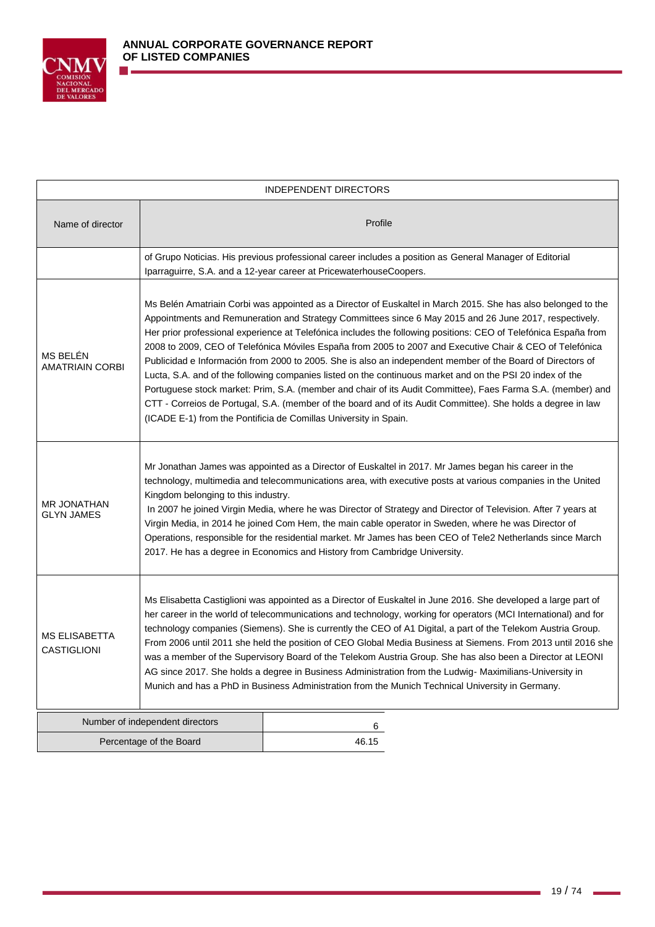

| <b>INDEPENDENT DIRECTORS</b>               |                                                                                                                                                                                                                                                                                                                                                                                                                                                                                                                                                                                                                                                                                                                                                                                               |                                                                                                                                                                                                                                                                                                                                                                                                                                                                                                                                                                                                                                                                                                                                                                                                                                                                                                                                                                                      |  |  |  |
|--------------------------------------------|-----------------------------------------------------------------------------------------------------------------------------------------------------------------------------------------------------------------------------------------------------------------------------------------------------------------------------------------------------------------------------------------------------------------------------------------------------------------------------------------------------------------------------------------------------------------------------------------------------------------------------------------------------------------------------------------------------------------------------------------------------------------------------------------------|--------------------------------------------------------------------------------------------------------------------------------------------------------------------------------------------------------------------------------------------------------------------------------------------------------------------------------------------------------------------------------------------------------------------------------------------------------------------------------------------------------------------------------------------------------------------------------------------------------------------------------------------------------------------------------------------------------------------------------------------------------------------------------------------------------------------------------------------------------------------------------------------------------------------------------------------------------------------------------------|--|--|--|
| Name of director                           |                                                                                                                                                                                                                                                                                                                                                                                                                                                                                                                                                                                                                                                                                                                                                                                               | Profile                                                                                                                                                                                                                                                                                                                                                                                                                                                                                                                                                                                                                                                                                                                                                                                                                                                                                                                                                                              |  |  |  |
|                                            |                                                                                                                                                                                                                                                                                                                                                                                                                                                                                                                                                                                                                                                                                                                                                                                               | of Grupo Noticias. His previous professional career includes a position as General Manager of Editorial<br>Iparraguirre, S.A. and a 12-year career at PricewaterhouseCoopers.                                                                                                                                                                                                                                                                                                                                                                                                                                                                                                                                                                                                                                                                                                                                                                                                        |  |  |  |
| MS BELÉN<br><b>AMATRIAIN CORBI</b>         |                                                                                                                                                                                                                                                                                                                                                                                                                                                                                                                                                                                                                                                                                                                                                                                               | Ms Belén Amatriain Corbi was appointed as a Director of Euskaltel in March 2015. She has also belonged to the<br>Appointments and Remuneration and Strategy Committees since 6 May 2015 and 26 June 2017, respectively.<br>Her prior professional experience at Telefónica includes the following positions: CEO of Telefónica España from<br>2008 to 2009, CEO of Telefónica Móviles España from 2005 to 2007 and Executive Chair & CEO of Telefónica<br>Publicidad e Información from 2000 to 2005. She is also an independent member of the Board of Directors of<br>Lucta, S.A. and of the following companies listed on the continuous market and on the PSI 20 index of the<br>Portuguese stock market: Prim, S.A. (member and chair of its Audit Committee), Faes Farma S.A. (member) and<br>CTT - Correios de Portugal, S.A. (member of the board and of its Audit Committee). She holds a degree in law<br>(ICADE E-1) from the Pontificia de Comillas University in Spain. |  |  |  |
| <b>MR JONATHAN</b><br><b>GLYN JAMES</b>    | Mr Jonathan James was appointed as a Director of Euskaltel in 2017. Mr James began his career in the<br>technology, multimedia and telecommunications area, with executive posts at various companies in the United<br>Kingdom belonging to this industry.<br>In 2007 he joined Virgin Media, where he was Director of Strategy and Director of Television. After 7 years at<br>Virgin Media, in 2014 he joined Com Hem, the main cable operator in Sweden, where he was Director of<br>Operations, responsible for the residential market. Mr James has been CEO of Tele2 Netherlands since March<br>2017. He has a degree in Economics and History from Cambridge University.                                                                                                               |                                                                                                                                                                                                                                                                                                                                                                                                                                                                                                                                                                                                                                                                                                                                                                                                                                                                                                                                                                                      |  |  |  |
| <b>MS ELISABETTA</b><br><b>CASTIGLIONI</b> | Ms Elisabetta Castiglioni was appointed as a Director of Euskaltel in June 2016. She developed a large part of<br>her career in the world of telecommunications and technology, working for operators (MCI International) and for<br>technology companies (Siemens). She is currently the CEO of A1 Digital, a part of the Telekom Austria Group.<br>From 2006 until 2011 she held the position of CEO Global Media Business at Siemens. From 2013 until 2016 she<br>was a member of the Supervisory Board of the Telekom Austria Group. She has also been a Director at LEONI<br>AG since 2017. She holds a degree in Business Administration from the Ludwig- Maximilians-University in<br>Munich and has a PhD in Business Administration from the Munich Technical University in Germany. |                                                                                                                                                                                                                                                                                                                                                                                                                                                                                                                                                                                                                                                                                                                                                                                                                                                                                                                                                                                      |  |  |  |
|                                            | Number of independent directors                                                                                                                                                                                                                                                                                                                                                                                                                                                                                                                                                                                                                                                                                                                                                               | 6                                                                                                                                                                                                                                                                                                                                                                                                                                                                                                                                                                                                                                                                                                                                                                                                                                                                                                                                                                                    |  |  |  |
| Percentage of the Board                    |                                                                                                                                                                                                                                                                                                                                                                                                                                                                                                                                                                                                                                                                                                                                                                                               | 46.15                                                                                                                                                                                                                                                                                                                                                                                                                                                                                                                                                                                                                                                                                                                                                                                                                                                                                                                                                                                |  |  |  |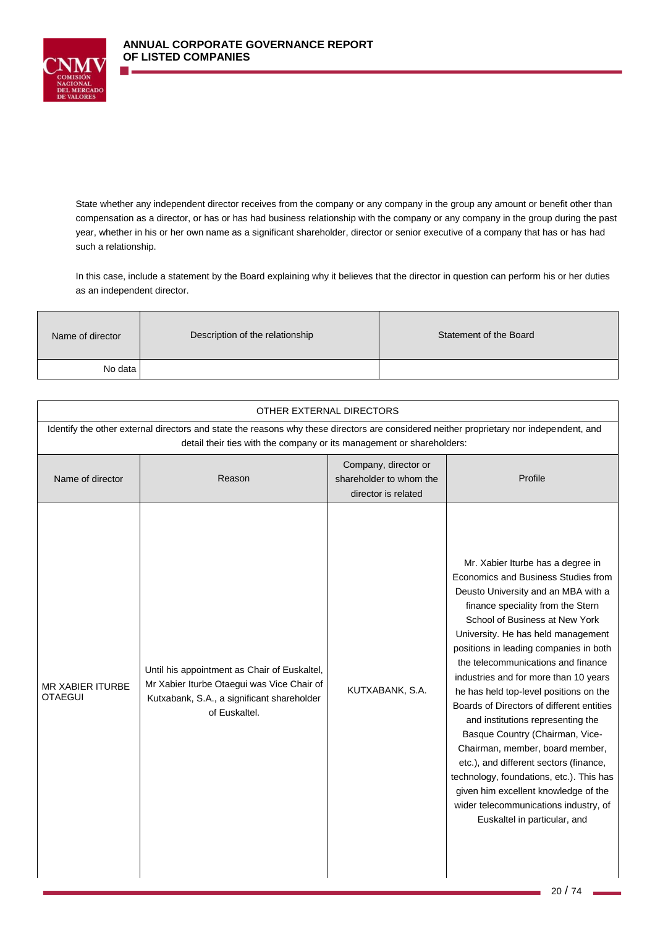

State whether any independent director receives from the company or any company in the group any amount or benefit other than compensation as a director, or has or has had business relationship with the company or any company in the group during the past year, whether in his or her own name as a significant shareholder, director or senior executive of a company that has or has had such a relationship.

In this case, include a statement by the Board explaining why it believes that the director in question can perform his or her duties as an independent director.

| Name of director | Description of the relationship | Statement of the Board |
|------------------|---------------------------------|------------------------|
| No data I        |                                 |                        |

| OTHER EXTERNAL DIRECTORS           |                                                                                                                                                                                                                  |                                                                        |                                                                                                                                                                                                                                                                                                                                                                                                                                                                                                                                                                                                                                                                                                                                                                |  |  |  |  |
|------------------------------------|------------------------------------------------------------------------------------------------------------------------------------------------------------------------------------------------------------------|------------------------------------------------------------------------|----------------------------------------------------------------------------------------------------------------------------------------------------------------------------------------------------------------------------------------------------------------------------------------------------------------------------------------------------------------------------------------------------------------------------------------------------------------------------------------------------------------------------------------------------------------------------------------------------------------------------------------------------------------------------------------------------------------------------------------------------------------|--|--|--|--|
|                                    | Identify the other external directors and state the reasons why these directors are considered neither proprietary nor independent, and<br>detail their ties with the company or its management or shareholders: |                                                                        |                                                                                                                                                                                                                                                                                                                                                                                                                                                                                                                                                                                                                                                                                                                                                                |  |  |  |  |
| Name of director                   | Reason                                                                                                                                                                                                           | Company, director or<br>shareholder to whom the<br>director is related | Profile                                                                                                                                                                                                                                                                                                                                                                                                                                                                                                                                                                                                                                                                                                                                                        |  |  |  |  |
| MR XABIER ITURBE<br><b>OTAEGUI</b> | Until his appointment as Chair of Euskaltel,<br>Mr Xabier Iturbe Otaegui was Vice Chair of<br>Kutxabank, S.A., a significant shareholder<br>of Euskaltel.                                                        | KUTXABANK, S.A.                                                        | Mr. Xabier Iturbe has a degree in<br>Economics and Business Studies from<br>Deusto University and an MBA with a<br>finance speciality from the Stern<br>School of Business at New York<br>University. He has held management<br>positions in leading companies in both<br>the telecommunications and finance<br>industries and for more than 10 years<br>he has held top-level positions on the<br>Boards of Directors of different entities<br>and institutions representing the<br>Basque Country (Chairman, Vice-<br>Chairman, member, board member,<br>etc.), and different sectors (finance,<br>technology, foundations, etc.). This has<br>given him excellent knowledge of the<br>wider telecommunications industry, of<br>Euskaltel in particular, and |  |  |  |  |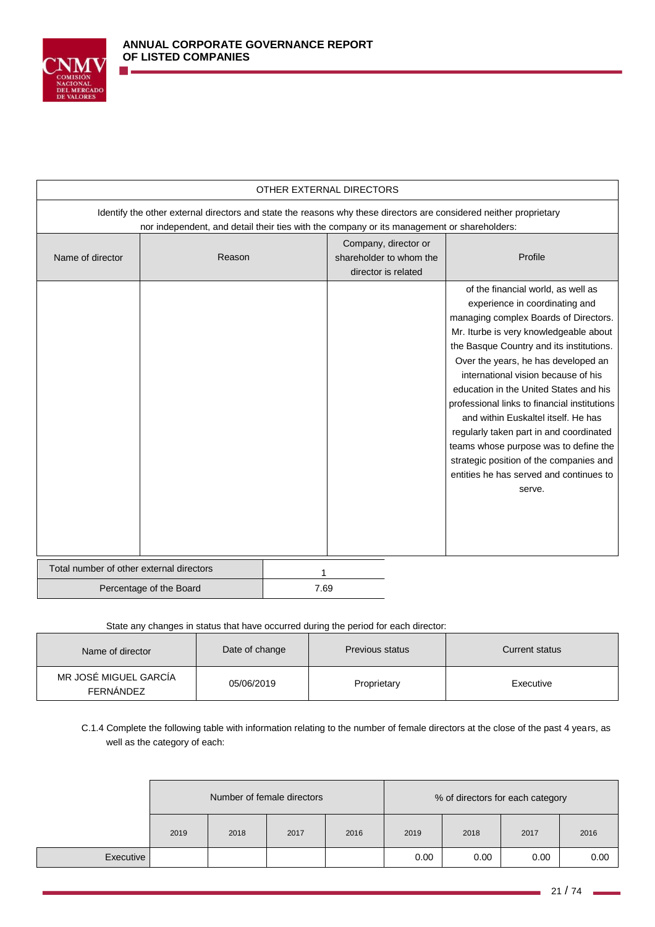

|                                          | OTHER EXTERNAL DIRECTORS                                                                                                                                                                                         |      |                                                                        |                                                                                                                                                                                                                                                                                                                                                                                                                                                                                                                                                                                                        |  |
|------------------------------------------|------------------------------------------------------------------------------------------------------------------------------------------------------------------------------------------------------------------|------|------------------------------------------------------------------------|--------------------------------------------------------------------------------------------------------------------------------------------------------------------------------------------------------------------------------------------------------------------------------------------------------------------------------------------------------------------------------------------------------------------------------------------------------------------------------------------------------------------------------------------------------------------------------------------------------|--|
|                                          | Identify the other external directors and state the reasons why these directors are considered neither proprietary<br>nor independent, and detail their ties with the company or its management or shareholders: |      |                                                                        |                                                                                                                                                                                                                                                                                                                                                                                                                                                                                                                                                                                                        |  |
| Name of director                         | Reason                                                                                                                                                                                                           |      | Company, director or<br>shareholder to whom the<br>director is related | Profile                                                                                                                                                                                                                                                                                                                                                                                                                                                                                                                                                                                                |  |
|                                          |                                                                                                                                                                                                                  |      |                                                                        | of the financial world, as well as<br>experience in coordinating and<br>managing complex Boards of Directors.<br>Mr. Iturbe is very knowledgeable about<br>the Basque Country and its institutions.<br>Over the years, he has developed an<br>international vision because of his<br>education in the United States and his<br>professional links to financial institutions<br>and within Euskaltel itself. He has<br>regularly taken part in and coordinated<br>teams whose purpose was to define the<br>strategic position of the companies and<br>entities he has served and continues to<br>serve. |  |
| Total number of other external directors |                                                                                                                                                                                                                  |      |                                                                        |                                                                                                                                                                                                                                                                                                                                                                                                                                                                                                                                                                                                        |  |
| Percentage of the Board                  |                                                                                                                                                                                                                  | 7.69 |                                                                        |                                                                                                                                                                                                                                                                                                                                                                                                                                                                                                                                                                                                        |  |

## State any changes in status that have occurred during the period for each director:

| Name of director                          | Date of change | <b>Previous status</b> | Current status |
|-------------------------------------------|----------------|------------------------|----------------|
| MR JOSÉ MIGUEL GARCÍA<br><b>FERNÁNDEZ</b> | 05/06/2019     | Proprietary            | Executive      |

C.1.4 Complete the following table with information relating to the number of female directors at the close of the past 4 years, as well as the category of each:

|           | Number of female directors |      |      |      | % of directors for each category |      |      |      |
|-----------|----------------------------|------|------|------|----------------------------------|------|------|------|
|           | 2019                       | 2018 | 2017 | 2016 | 2019                             | 2018 | 2017 | 2016 |
| Executive |                            |      |      |      | 0.00                             | 0.00 | 0.00 | 0.00 |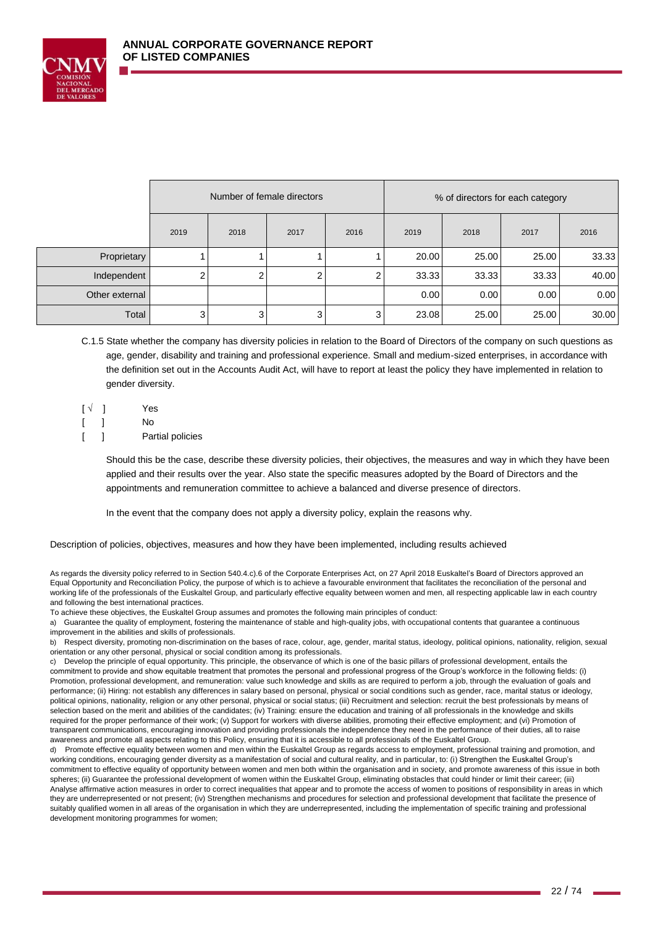

|                | Number of female directors |      | % of directors for each category |                |       |       |       |       |
|----------------|----------------------------|------|----------------------------------|----------------|-------|-------|-------|-------|
|                | 2019                       | 2018 | 2017                             | 2016           | 2019  | 2018  | 2017  | 2016  |
| Proprietary    |                            |      |                                  |                | 20.00 | 25.00 | 25.00 | 33.33 |
| Independent    | 2 <sub>1</sub>             | ົ    | 2                                | 2              | 33.33 | 33.33 | 33.33 | 40.00 |
| Other external |                            |      |                                  |                | 0.00  | 0.00  | 0.00  | 0.00  |
| Total          | 3 <sup>1</sup>             | 3    | 3                                | 3 <sub>l</sub> | 23.08 | 25.00 | 25.00 | 30.00 |

C.1.5 State whether the company has diversity policies in relation to the Board of Directors of the company on such questions as age, gender, disability and training and professional experience. Small and medium-sized enterprises, in accordance with the definition set out in the Accounts Audit Act, will have to report at least the policy they have implemented in relation to gender diversity.

- $\begin{bmatrix} \sqrt{ } \end{bmatrix}$  Yes [ ] No
- [ ] Partial policies

Should this be the case, describe these diversity policies, their objectives, the measures and way in which they have been applied and their results over the year. Also state the specific measures adopted by the Board of Directors and the appointments and remuneration committee to achieve a balanced and diverse presence of directors.

In the event that the company does not apply a diversity policy, explain the reasons why.

Description of policies, objectives, measures and how they have been implemented, including results achieved

As regards the diversity policy referred to in Section 540.4.c).6 of the Corporate Enterprises Act, on 27 April 2018 Euskaltel's Board of Directors approved an Equal Opportunity and Reconciliation Policy, the purpose of which is to achieve a favourable environment that facilitates the reconciliation of the personal and working life of the professionals of the Euskaltel Group, and particularly effective equality between women and men, all respecting applicable law in each country and following the best international practices.

To achieve these objectives, the Euskaltel Group assumes and promotes the following main principles of conduct:

a) Guarantee the quality of employment, fostering the maintenance of stable and high-quality jobs, with occupational contents that guarantee a continuous improvement in the abilities and skills of professionals.

b) Respect diversity, promoting non-discrimination on the bases of race, colour, age, gender, marital status, ideology, political opinions, nationality, religion, sexual orientation or any other personal, physical or social condition among its professionals.

c) Develop the principle of equal opportunity. This principle, the observance of which is one of the basic pillars of professional development, entails the commitment to provide and show equitable treatment that promotes the personal and professional progress of the Group's workforce in the following fields: (i) Promotion, professional development, and remuneration: value such knowledge and skills as are required to perform a job, through the evaluation of goals and performance; (ii) Hiring: not establish any differences in salary based on personal, physical or social conditions such as gender, race, marital status or ideology, political opinions, nationality, religion or any other personal, physical or social status; (iii) Recruitment and selection: recruit the best professionals by means of selection based on the merit and abilities of the candidates; (iv) Training: ensure the education and training of all professionals in the knowledge and skills required for the proper performance of their work; (v) Support for workers with diverse abilities, promoting their effective employment; and (vi) Promotion of transparent communications, encouraging innovation and providing professionals the independence they need in the performance of their duties, all to raise awareness and promote all aspects relating to this Policy, ensuring that it is accessible to all professionals of the Euskaltel Group.

Promote effective equality between women and men within the Euskaltel Group as regards access to employment, professional training and promotion, and working conditions, encouraging gender diversity as a manifestation of social and cultural reality, and in particular, to: (i) Strengthen the Euskaltel Group's commitment to effective equality of opportunity between women and men both within the organisation and in society, and promote awareness of this issue in both spheres; (ii) Guarantee the professional development of women within the Euskaltel Group, eliminating obstacles that could hinder or limit their career; (iii) Analyse affirmative action measures in order to correct inequalities that appear and to promote the access of women to positions of responsibility in areas in which they are underrepresented or not present; (iv) Strengthen mechanisms and procedures for selection and professional development that facilitate the presence of suitably qualified women in all areas of the organisation in which they are underrepresented, including the implementation of specific training and professional development monitoring programmes for women;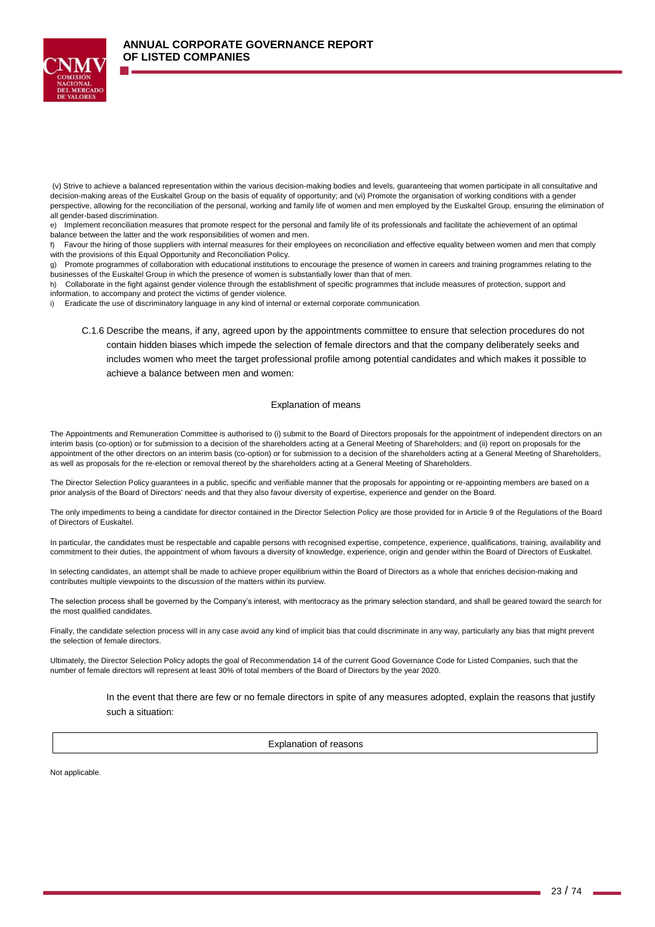

e) Implement reconciliation measures that promote respect for the personal and family life of its professionals and facilitate the achievement of an optimal balance between the latter and the work responsibilities of women and men.

f) Favour the hiring of those suppliers with internal measures for their employees on reconciliation and effective equality between women and men that comply with the provisions of this Equal Opportunity and Reconciliation Policy.

Promote programmes of collaboration with educational institutions to encourage the presence of women in careers and training programmes relating to the businesses of the Euskaltel Group in which the presence of women is substantially lower than that of men.

h) Collaborate in the fight against gender violence through the establishment of specific programmes that include measures of protection, support and information, to accompany and protect the victims of gender violence.

i) Eradicate the use of discriminatory language in any kind of internal or external corporate communication.

C.1.6 Describe the means, if any, agreed upon by the appointments committee to ensure that selection procedures do not contain hidden biases which impede the selection of female directors and that the company deliberately seeks and includes women who meet the target professional profile among potential candidates and which makes it possible to achieve a balance between men and women:

#### Explanation of means

The Appointments and Remuneration Committee is authorised to (i) submit to the Board of Directors proposals for the appointment of independent directors on an interim basis (co-option) or for submission to a decision of the shareholders acting at a General Meeting of Shareholders; and (ii) report on proposals for the appointment of the other directors on an interim basis (co-option) or for submission to a decision of the shareholders acting at a General Meeting of Shareholders, as well as proposals for the re-election or removal thereof by the shareholders acting at a General Meeting of Shareholders.

The Director Selection Policy guarantees in a public, specific and verifiable manner that the proposals for appointing or re-appointing members are based on a prior analysis of the Board of Directors' needs and that they also favour diversity of expertise, experience and gender on the Board.

The only impediments to being a candidate for director contained in the Director Selection Policy are those provided for in Article 9 of the Regulations of the Board of Directors of Euskaltel.

In particular, the candidates must be respectable and capable persons with recognised expertise, competence, experience, qualifications, training, availability and commitment to their duties, the appointment of whom favours a diversity of knowledge, experience, origin and gender within the Board of Directors of Euskaltel.

In selecting candidates, an attempt shall be made to achieve proper equilibrium within the Board of Directors as a whole that enriches decision-making and contributes multiple viewpoints to the discussion of the matters within its purview.

The selection process shall be governed by the Company's interest, with meritocracy as the primary selection standard, and shall be geared toward the search for the most qualified candidates.

Finally, the candidate selection process will in any case avoid any kind of implicit bias that could discriminate in any way, particularly any bias that might prevent the selection of female directors.

Ultimately, the Director Selection Policy adopts the goal of Recommendation 14 of the current Good Governance Code for Listed Companies, such that the number of female directors will represent at least 30% of total members of the Board of Directors by the year 2020.

> In the event that there are few or no female directors in spite of any measures adopted, explain the reasons that justify such a situation:

> > Explanation of reasons

Not applicable.

<sup>(</sup>v) Strive to achieve a balanced representation within the various decision-making bodies and levels, guaranteeing that women participate in all consultative and decision-making areas of the Euskaltel Group on the basis of equality of opportunity; and (vi) Promote the organisation of working conditions with a gender perspective, allowing for the reconciliation of the personal, working and family life of women and men employed by the Euskaltel Group, ensuring the elimination of all gender-based discrimination.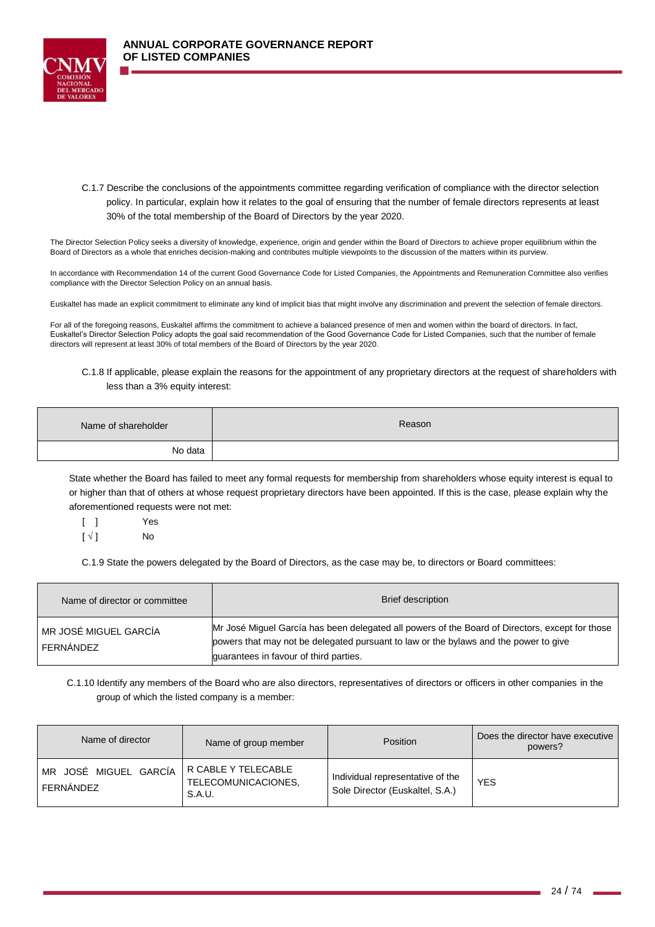

C.1.7 Describe the conclusions of the appointments committee regarding verification of compliance with the director selection policy. In particular, explain how it relates to the goal of ensuring that the number of female directors represents at least 30% of the total membership of the Board of Directors by the year 2020.

The Director Selection Policy seeks a diversity of knowledge, experience, origin and gender within the Board of Directors to achieve proper equilibrium within the Board of Directors as a whole that enriches decision-making and contributes multiple viewpoints to the discussion of the matters within its purview.

In accordance with Recommendation 14 of the current Good Governance Code for Listed Companies, the Appointments and Remuneration Committee also verifies compliance with the Director Selection Policy on an annual basis.

Euskaltel has made an explicit commitment to eliminate any kind of implicit bias that might involve any discrimination and prevent the selection of female directors.

For all of the foregoing reasons, Euskaltel affirms the commitment to achieve a balanced presence of men and women within the board of directors. In fact, Euskaltel's Director Selection Policy adopts the goal said recommendation of the Good Governance Code for Listed Companies, such that the number of female directors will represent at least 30% of total members of the Board of Directors by the year 2020.

### C.1.8 If applicable, please explain the reasons for the appointment of any proprietary directors at the request of shareholders with less than a 3% equity interest:

| Name of shareholder | Reason |
|---------------------|--------|
| No data             |        |

State whether the Board has failed to meet any formal requests for membership from shareholders whose equity interest is equal to or higher than that of others at whose request proprietary directors have been appointed. If this is the case, please explain why the aforementioned requests were not met:

[ ] Yes  $[\sqrt{]}$  No

C.1.9 State the powers delegated by the Board of Directors, as the case may be, to directors or Board committees:

| Name of director or committee      | Brief description                                                                                                                                                                                                                 |
|------------------------------------|-----------------------------------------------------------------------------------------------------------------------------------------------------------------------------------------------------------------------------------|
| MR JOSÉ MIGUEL GARCÍA<br>FERNÁNDEZ | Mr José Miguel García has been delegated all powers of the Board of Directors, except for those<br>powers that may not be delegated pursuant to law or the bylaws and the power to give<br>guarantees in favour of third parties. |

C.1.10 Identify any members of the Board who are also directors, representatives of directors or officers in other companies in the group of which the listed company is a member:

| Name of director                   | Name of group member                                 | <b>Position</b>                                                     | Does the director have executive<br>powers? |
|------------------------------------|------------------------------------------------------|---------------------------------------------------------------------|---------------------------------------------|
| MR JOSÉ MIGUEL GARCÍA<br>FERNÁNDEZ | R CABLE Y TELECABLE<br>TELECOMUNICACIONES,<br>S.A.U. | Individual representative of the<br>Sole Director (Euskaltel, S.A.) | <b>YES</b>                                  |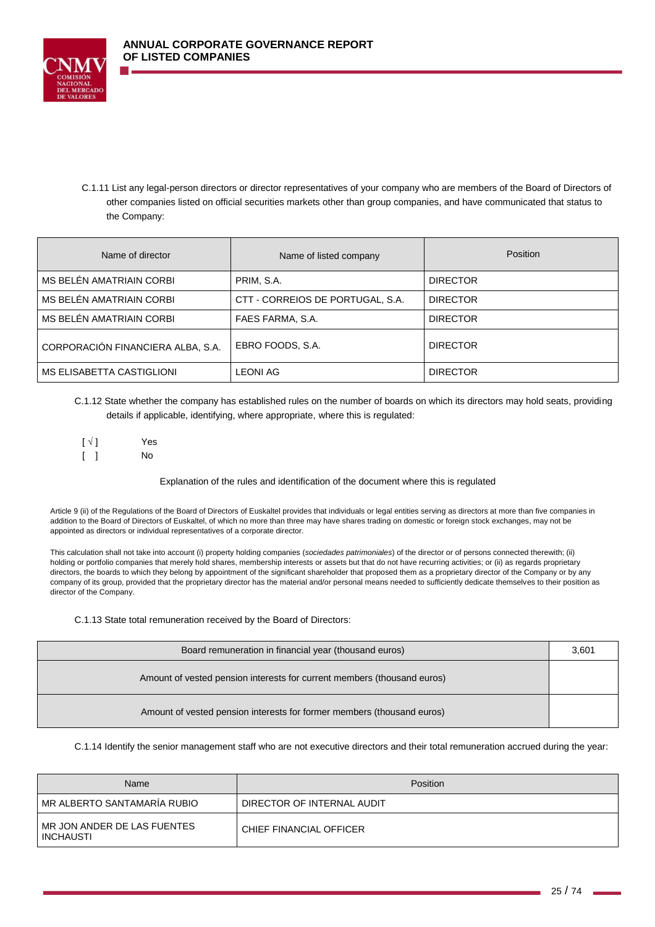



C.1.11 List any legal-person directors or director representatives of your company who are members of the Board of Directors of other companies listed on official securities markets other than group companies, and have communicated that status to the Company:

| Name of director                  | Name of listed company           | <b>Position</b> |
|-----------------------------------|----------------------------------|-----------------|
| MS BELEN AMATRIAIN CORBI          | PRIM, S.A.                       | <b>DIRECTOR</b> |
| MS BELÉN AMATRIAIN CORBI          | CTT - CORREIOS DE PORTUGAL, S.A. | <b>DIRECTOR</b> |
| MS BELÉN AMATRIAIN CORBI          | FAES FARMA, S.A.                 | <b>DIRECTOR</b> |
| CORPORACIÓN FINANCIERA ALBA, S.A. | EBRO FOODS, S.A.                 | <b>DIRECTOR</b> |
| MS ELISABETTA CASTIGLIONI         | <b>LEONI AG</b>                  | <b>DIRECTOR</b> |

C.1.12 State whether the company has established rules on the number of boards on which its directors may hold seats, providing details if applicable, identifying, where appropriate, where this is regulated:

| $\lbrack \vee \rbrack$ | Yes |
|------------------------|-----|
|                        | No  |

Explanation of the rules and identification of the document where this is regulated

Article 9 (ii) of the Regulations of the Board of Directors of Euskaltel provides that individuals or legal entities serving as directors at more than five companies in addition to the Board of Directors of Euskaltel, of which no more than three may have shares trading on domestic or foreign stock exchanges, may not be appointed as directors or individual representatives of a corporate director.

This calculation shall not take into account (i) property holding companies (*sociedades patrimoniales*) of the director or of persons connected therewith; (ii) holding or portfolio companies that merely hold shares, membership interests or assets but that do not have recurring activities; or (ii) as regards proprietary directors, the boards to which they belong by appointment of the significant shareholder that proposed them as a proprietary director of the Company or by any company of its group, provided that the proprietary director has the material and/or personal means needed to sufficiently dedicate themselves to their position as director of the Company.

C.1.13 State total remuneration received by the Board of Directors:

| Board remuneration in financial year (thousand euros)                   | 3,601 |
|-------------------------------------------------------------------------|-------|
| Amount of vested pension interests for current members (thousand euros) |       |
| Amount of vested pension interests for former members (thousand euros)  |       |

C.1.14 Identify the senior management staff who are not executive directors and their total remuneration accrued during the year:

| Name                                     | Position                   |
|------------------------------------------|----------------------------|
| MR ALBERTO SANTAMARÍA RUBIO              | DIRECTOR OF INTERNAL AUDIT |
| MR JON ANDER DE LAS FUENTES<br>INCHAUSTI | CHIEF FINANCIAL OFFICER    |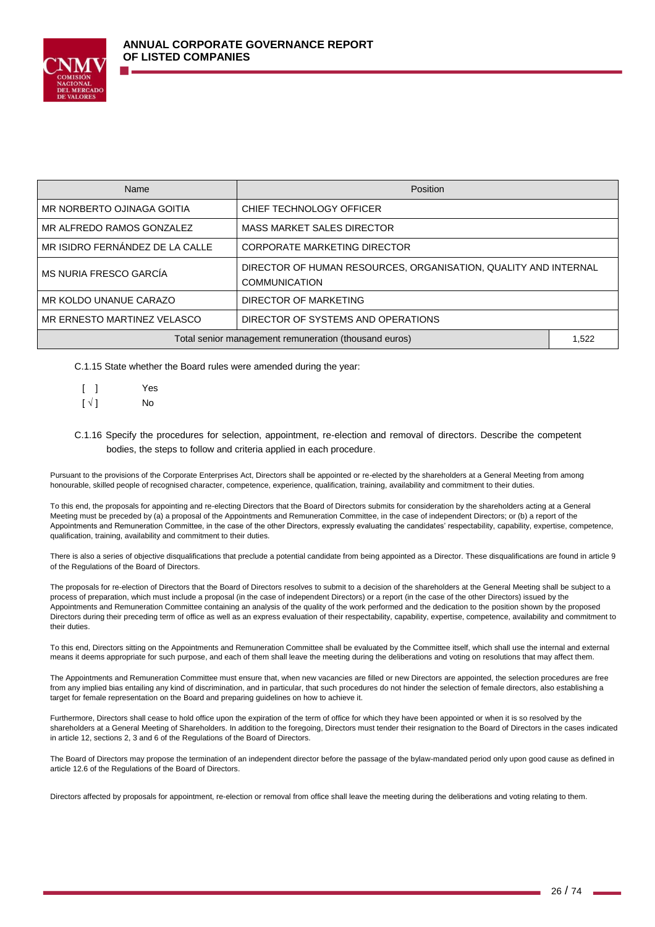

| Name                                                  | Position                                                                                |  |  |
|-------------------------------------------------------|-----------------------------------------------------------------------------------------|--|--|
| MR NORBERTO OJINAGA GOITIA                            | CHIEF TECHNOLOGY OFFICER                                                                |  |  |
| MR ALFREDO RAMOS GONZALEZ                             | <b>MASS MARKET SALES DIRECTOR</b>                                                       |  |  |
| MR ISIDRO FERNANDEZ DE LA CALLE                       | <b>CORPORATE MARKETING DIRECTOR</b>                                                     |  |  |
| MS NURIA FRESCO GARCÍA                                | DIRECTOR OF HUMAN RESOURCES, ORGANISATION, QUALITY AND INTERNAL<br><b>COMMUNICATION</b> |  |  |
| MR KOLDO UNANUE CARAZO                                | DIRECTOR OF MARKETING                                                                   |  |  |
| MR ERNESTO MARTINEZ VELASCO                           | DIRECTOR OF SYSTEMS AND OPERATIONS                                                      |  |  |
| Total senior management remuneration (thousand euros) |                                                                                         |  |  |

C.1.15 State whether the Board rules were amended during the year:

|                          | Yes |
|--------------------------|-----|
| $\lceil \sqrt{1} \rceil$ | No  |

## C.1.16 Specify the procedures for selection, appointment, re-election and removal of directors. Describe the competent bodies, the steps to follow and criteria applied in each procedure.

Pursuant to the provisions of the Corporate Enterprises Act, Directors shall be appointed or re-elected by the shareholders at a General Meeting from among honourable, skilled people of recognised character, competence, experience, qualification, training, availability and commitment to their duties.

To this end, the proposals for appointing and re-electing Directors that the Board of Directors submits for consideration by the shareholders acting at a General Meeting must be preceded by (a) a proposal of the Appointments and Remuneration Committee, in the case of independent Directors; or (b) a report of the Appointments and Remuneration Committee, in the case of the other Directors, expressly evaluating the candidates' respectability, capability, expertise, competence, qualification, training, availability and commitment to their duties.

There is also a series of objective disqualifications that preclude a potential candidate from being appointed as a Director. These disqualifications are found in article 9 of the Regulations of the Board of Directors.

The proposals for re-election of Directors that the Board of Directors resolves to submit to a decision of the shareholders at the General Meeting shall be subject to a process of preparation, which must include a proposal (in the case of independent Directors) or a report (in the case of the other Directors) issued by the Appointments and Remuneration Committee containing an analysis of the quality of the work performed and the dedication to the position shown by the proposed Directors during their preceding term of office as well as an express evaluation of their respectability, capability, expertise, competence, availability and commitment to their duties.

To this end, Directors sitting on the Appointments and Remuneration Committee shall be evaluated by the Committee itself, which shall use the internal and external means it deems appropriate for such purpose, and each of them shall leave the meeting during the deliberations and voting on resolutions that may affect them.

The Appointments and Remuneration Committee must ensure that, when new vacancies are filled or new Directors are appointed, the selection procedures are free from any implied bias entailing any kind of discrimination, and in particular, that such procedures do not hinder the selection of female directors, also establishing a target for female representation on the Board and preparing guidelines on how to achieve it.

Furthermore, Directors shall cease to hold office upon the expiration of the term of office for which they have been appointed or when it is so resolved by the shareholders at a General Meeting of Shareholders. In addition to the foregoing, Directors must tender their resignation to the Board of Directors in the cases indicated in article 12, sections 2, 3 and 6 of the Regulations of the Board of Directors.

The Board of Directors may propose the termination of an independent director before the passage of the bylaw-mandated period only upon good cause as defined in article 12.6 of the Regulations of the Board of Directors.

Directors affected by proposals for appointment, re-election or removal from office shall leave the meeting during the deliberations and voting relating to them.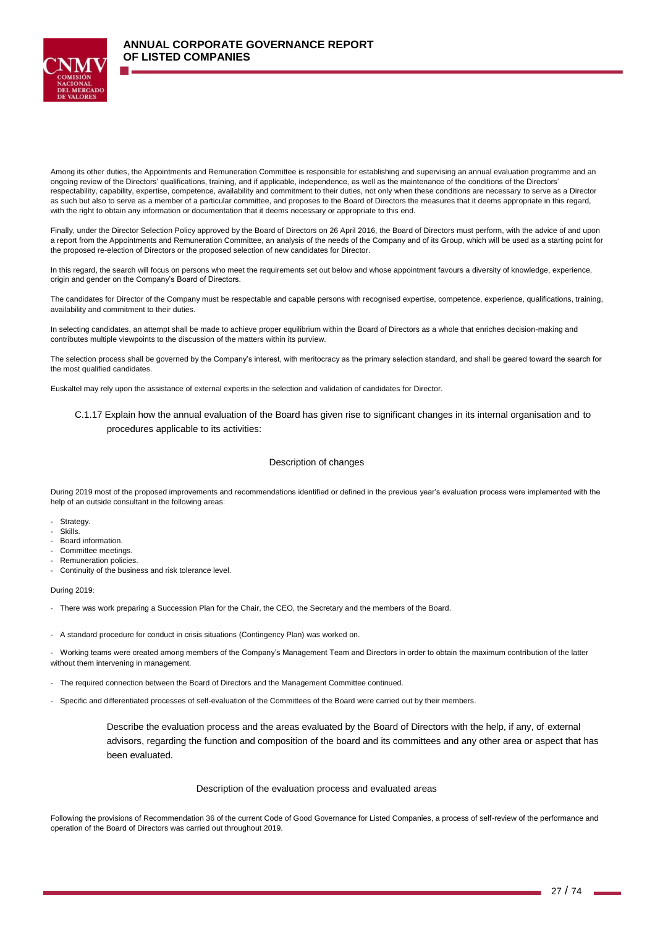

Among its other duties, the Appointments and Remuneration Committee is responsible for establishing and supervising an annual evaluation programme and an ongoing review of the Directors' qualifications, training, and if applicable, independence, as well as the maintenance of the conditions of the Directors' respectability, capability, expertise, competence, availability and commitment to their duties, not only when these conditions are necessary to serve as a Director as such but also to serve as a member of a particular committee, and proposes to the Board of Directors the measures that it deems appropriate in this regard, with the right to obtain any information or documentation that it deems necessary or appropriate to this end.

Finally, under the Director Selection Policy approved by the Board of Directors on 26 April 2016, the Board of Directors must perform, with the advice of and upon a report from the Appointments and Remuneration Committee, an analysis of the needs of the Company and of its Group, which will be used as a starting point for the proposed re-election of Directors or the proposed selection of new candidates for Director.

In this regard, the search will focus on persons who meet the requirements set out below and whose appointment favours a diversity of knowledge, experience, origin and gender on the Company's Board of Directors.

The candidates for Director of the Company must be respectable and capable persons with recognised expertise, competence, experience, qualifications, training, availability and commitment to their duties.

In selecting candidates, an attempt shall be made to achieve proper equilibrium within the Board of Directors as a whole that enriches decision-making and contributes multiple viewpoints to the discussion of the matters within its purview.

The selection process shall be governed by the Company's interest, with meritocracy as the primary selection standard, and shall be geared toward the search for the most qualified candidates.

Euskaltel may rely upon the assistance of external experts in the selection and validation of candidates for Director.

C.1.17 Explain how the annual evaluation of the Board has given rise to significant changes in its internal organisation and to procedures applicable to its activities:

#### Description of changes

During 2019 most of the proposed improvements and recommendations identified or defined in the previous year's evaluation process were implemented with the help of an outside consultant in the following areas:

- Strategy.
- Skills.
- Board information.
- Committee meetings.
- Remuneration policies.
- Continuity of the business and risk tolerance level.

During 2019:

- There was work preparing a Succession Plan for the Chair, the CEO, the Secretary and the members of the Board.

- A standard procedure for conduct in crisis situations (Contingency Plan) was worked on.

- Working teams were created among members of the Company's Management Team and Directors in order to obtain the maximum contribution of the latter without them intervening in management.

- The required connection between the Board of Directors and the Management Committee continued.

- Specific and differentiated processes of self-evaluation of the Committees of the Board were carried out by their members.

Describe the evaluation process and the areas evaluated by the Board of Directors with the help, if any, of external advisors, regarding the function and composition of the board and its committees and any other area or aspect that has been evaluated.

#### Description of the evaluation process and evaluated areas

Following the provisions of Recommendation 36 of the current Code of Good Governance for Listed Companies, a process of self-review of the performance and operation of the Board of Directors was carried out throughout 2019.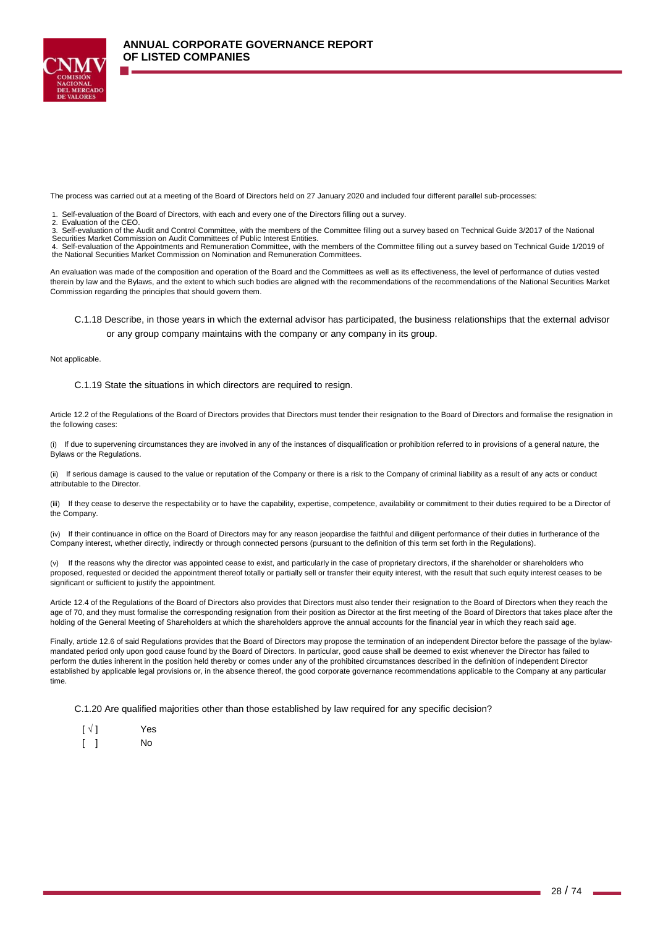

The process was carried out at a meeting of the Board of Directors held on 27 January 2020 and included four different parallel sub-processes:

- 1. Self-evaluation of the Board of Directors, with each and every one of the Directors filling out a survey.<br>2. Evaluation of the CEO.
- 2. Evaluation of the CEO.

3. Self-evaluation of the Audit and Control Committee, with the members of the Committee filling out a survey based on Technical Guide 3/2017 of the National<br>Securities Market Commission on Audit Committees of Public Inter

4. Self-evaluation of the Appointments and Remuneration Committee, with the members of the Committee filling out a survey based on Technical Guide 1/2019 of the National Securities Market Commission on Nomination and Remuneration Committees.

An evaluation was made of the composition and operation of the Board and the Committees as well as its effectiveness, the level of performance of duties vested therein by law and the Bylaws, and the extent to which such bodies are aligned with the recommendations of the recommendations of the National Securities Market Commission regarding the principles that should govern them.

C.1.18 Describe, in those years in which the external advisor has participated, the business relationships that the external advisor or any group company maintains with the company or any company in its group.

Not applicable.

#### C.1.19 State the situations in which directors are required to resign.

Article 12.2 of the Regulations of the Board of Directors provides that Directors must tender their resignation to the Board of Directors and formalise the resignation in the following cases:

(i) If due to supervening circumstances they are involved in any of the instances of disqualification or prohibition referred to in provisions of a general nature, the Bylaws or the Regulations.

(ii) If serious damage is caused to the value or reputation of the Company or there is a risk to the Company of criminal liability as a result of any acts or conduct attributable to the Director.

(iii) If they cease to deserve the respectability or to have the capability, expertise, competence, availability or commitment to their duties required to be a Director of the Company.

(iv) If their continuance in office on the Board of Directors may for any reason jeopardise the faithful and diligent performance of their duties in furtherance of the Company interest, whether directly, indirectly or through connected persons (pursuant to the definition of this term set forth in the Regulations).

(v) If the reasons why the director was appointed cease to exist, and particularly in the case of proprietary directors, if the shareholder or shareholders who proposed, requested or decided the appointment thereof totally or partially sell or transfer their equity interest, with the result that such equity interest ceases to be significant or sufficient to justify the appointment.

Article 12.4 of the Regulations of the Board of Directors also provides that Directors must also tender their resignation to the Board of Directors when they reach the age of 70, and they must formalise the corresponding resignation from their position as Director at the first meeting of the Board of Directors that takes place after the holding of the General Meeting of Shareholders at which the shareholders approve the annual accounts for the financial year in which they reach said age.

Finally, article 12.6 of said Regulations provides that the Board of Directors may propose the termination of an independent Director before the passage of the bylawmandated period only upon good cause found by the Board of Directors. In particular, good cause shall be deemed to exist whenever the Director has failed to perform the duties inherent in the position held thereby or comes under any of the prohibited circumstances described in the definition of independent Director established by applicable legal provisions or, in the absence thereof, the good corporate governance recommendations applicable to the Company at any particular time.

C.1.20 Are qualified majorities other than those established by law required for any specific decision?

| $\lceil \sqrt{} \rceil$ | Yes |
|-------------------------|-----|
|                         | No  |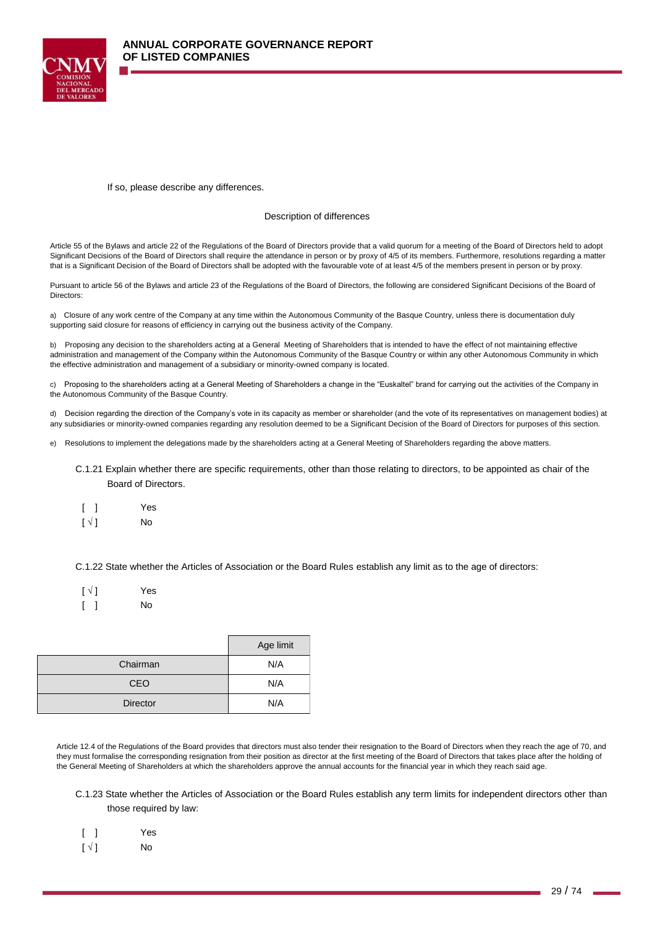

#### If so, please describe any differences.

#### Description of differences

Article 55 of the Bylaws and article 22 of the Regulations of the Board of Directors provide that a valid quorum for a meeting of the Board of Directors held to adopt Significant Decisions of the Board of Directors shall require the attendance in person or by proxy of 4/5 of its members. Furthermore, resolutions regarding a matter that is a Significant Decision of the Board of Directors shall be adopted with the favourable vote of at least 4/5 of the members present in person or by proxy.

Pursuant to article 56 of the Bylaws and article 23 of the Regulations of the Board of Directors, the following are considered Significant Decisions of the Board of Directors:

a) Closure of any work centre of the Company at any time within the Autonomous Community of the Basque Country, unless there is documentation duly supporting said closure for reasons of efficiency in carrying out the business activity of the Company.

b) Proposing any decision to the shareholders acting at a General Meeting of Shareholders that is intended to have the effect of not maintaining effective administration and management of the Company within the Autonomous Community of the Basque Country or within any other Autonomous Community in which the effective administration and management of a subsidiary or minority-owned company is located.

c) Proposing to the shareholders acting at a General Meeting of Shareholders a change in the "Euskaltel" brand for carrying out the activities of the Company in the Autonomous Community of the Basque Country.

d) Decision regarding the direction of the Company's vote in its capacity as member or shareholder (and the vote of its representatives on management bodies) at any subsidiaries or minority-owned companies regarding any resolution deemed to be a Significant Decision of the Board of Directors for purposes of this section.

- e) Resolutions to implement the delegations made by the shareholders acting at a General Meeting of Shareholders regarding the above matters.
	- C.1.21 Explain whether there are specific requirements, other than those relating to directors, to be appointed as chair of the Board of Directors.
	- [ ] Yes
	- $\lceil \sqrt{} \rceil$  No

C.1.22 State whether the Articles of Association or the Board Rules establish any limit as to the age of directors:

| $\lceil \sqrt{1} \rceil$ | Yes |
|--------------------------|-----|
|                          | No  |

|                 | Age limit |
|-----------------|-----------|
| Chairman        | N/A       |
| <b>CEO</b>      | N/A       |
| <b>Director</b> | N/A       |

Article 12.4 of the Regulations of the Board provides that directors must also tender their resignation to the Board of Directors when they reach the age of 70, and they must formalise the corresponding resignation from their position as director at the first meeting of the Board of Directors that takes place after the holding of the General Meeting of Shareholders at which the shareholders approve the annual accounts for the financial year in which they reach said age.

C.1.23 State whether the Articles of Association or the Board Rules establish any term limits for independent directors other than those required by law:

|                          | Yes |
|--------------------------|-----|
| $\lceil \sqrt{1} \rceil$ | No  |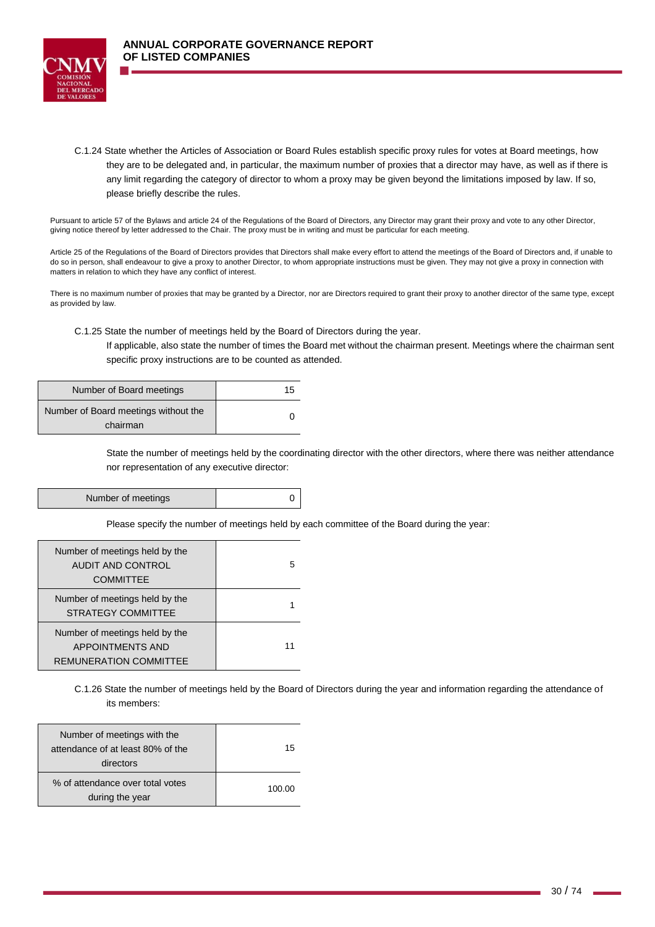

C.1.24 State whether the Articles of Association or Board Rules establish specific proxy rules for votes at Board meetings, how they are to be delegated and, in particular, the maximum number of proxies that a director may have, as well as if there is any limit regarding the category of director to whom a proxy may be given beyond the limitations imposed by law. If so, please briefly describe the rules.

Pursuant to article 57 of the Bylaws and article 24 of the Regulations of the Board of Directors, any Director may grant their proxy and vote to any other Director, giving notice thereof by letter addressed to the Chair. The proxy must be in writing and must be particular for each meeting.

Article 25 of the Regulations of the Board of Directors provides that Directors shall make every effort to attend the meetings of the Board of Directors and, if unable to do so in person, shall endeavour to give a proxy to another Director, to whom appropriate instructions must be given. They may not give a proxy in connection with matters in relation to which they have any conflict of interest.

There is no maximum number of proxies that may be granted by a Director, nor are Directors required to grant their proxy to another director of the same type, except as provided by law.

C.1.25 State the number of meetings held by the Board of Directors during the year.

If applicable, also state the number of times the Board met without the chairman present. Meetings where the chairman sent specific proxy instructions are to be counted as attended.

| Number of Board meetings                         | 15 |
|--------------------------------------------------|----|
| Number of Board meetings without the<br>chairman |    |

State the number of meetings held by the coordinating director with the other directors, where there was neither attendance nor representation of any executive director:

Number of meetings and a set of  $\sim$  0

Please specify the number of meetings held by each committee of the Board during the year:

| Number of meetings held by the<br><b>AUDIT AND CONTROL</b><br><b>COMMITTEE</b>             | 5 |
|--------------------------------------------------------------------------------------------|---|
| Number of meetings held by the<br><b>STRATEGY COMMITTEE</b>                                |   |
| Number of meetings held by the<br><b>APPOINTMENTS AND</b><br><b>REMUNERATION COMMITTEE</b> |   |

C.1.26 State the number of meetings held by the Board of Directors during the year and information regarding the attendance of its members:

| Number of meetings with the<br>attendance of at least 80% of the<br>directors | 15     |
|-------------------------------------------------------------------------------|--------|
| % of attendance over total votes<br>during the year                           | 100.00 |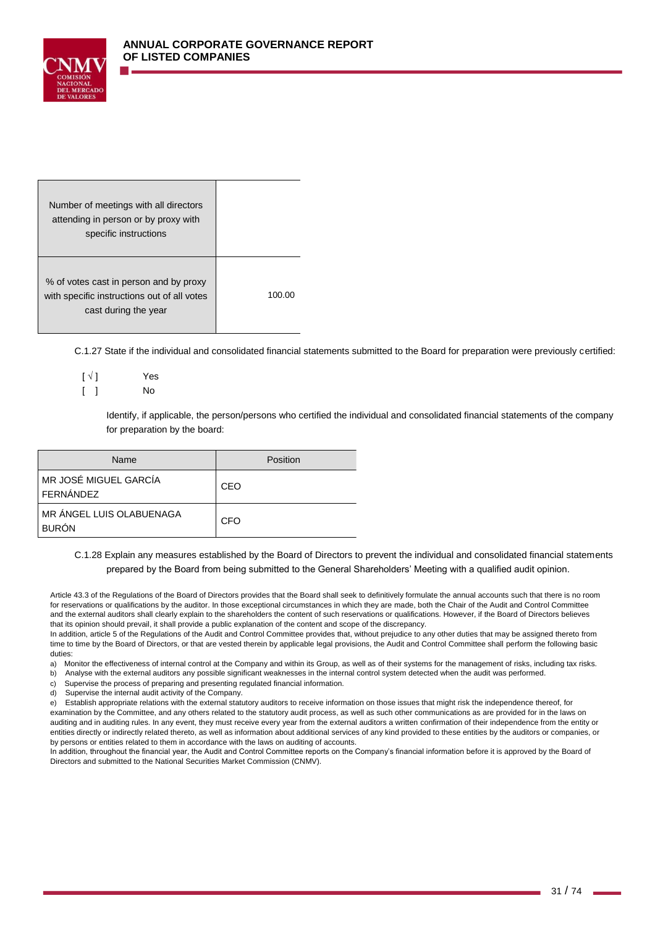

| Number of meetings with all directors<br>attending in person or by proxy with<br>specific instructions        |       |
|---------------------------------------------------------------------------------------------------------------|-------|
| % of votes cast in person and by proxy<br>with specific instructions out of all votes<br>cast during the year | 100.0 |

C.1.27 State if the individual and consolidated financial statements submitted to the Board for preparation were previously certified:

| $\lceil \sqrt{1} \rceil$ | Yes |
|--------------------------|-----|
|                          | No  |

Identify, if applicable, the person/persons who certified the individual and consolidated financial statements of the company for preparation by the board:

| Name                                     | Position |
|------------------------------------------|----------|
| MR JOSÉ MIGUEL GARCÍA<br>l FERNÁNDEZ     | CEO      |
| MR ÁNGEL LUIS OLABUENAGA<br><b>BURÓN</b> | CFO      |

C.1.28 Explain any measures established by the Board of Directors to prevent the individual and consolidated financial statements prepared by the Board from being submitted to the General Shareholders' Meeting with a qualified audit opinion.

Article 43.3 of the Regulations of the Board of Directors provides that the Board shall seek to definitively formulate the annual accounts such that there is no room for reservations or qualifications by the auditor. In those exceptional circumstances in which they are made, both the Chair of the Audit and Control Committee and the external auditors shall clearly explain to the shareholders the content of such reservations or qualifications. However, if the Board of Directors believes that its opinion should prevail, it shall provide a public explanation of the content and scope of the discrepancy.

In addition, article 5 of the Regulations of the Audit and Control Committee provides that, without prejudice to any other duties that may be assigned thereto from time to time by the Board of Directors, or that are vested therein by applicable legal provisions, the Audit and Control Committee shall perform the following basic duties:

a) Monitor the effectiveness of internal control at the Company and within its Group, as well as of their systems for the management of risks, including tax risks.

- b) Analyse with the external auditors any possible significant weaknesses in the internal control system detected when the audit was performed.
- c) Supervise the process of preparing and presenting regulated financial information.
- d) Supervise the internal audit activity of the Company.

e) Establish appropriate relations with the external statutory auditors to receive information on those issues that might risk the independence thereof, for examination by the Committee, and any others related to the statutory audit process, as well as such other communications as are provided for in the laws on auditing and in auditing rules. In any event, they must receive every year from the external auditors a written confirmation of their independence from the entity or entities directly or indirectly related thereto, as well as information about additional services of any kind provided to these entities by the auditors or companies, or by persons or entities related to them in accordance with the laws on auditing of accounts.

In addition, throughout the financial year, the Audit and Control Committee reports on the Company's financial information before it is approved by the Board of Directors and submitted to the National Securities Market Commission (CNMV).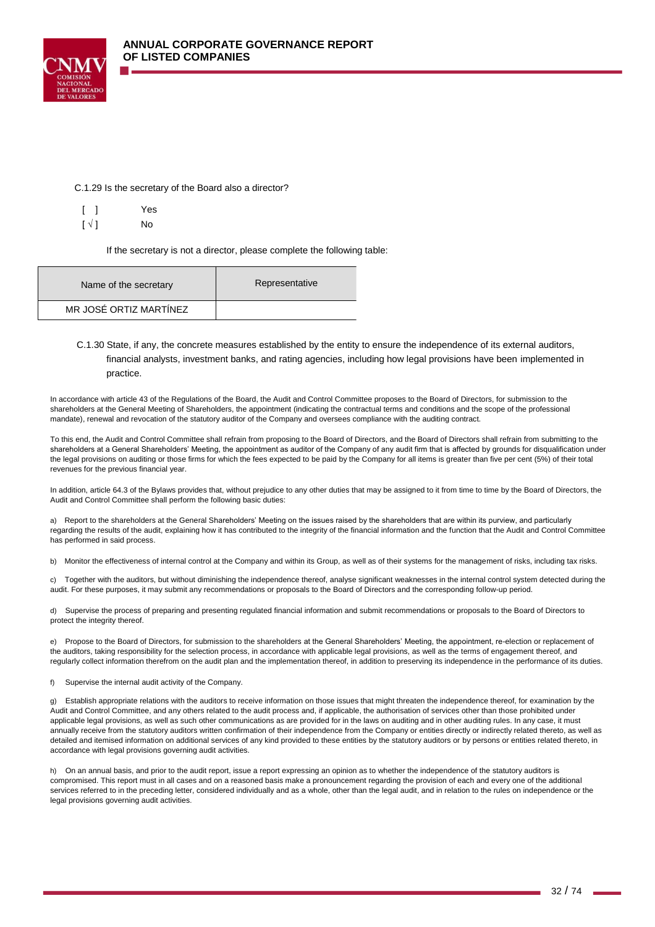



|                          | Yes |
|--------------------------|-----|
| $\lceil \sqrt{1} \rceil$ | No  |

If the secretary is not a director, please complete the following table:

| Name of the secretary  | Representative |
|------------------------|----------------|
| MR JOSÉ ORTIZ MARTÍNEZ |                |

## C.1.30 State, if any, the concrete measures established by the entity to ensure the independence of its external auditors, financial analysts, investment banks, and rating agencies, including how legal provisions have been implemented in practice.

In accordance with article 43 of the Regulations of the Board, the Audit and Control Committee proposes to the Board of Directors, for submission to the shareholders at the General Meeting of Shareholders, the appointment (indicating the contractual terms and conditions and the scope of the professional mandate), renewal and revocation of the statutory auditor of the Company and oversees compliance with the auditing contract.

To this end, the Audit and Control Committee shall refrain from proposing to the Board of Directors, and the Board of Directors shall refrain from submitting to the shareholders at a General Shareholders' Meeting, the appointment as auditor of the Company of any audit firm that is affected by grounds for disqualification under the legal provisions on auditing or those firms for which the fees expected to be paid by the Company for all items is greater than five per cent (5%) of their total revenues for the previous financial year.

In addition, article 64.3 of the Bylaws provides that, without prejudice to any other duties that may be assigned to it from time to time by the Board of Directors, the Audit and Control Committee shall perform the following basic duties:

a) Report to the shareholders at the General Shareholders' Meeting on the issues raised by the shareholders that are within its purview, and particularly regarding the results of the audit, explaining how it has contributed to the integrity of the financial information and the function that the Audit and Control Committee has performed in said process.

b) Monitor the effectiveness of internal control at the Company and within its Group, as well as of their systems for the management of risks, including tax risks.

c) Together with the auditors, but without diminishing the independence thereof, analyse significant weaknesses in the internal control system detected during the audit. For these purposes, it may submit any recommendations or proposals to the Board of Directors and the corresponding follow-up period.

d) Supervise the process of preparing and presenting regulated financial information and submit recommendations or proposals to the Board of Directors to protect the integrity thereof.

Propose to the Board of Directors, for submission to the shareholders at the General Shareholders' Meeting, the appointment, re-election or replacement of the auditors, taking responsibility for the selection process, in accordance with applicable legal provisions, as well as the terms of engagement thereof, and regularly collect information therefrom on the audit plan and the implementation thereof, in addition to preserving its independence in the performance of its duties.

f) Supervise the internal audit activity of the Company.

g) Establish appropriate relations with the auditors to receive information on those issues that might threaten the independence thereof, for examination by the Audit and Control Committee, and any others related to the audit process and, if applicable, the authorisation of services other than those prohibited under applicable legal provisions, as well as such other communications as are provided for in the laws on auditing and in other auditing rules. In any case, it must annually receive from the statutory auditors written confirmation of their independence from the Company or entities directly or indirectly related thereto, as well as detailed and itemised information on additional services of any kind provided to these entities by the statutory auditors or by persons or entities related thereto, in accordance with legal provisions governing audit activities.

h) On an annual basis, and prior to the audit report, issue a report expressing an opinion as to whether the independence of the statutory auditors is compromised. This report must in all cases and on a reasoned basis make a pronouncement regarding the provision of each and every one of the additional services referred to in the preceding letter, considered individually and as a whole, other than the legal audit, and in relation to the rules on independence or the legal provisions governing audit activities.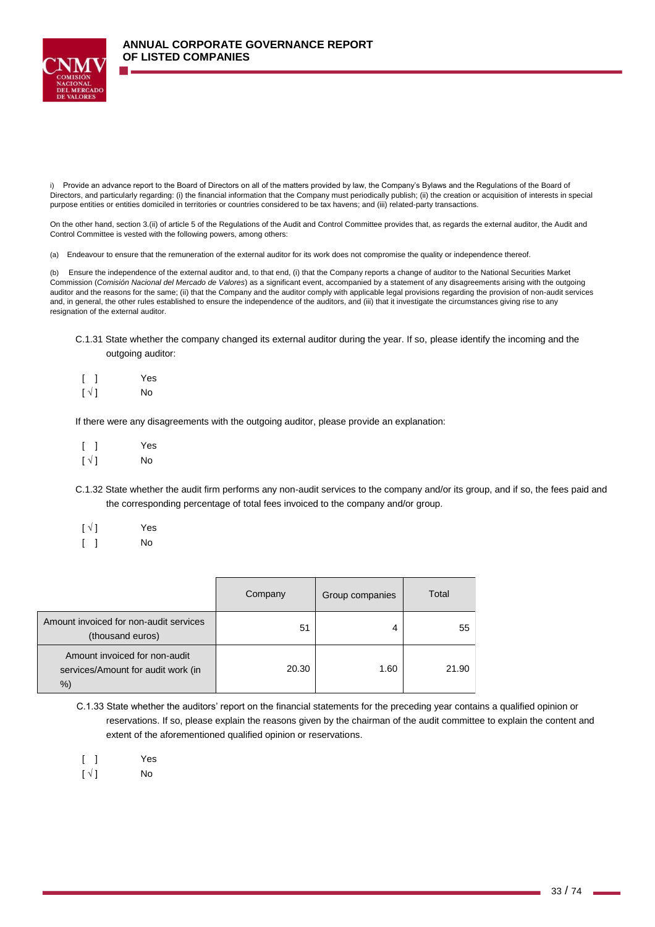

i) Provide an advance report to the Board of Directors on all of the matters provided by law, the Company's Bylaws and the Regulations of the Board of Directors, and particularly regarding: (i) the financial information that the Company must periodically publish; (ii) the creation or acquisition of interests in special purpose entities or entities domiciled in territories or countries considered to be tax havens; and (iii) related-party transactions.

On the other hand, section 3.(ii) of article 5 of the Regulations of the Audit and Control Committee provides that, as regards the external auditor, the Audit and Control Committee is vested with the following powers, among others:

(a) Endeavour to ensure that the remuneration of the external auditor for its work does not compromise the quality or independence thereof.

(b) Ensure the independence of the external auditor and, to that end, (i) that the Company reports a change of auditor to the National Securities Market Commission (*Comisión Nacional del Mercado de Valores*) as a significant event, accompanied by a statement of any disagreements arising with the outgoing auditor and the reasons for the same; (ii) that the Company and the auditor comply with applicable legal provisions regarding the provision of non-audit services and, in general, the other rules established to ensure the independence of the auditors, and (iii) that it investigate the circumstances giving rise to any resignation of the external auditor.

- C.1.31 State whether the company changed its external auditor during the year. If so, please identify the incoming and the outgoing auditor:
	- [ ] Yes
- $\lceil \sqrt{ } \rceil$  No

If there were any disagreements with the outgoing auditor, please provide an explanation:

- [ ] Yes  $\lceil \sqrt{} \rceil$  No
- C.1.32 State whether the audit firm performs any non-audit services to the company and/or its group, and if so, the fees paid and the corresponding percentage of total fees invoiced to the company and/or group.
- $[\sqrt{]}$  Yes [ ] No

|                                                                          | Company | Group companies | Total |
|--------------------------------------------------------------------------|---------|-----------------|-------|
| Amount invoiced for non-audit services<br>(thousand euros)               | 51      | 4               | 55    |
| Amount invoiced for non-audit<br>services/Amount for audit work (in<br>% | 20.30   | 1.60            | 21.90 |

C.1.33 State whether the auditors' report on the financial statements for the preceding year contains a qualified opinion or reservations. If so, please explain the reasons given by the chairman of the audit committee to explain the content and extent of the aforementioned qualified opinion or reservations.

[ ] Yes

 $[\sqrt{]}$  No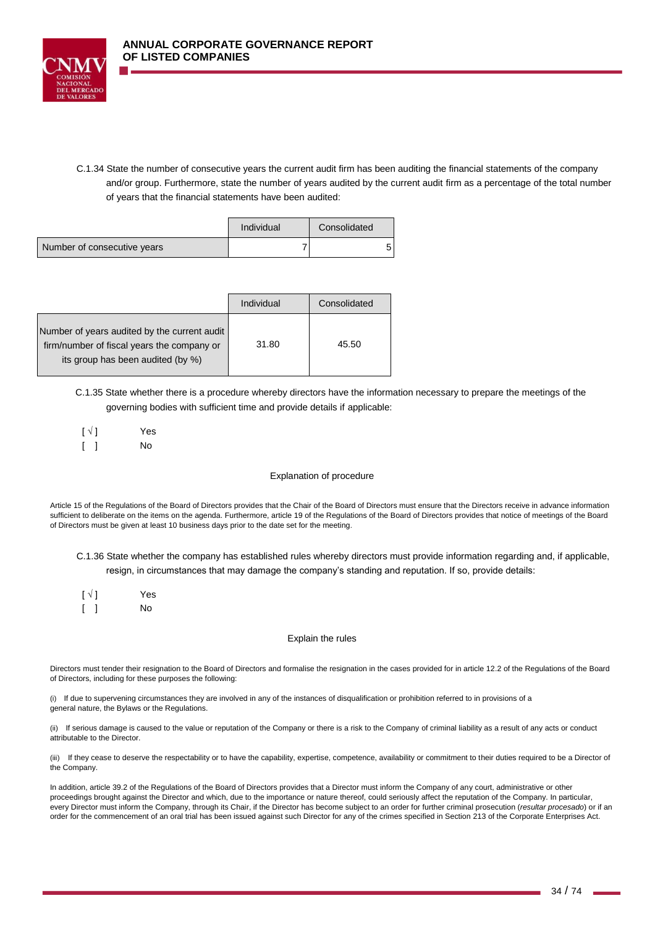

C.1.34 State the number of consecutive years the current audit firm has been auditing the financial statements of the company and/or group. Furthermore, state the number of years audited by the current audit firm as a percentage of the total number of years that the financial statements have been audited:

|                             | Individual | Consolidated |  |
|-----------------------------|------------|--------------|--|
| Number of consecutive years |            |              |  |

|                                                                                                                                 | Individual | Consolidated |
|---------------------------------------------------------------------------------------------------------------------------------|------------|--------------|
| Number of years audited by the current audit<br>firm/number of fiscal years the company or<br>its group has been audited (by %) | 31.80      | 45.50        |

C.1.35 State whether there is a procedure whereby directors have the information necessary to prepare the meetings of the governing bodies with sufficient time and provide details if applicable:

| $\lceil \sqrt{1} \rceil$ | Yes       |
|--------------------------|-----------|
|                          | <b>No</b> |

### Explanation of procedure

Article 15 of the Regulations of the Board of Directors provides that the Chair of the Board of Directors must ensure that the Directors receive in advance information sufficient to deliberate on the items on the agenda. Furthermore, article 19 of the Regulations of the Board of Directors provides that notice of meetings of the Board of Directors must be given at least 10 business days prior to the date set for the meeting.

C.1.36 State whether the company has established rules whereby directors must provide information regarding and, if applicable, resign, in circumstances that may damage the company's standing and reputation. If so, provide details:

| $\lceil \sqrt{1} \rceil$ | Yes |
|--------------------------|-----|
|                          | No. |

### Explain the rules

Directors must tender their resignation to the Board of Directors and formalise the resignation in the cases provided for in article 12.2 of the Regulations of the Board of Directors, including for these purposes the following:

(i) If due to supervening circumstances they are involved in any of the instances of disqualification or prohibition referred to in provisions of a general nature, the Bylaws or the Regulations.

(ii) If serious damage is caused to the value or reputation of the Company or there is a risk to the Company of criminal liability as a result of any acts or conduct attributable to the Director.

(iii) If they cease to deserve the respectability or to have the capability, expertise, competence, availability or commitment to their duties required to be a Director of the Company.

In addition, article 39.2 of the Regulations of the Board of Directors provides that a Director must inform the Company of any court, administrative or other proceedings brought against the Director and which, due to the importance or nature thereof, could seriously affect the reputation of the Company. In particular, every Director must inform the Company, through its Chair, if the Director has become subject to an order for further criminal prosecution (*resultar procesado*) or if an order for the commencement of an oral trial has been issued against such Director for any of the crimes specified in Section 213 of the Corporate Enterprises Act.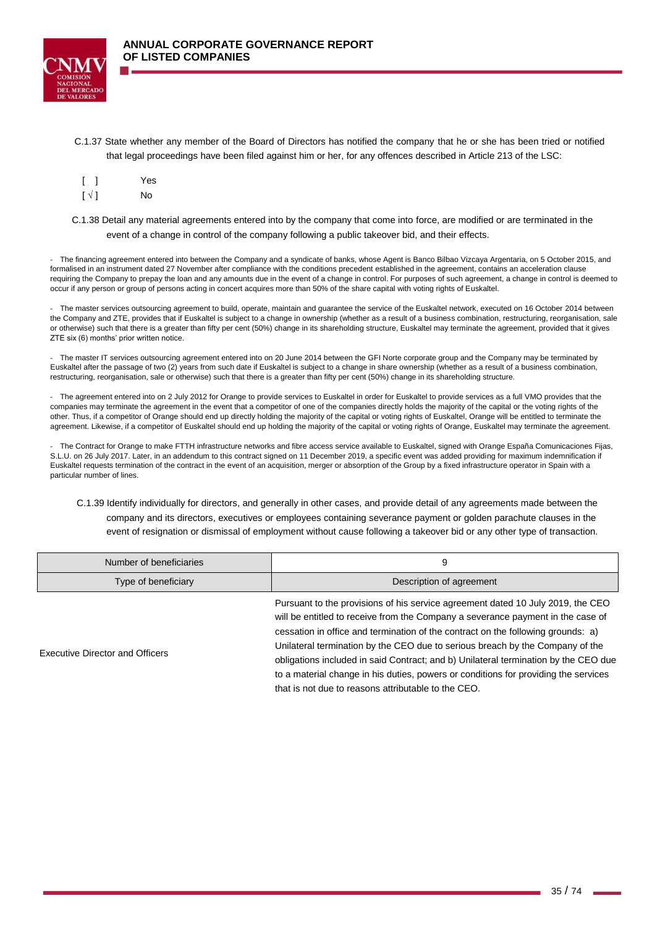

C.1.37 State whether any member of the Board of Directors has notified the company that he or she has been tried or notified that legal proceedings have been filed against him or her, for any offences described in Article 213 of the LSC:

|                          | Yes |
|--------------------------|-----|
| $\lceil \sqrt{1} \rceil$ | No  |

C.1.38 Detail any material agreements entered into by the company that come into force, are modified or are terminated in the event of a change in control of the company following a public takeover bid, and their effects.

The financing agreement entered into between the Company and a syndicate of banks, whose Agent is Banco Bilbao Vizcaya Argentaria, on 5 October 2015, and formalised in an instrument dated 27 November after compliance with the conditions precedent established in the agreement, contains an acceleration clause requiring the Company to prepay the loan and any amounts due in the event of a change in control. For purposes of such agreement, a change in control is deemed to occur if any person or group of persons acting in concert acquires more than 50% of the share capital with voting rights of Euskaltel.

- The master services outsourcing agreement to build, operate, maintain and guarantee the service of the Euskaltel network, executed on 16 October 2014 between the Company and ZTE, provides that if Euskaltel is subject to a change in ownership (whether as a result of a business combination, restructuring, reorganisation, sale or otherwise) such that there is a greater than fifty per cent (50%) change in its shareholding structure, Euskaltel may terminate the agreement, provided that it gives ZTE six (6) months' prior written notice.

- The master IT services outsourcing agreement entered into on 20 June 2014 between the GFI Norte corporate group and the Company may be terminated by Euskaltel after the passage of two (2) years from such date if Euskaltel is subject to a change in share ownership (whether as a result of a business combination, restructuring, reorganisation, sale or otherwise) such that there is a greater than fifty per cent (50%) change in its shareholding structure.

- The agreement entered into on 2 July 2012 for Orange to provide services to Euskaltel in order for Euskaltel to provide services as a full VMO provides that the companies may terminate the agreement in the event that a competitor of one of the companies directly holds the majority of the capital or the voting rights of the other. Thus, if a competitor of Orange should end up directly holding the majority of the capital or voting rights of Euskaltel, Orange will be entitled to terminate the agreement. Likewise, if a competitor of Euskaltel should end up holding the majority of the capital or voting rights of Orange, Euskaltel may terminate the agreement.

- The Contract for Orange to make FTTH infrastructure networks and fibre access service available to Euskaltel, signed with Orange España Comunicaciones Fijas, S.L.U. on 26 July 2017. Later, in an addendum to this contract signed on 11 December 2019, a specific event was added providing for maximum indemnification if Euskaltel requests termination of the contract in the event of an acquisition, merger or absorption of the Group by a fixed infrastructure operator in Spain with a particular number of lines.

C.1.39 Identify individually for directors, and generally in other cases, and provide detail of any agreements made between the company and its directors, executives or employees containing severance payment or golden parachute clauses in the event of resignation or dismissal of employment without cause following a takeover bid or any other type of transaction.

| Number of beneficiaries                | 9                                                                                                                                                                                                                                                      |  |
|----------------------------------------|--------------------------------------------------------------------------------------------------------------------------------------------------------------------------------------------------------------------------------------------------------|--|
| Type of beneficiary                    | Description of agreement                                                                                                                                                                                                                               |  |
|                                        | Pursuant to the provisions of his service agreement dated 10 July 2019, the CEO<br>will be entitled to receive from the Company a severance payment in the case of<br>cessation in office and termination of the contract on the following grounds: a) |  |
| <b>Executive Director and Officers</b> | Unilateral termination by the CEO due to serious breach by the Company of the<br>obligations included in said Contract: and b) Unilateral termination by the CEO due                                                                                   |  |

obligations included in said Contract; and b) Unilateral termination by the CEO due to a material change in his duties, powers or conditions for providing the services that is not due to reasons attributable to the CEO.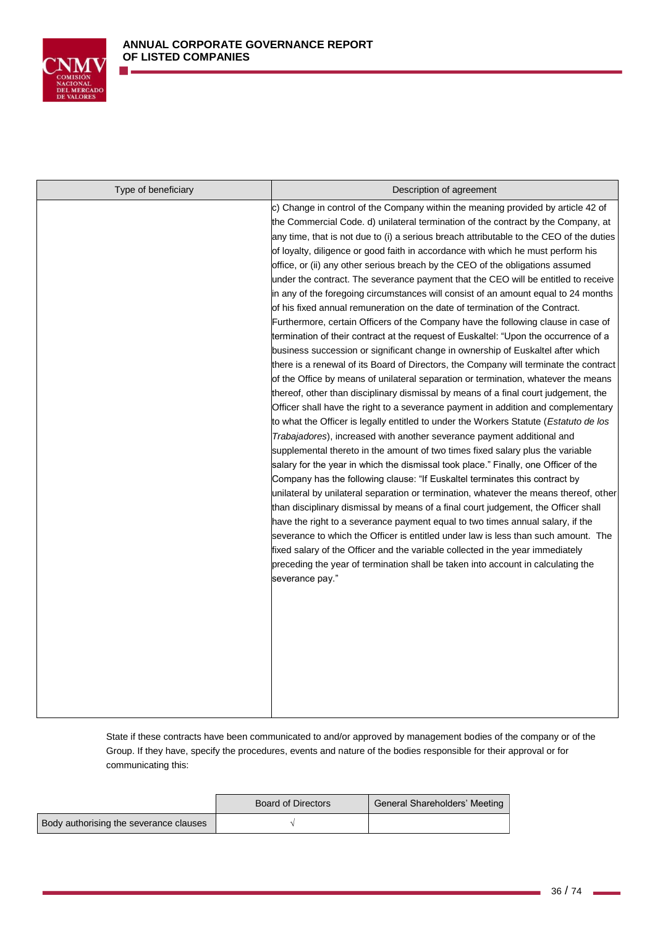

| Type of beneficiary | Description of agreement                                                                                                                                                                                                                                                                                                                                                                                                                                                                                                                                                                                                                                                                                                                                                                                                                                                                                                                                                                                                                                                                                                                                                                                                                                                                                                                                                                                                                                                                                                                                                                                                                                                                                                                                                                                                                                                                                                                                                                                                                                                                                                                                                                                                                                                                                         |
|---------------------|------------------------------------------------------------------------------------------------------------------------------------------------------------------------------------------------------------------------------------------------------------------------------------------------------------------------------------------------------------------------------------------------------------------------------------------------------------------------------------------------------------------------------------------------------------------------------------------------------------------------------------------------------------------------------------------------------------------------------------------------------------------------------------------------------------------------------------------------------------------------------------------------------------------------------------------------------------------------------------------------------------------------------------------------------------------------------------------------------------------------------------------------------------------------------------------------------------------------------------------------------------------------------------------------------------------------------------------------------------------------------------------------------------------------------------------------------------------------------------------------------------------------------------------------------------------------------------------------------------------------------------------------------------------------------------------------------------------------------------------------------------------------------------------------------------------------------------------------------------------------------------------------------------------------------------------------------------------------------------------------------------------------------------------------------------------------------------------------------------------------------------------------------------------------------------------------------------------------------------------------------------------------------------------------------------------|
|                     | c) Change in control of the Company within the meaning provided by article 42 of<br>the Commercial Code. d) unilateral termination of the contract by the Company, at<br>any time, that is not due to (i) a serious breach attributable to the CEO of the duties<br>of loyalty, diligence or good faith in accordance with which he must perform his<br>office, or (ii) any other serious breach by the CEO of the obligations assumed<br>under the contract. The severance payment that the CEO will be entitled to receive<br>in any of the foregoing circumstances will consist of an amount equal to 24 months<br>of his fixed annual remuneration on the date of termination of the Contract.<br>Furthermore, certain Officers of the Company have the following clause in case of<br>termination of their contract at the request of Euskaltel: "Upon the occurrence of a<br>business succession or significant change in ownership of Euskaltel after which<br>there is a renewal of its Board of Directors, the Company will terminate the contract<br>of the Office by means of unilateral separation or termination, whatever the means<br>thereof, other than disciplinary dismissal by means of a final court judgement, the<br>Officer shall have the right to a severance payment in addition and complementary<br>to what the Officer is legally entitled to under the Workers Statute (Estatuto de los<br><i>Trabajadores</i> ), increased with another severance payment additional and<br>supplemental thereto in the amount of two times fixed salary plus the variable<br>salary for the year in which the dismissal took place." Finally, one Officer of the<br>Company has the following clause: "If Euskaltel terminates this contract by<br>unilateral by unilateral separation or termination, whatever the means thereof, other<br>than disciplinary dismissal by means of a final court judgement, the Officer shall<br>have the right to a severance payment equal to two times annual salary, if the<br>severance to which the Officer is entitled under law is less than such amount. The<br>fixed salary of the Officer and the variable collected in the year immediately<br>preceding the year of termination shall be taken into account in calculating the<br>severance pay." |

State if these contracts have been communicated to and/or approved by management bodies of the company or of the Group. If they have, specify the procedures, events and nature of the bodies responsible for their approval or for communicating this:

|                                        | Board of Directors | General Shareholders' Meeting |
|----------------------------------------|--------------------|-------------------------------|
| Body authorising the severance clauses |                    |                               |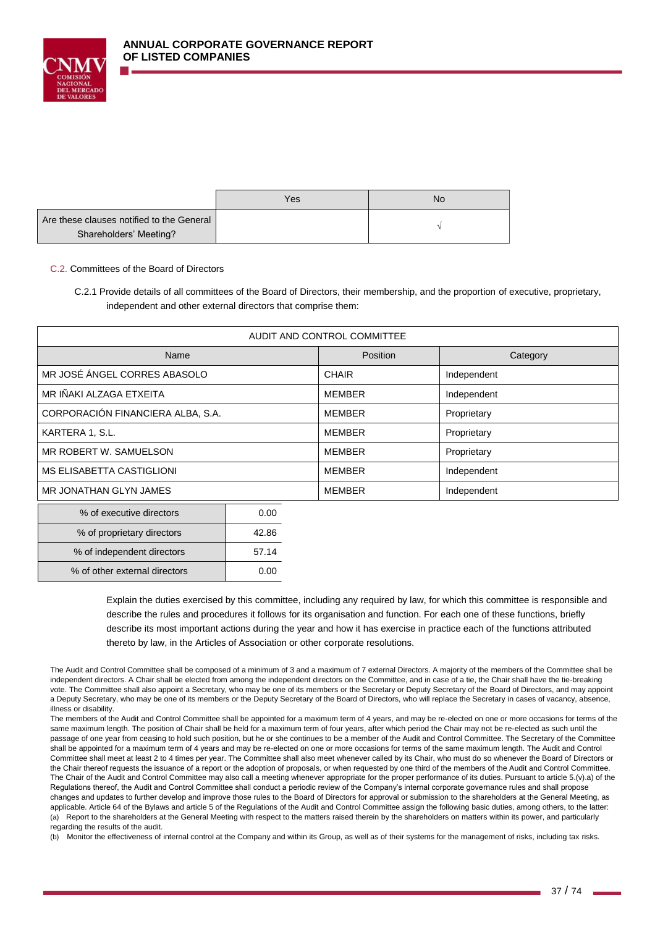

|                                           | Yes | No |
|-------------------------------------------|-----|----|
| Are these clauses notified to the General |     |    |
| Shareholders' Meeting?                    |     |    |

## C.2. Committees of the Board of Directors

% of independent directors 1 57.14 % of other external directors  $\vert$  0.00

C.2.1 Provide details of all committees of the Board of Directors, their membership, and the proportion of executive, proprietary, independent and other external directors that comprise them:

| AUDIT AND CONTROL COMMITTEE         |  |                 |               |             |
|-------------------------------------|--|-----------------|---------------|-------------|
| Name                                |  | <b>Position</b> | Category      |             |
| MR JOSÉ ÁNGEL CORRES ABASOLO        |  |                 | <b>CHAIR</b>  | Independent |
| MR IÑAKI ALZAGA ETXEITA             |  |                 | <b>MEMBER</b> | Independent |
| CORPORACIÓN FINANCIERA ALBA, S.A.   |  | <b>MEMBER</b>   | Proprietary   |             |
| KARTERA 1, S.L.                     |  |                 | <b>MEMBER</b> | Proprietary |
| MR ROBERT W. SAMUELSON              |  |                 | <b>MEMBER</b> | Proprietary |
| <b>MS ELISABETTA CASTIGLIONI</b>    |  |                 | <b>MEMBER</b> | Independent |
| MR JONATHAN GLYN JAMES              |  | <b>MEMBER</b>   | Independent   |             |
| 0.00<br>% of executive directors    |  |                 |               |             |
| 42.86<br>% of proprietary directors |  |                 |               |             |

Explain the duties exercised by this committee, including any required by law, for which this committee is responsible and describe the rules and procedures it follows for its organisation and function. For each one of these functions, briefly describe its most important actions during the year and how it has exercise in practice each of the functions attributed thereto by law, in the Articles of Association or other corporate resolutions.

The Audit and Control Committee shall be composed of a minimum of 3 and a maximum of 7 external Directors. A majority of the members of the Committee shall be independent directors. A Chair shall be elected from among the independent directors on the Committee, and in case of a tie, the Chair shall have the tie-breaking vote. The Committee shall also appoint a Secretary, who may be one of its members or the Secretary or Deputy Secretary of the Board of Directors, and may appoint a Deputy Secretary, who may be one of its members or the Deputy Secretary of the Board of Directors, who will replace the Secretary in cases of vacancy, absence, illness or disability.

The members of the Audit and Control Committee shall be appointed for a maximum term of 4 years, and may be re-elected on one or more occasions for terms of the same maximum length. The position of Chair shall be held for a maximum term of four years, after which period the Chair may not be re-elected as such until the passage of one year from ceasing to hold such position, but he or she continues to be a member of the Audit and Control Committee. The Secretary of the Committee shall be appointed for a maximum term of 4 years and may be re-elected on one or more occasions for terms of the same maximum length. The Audit and Control Committee shall meet at least 2 to 4 times per year. The Committee shall also meet whenever called by its Chair, who must do so whenever the Board of Directors or the Chair thereof requests the issuance of a report or the adoption of proposals, or when requested by one third of the members of the Audit and Control Committee. The Chair of the Audit and Control Committee may also call a meeting whenever appropriate for the proper performance of its duties. Pursuant to article 5.(v).a) of the Regulations thereof, the Audit and Control Committee shall conduct a periodic review of the Company's internal corporate governance rules and shall propose changes and updates to further develop and improve those rules to the Board of Directors for approval or submission to the shareholders at the General Meeting, as applicable. Article 64 of the Bylaws and article 5 of the Regulations of the Audit and Control Committee assign the following basic duties, among others, to the latter: (a) Report to the shareholders at the General Meeting with respect to the matters raised therein by the shareholders on matters within its power, and particularly regarding the results of the audit.

(b) Monitor the effectiveness of internal control at the Company and within its Group, as well as of their systems for the management of risks, including tax risks.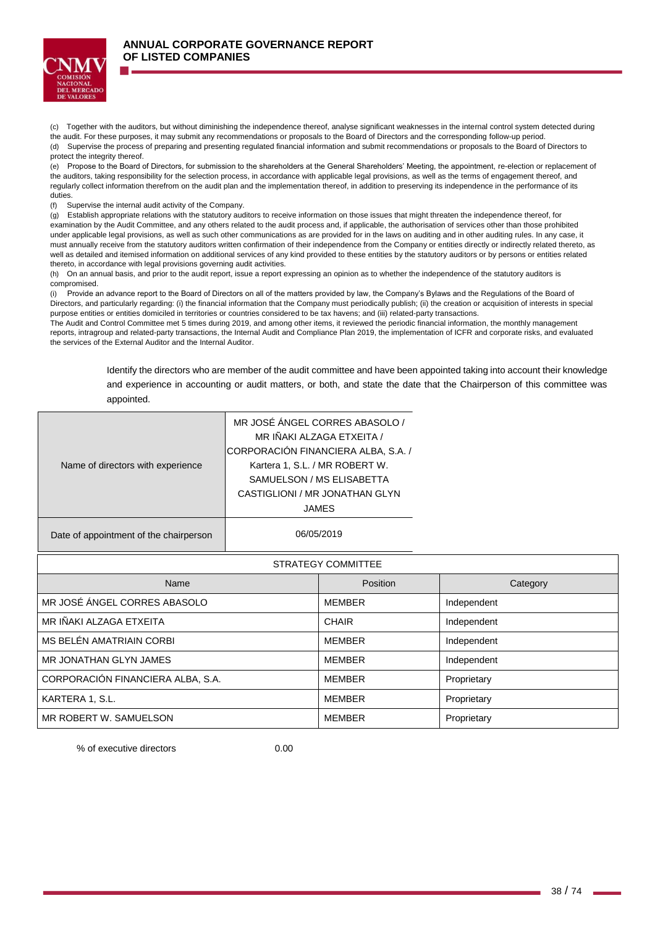

⊤

(c) Together with the auditors, but without diminishing the independence thereof, analyse significant weaknesses in the internal control system detected during the audit. For these purposes, it may submit any recommendations or proposals to the Board of Directors and the corresponding follow-up period. (d) Supervise the process of preparing and presenting regulated financial information and submit recommendations or proposals to the Board of Directors to protect the integrity thereof.

(e) Propose to the Board of Directors, for submission to the shareholders at the General Shareholders' Meeting, the appointment, re-election or replacement of the auditors, taking responsibility for the selection process, in accordance with applicable legal provisions, as well as the terms of engagement thereof, and regularly collect information therefrom on the audit plan and the implementation thereof, in addition to preserving its independence in the performance of its duties.

(f) Supervise the internal audit activity of the Company.

(g) Establish appropriate relations with the statutory auditors to receive information on those issues that might threaten the independence thereof, for examination by the Audit Committee, and any others related to the audit process and, if applicable, the authorisation of services other than those prohibited under applicable legal provisions, as well as such other communications as are provided for in the laws on auditing and in other auditing rules. In any case, it must annually receive from the statutory auditors written confirmation of their independence from the Company or entities directly or indirectly related thereto, as well as detailed and itemised information on additional services of any kind provided to these entities by the statutory auditors or by persons or entities related thereto, in accordance with legal provisions governing audit activities.

(h) On an annual basis, and prior to the audit report, issue a report expressing an opinion as to whether the independence of the statutory auditors is compromised.

(i) Provide an advance report to the Board of Directors on all of the matters provided by law, the Company's Bylaws and the Regulations of the Board of Directors, and particularly regarding: (i) the financial information that the Company must periodically publish; (ii) the creation or acquisition of interests in special purpose entities or entities domiciled in territories or countries considered to be tax havens; and (iii) related-party transactions.

The Audit and Control Committee met 5 times during 2019, and among other items, it reviewed the periodic financial information, the monthly management reports, intragroup and related-party transactions, the Internal Audit and Compliance Plan 2019, the implementation of ICFR and corporate risks, and evaluated the services of the External Auditor and the Internal Auditor.

> Identify the directors who are member of the audit committee and have been appointed taking into account their knowledge and experience in accounting or audit matters, or both, and state the date that the Chairperson of this committee was appointed.

> > $\overline{\phantom{a}}$

| Name of directors with experience      | MR JOSÉ ANGEL CORRES ABASOLO /<br>MR IÑAKI ALZAGA ETXEITA /<br>CORPORACIÓN FINANCIERA ALBA, S.A. /<br>Kartera 1, S.L. / MR ROBERT W.<br>SAMUELSON / MS ELISABETTA<br>CASTIGLIONI / MR JONATHAN GLYN<br><b>JAMES</b> |               |             |
|----------------------------------------|---------------------------------------------------------------------------------------------------------------------------------------------------------------------------------------------------------------------|---------------|-------------|
| Date of appointment of the chairperson | 06/05/2019                                                                                                                                                                                                          |               |             |
| STRATEGY COMMITTEE                     |                                                                                                                                                                                                                     |               |             |
| Name                                   |                                                                                                                                                                                                                     |               |             |
|                                        |                                                                                                                                                                                                                     | Position      | Category    |
| MR JOSÉ ÁNGEL CORRES ABASOLO           |                                                                                                                                                                                                                     | <b>MEMBER</b> | Independent |
| MR IÑAKI ALZAGA ETXEITA                |                                                                                                                                                                                                                     | <b>CHAIR</b>  | Independent |
| MS BELÉN AMATRIAIN CORBI               |                                                                                                                                                                                                                     | <b>MEMBER</b> | Independent |
| MR JONATHAN GLYN JAMES                 |                                                                                                                                                                                                                     | <b>MEMBER</b> | Independent |
| CORPORACIÓN FINANCIERA ALBA, S.A.      |                                                                                                                                                                                                                     | <b>MEMBER</b> | Proprietary |
| KARTERA 1, S.L.                        |                                                                                                                                                                                                                     | <b>MEMBER</b> | Proprietary |

% of executive directors 0.00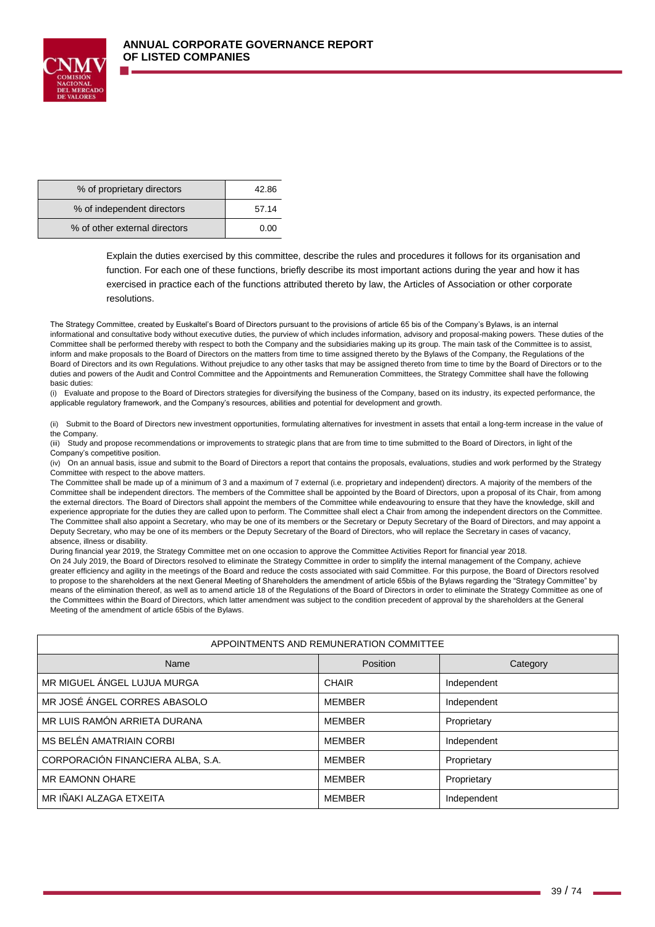

| % of proprietary directors    | 42.86 |
|-------------------------------|-------|
| % of independent directors    | 57.14 |
| % of other external directors | 0.00  |

Explain the duties exercised by this committee, describe the rules and procedures it follows for its organisation and function. For each one of these functions, briefly describe its most important actions during the year and how it has exercised in practice each of the functions attributed thereto by law, the Articles of Association or other corporate resolutions.

The Strategy Committee, created by Euskaltel's Board of Directors pursuant to the provisions of article 65 bis of the Company's Bylaws, is an internal informational and consultative body without executive duties, the purview of which includes information, advisory and proposal-making powers. These duties of the Committee shall be performed thereby with respect to both the Company and the subsidiaries making up its group. The main task of the Committee is to assist, inform and make proposals to the Board of Directors on the matters from time to time assigned thereto by the Bylaws of the Company, the Regulations of the Board of Directors and its own Regulations. Without prejudice to any other tasks that may be assigned thereto from time to time by the Board of Directors or to the duties and powers of the Audit and Control Committee and the Appointments and Remuneration Committees, the Strategy Committee shall have the following basic duties:

(i) Evaluate and propose to the Board of Directors strategies for diversifying the business of the Company, based on its industry, its expected performance, the applicable regulatory framework, and the Company's resources, abilities and potential for development and growth.

(ii) Submit to the Board of Directors new investment opportunities, formulating alternatives for investment in assets that entail a long-term increase in the value of the Company.

(iii) Study and propose recommendations or improvements to strategic plans that are from time to time submitted to the Board of Directors, in light of the Company's competitive position.

(iv) On an annual basis, issue and submit to the Board of Directors a report that contains the proposals, evaluations, studies and work performed by the Strategy Committee with respect to the above matters.

The Committee shall be made up of a minimum of 3 and a maximum of 7 external (i.e. proprietary and independent) directors. A majority of the members of the Committee shall be independent directors. The members of the Committee shall be appointed by the Board of Directors, upon a proposal of its Chair, from among the external directors. The Board of Directors shall appoint the members of the Committee while endeavouring to ensure that they have the knowledge, skill and experience appropriate for the duties they are called upon to perform. The Committee shall elect a Chair from among the independent directors on the Committee. The Committee shall also appoint a Secretary, who may be one of its members or the Secretary or Deputy Secretary of the Board of Directors, and may appoint a Deputy Secretary, who may be one of its members or the Deputy Secretary of the Board of Directors, who will replace the Secretary in cases of vacancy, absence, illness or disability.

During financial year 2019, the Strategy Committee met on one occasion to approve the Committee Activities Report for financial year 2018.

On 24 July 2019, the Board of Directors resolved to eliminate the Strategy Committee in order to simplify the internal management of the Company, achieve greater efficiency and agility in the meetings of the Board and reduce the costs associated with said Committee. For this purpose, the Board of Directors resolved to propose to the shareholders at the next General Meeting of Shareholders the amendment of article 65bis of the Bylaws regarding the "Strategy Committee" by means of the elimination thereof, as well as to amend article 18 of the Regulations of the Board of Directors in order to eliminate the Strategy Committee as one of the Committees within the Board of Directors, which latter amendment was subject to the condition precedent of approval by the shareholders at the General Meeting of the amendment of article 65bis of the Bylaws.

| APPOINTMENTS AND REMUNERATION COMMITTEE |               |             |  |
|-----------------------------------------|---------------|-------------|--|
| Name                                    | Position      | Category    |  |
| MR MIGUEL ÁNGEL LUJUA MURGA             | <b>CHAIR</b>  | Independent |  |
| MR JOSÉ ÁNGEL CORRES ABASOLO            | <b>MEMBER</b> | Independent |  |
| MR LUIS RAMÓN ARRIETA DURANA            | <b>MEMBER</b> | Proprietary |  |
| MS BELÉN AMATRIAIN CORBI                | <b>MEMBER</b> | Independent |  |
| CORPORACIÓN FINANCIERA ALBA, S.A.       | <b>MEMBER</b> | Proprietary |  |
| <b>MR EAMONN OHARE</b>                  | <b>MEMBER</b> | Proprietary |  |
| MR IÑAKI ALZAGA ETXEITA                 | <b>MEMBER</b> | Independent |  |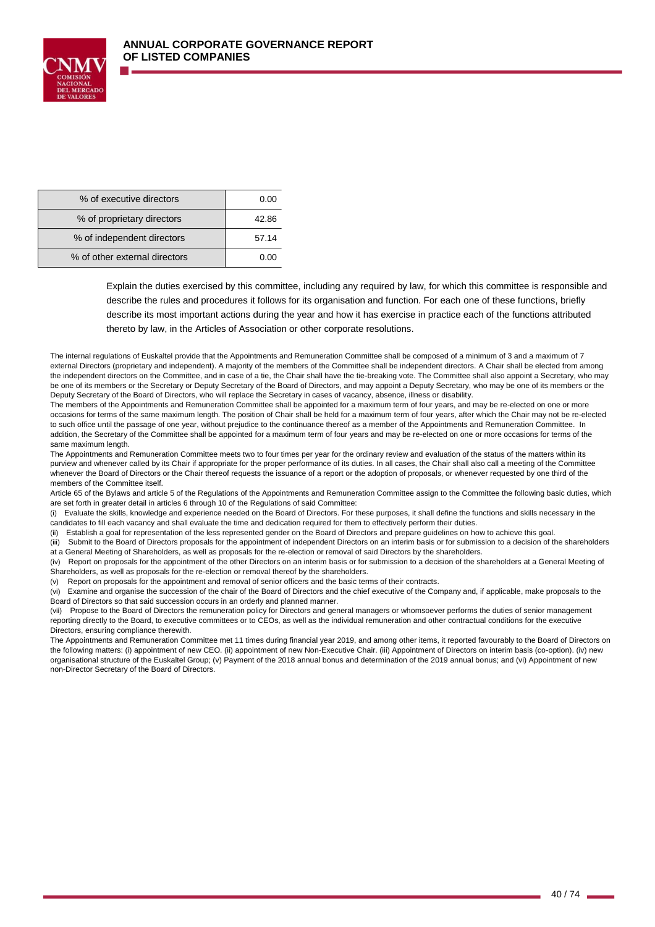

| % of executive directors      | 0.00  |
|-------------------------------|-------|
| % of proprietary directors    | 42.86 |
| % of independent directors    | 57.14 |
| % of other external directors | 0.00  |

Explain the duties exercised by this committee, including any required by law, for which this committee is responsible and describe the rules and procedures it follows for its organisation and function. For each one of these functions, briefly describe its most important actions during the year and how it has exercise in practice each of the functions attributed thereto by law, in the Articles of Association or other corporate resolutions.

The internal regulations of Euskaltel provide that the Appointments and Remuneration Committee shall be composed of a minimum of 3 and a maximum of 7 external Directors (proprietary and independent). A majority of the members of the Committee shall be independent directors. A Chair shall be elected from among the independent directors on the Committee, and in case of a tie, the Chair shall have the tie-breaking vote. The Committee shall also appoint a Secretary, who may be one of its members or the Secretary or Deputy Secretary of the Board of Directors, and may appoint a Deputy Secretary, who may be one of its members or the Deputy Secretary of the Board of Directors, who will replace the Secretary in cases of vacancy, absence, illness or disability.

The members of the Appointments and Remuneration Committee shall be appointed for a maximum term of four years, and may be re-elected on one or more occasions for terms of the same maximum length. The position of Chair shall be held for a maximum term of four years, after which the Chair may not be re-elected to such office until the passage of one year, without prejudice to the continuance thereof as a member of the Appointments and Remuneration Committee. In addition, the Secretary of the Committee shall be appointed for a maximum term of four years and may be re-elected on one or more occasions for terms of the same maximum length.

The Appointments and Remuneration Committee meets two to four times per year for the ordinary review and evaluation of the status of the matters within its purview and whenever called by its Chair if appropriate for the proper performance of its duties. In all cases, the Chair shall also call a meeting of the Committee whenever the Board of Directors or the Chair thereof requests the issuance of a report or the adoption of proposals, or whenever requested by one third of the members of the Committee itself.

Article 65 of the Bylaws and article 5 of the Regulations of the Appointments and Remuneration Committee assign to the Committee the following basic duties, which are set forth in greater detail in articles 6 through 10 of the Regulations of said Committee:

(i) Evaluate the skills, knowledge and experience needed on the Board of Directors. For these purposes, it shall define the functions and skills necessary in the candidates to fill each vacancy and shall evaluate the time and dedication required for them to effectively perform their duties.

(ii) Establish a goal for representation of the less represented gender on the Board of Directors and prepare guidelines on how to achieve this goal.

(iii) Submit to the Board of Directors proposals for the appointment of independent Directors on an interim basis or for submission to a decision of the shareholders at a General Meeting of Shareholders, as well as proposals for the re-election or removal of said Directors by the shareholders.

(iv) Report on proposals for the appointment of the other Directors on an interim basis or for submission to a decision of the shareholders at a General Meeting of Shareholders, as well as proposals for the re-election or removal thereof by the shareholders.

(v) Report on proposals for the appointment and removal of senior officers and the basic terms of their contracts.

(vi) Examine and organise the succession of the chair of the Board of Directors and the chief executive of the Company and, if applicable, make proposals to the Board of Directors so that said succession occurs in an orderly and planned manner.

(vii) Propose to the Board of Directors the remuneration policy for Directors and general managers or whomsoever performs the duties of senior management reporting directly to the Board, to executive committees or to CEOs, as well as the individual remuneration and other contractual conditions for the executive Directors, ensuring compliance therewith.

The Appointments and Remuneration Committee met 11 times during financial year 2019, and among other items, it reported favourably to the Board of Directors on the following matters: (i) appointment of new CEO. (ii) appointment of new Non-Executive Chair. (iii) Appointment of Directors on interim basis (co-option). (iv) new organisational structure of the Euskaltel Group; (v) Payment of the 2018 annual bonus and determination of the 2019 annual bonus; and (vi) Appointment of new non-Director Secretary of the Board of Directors.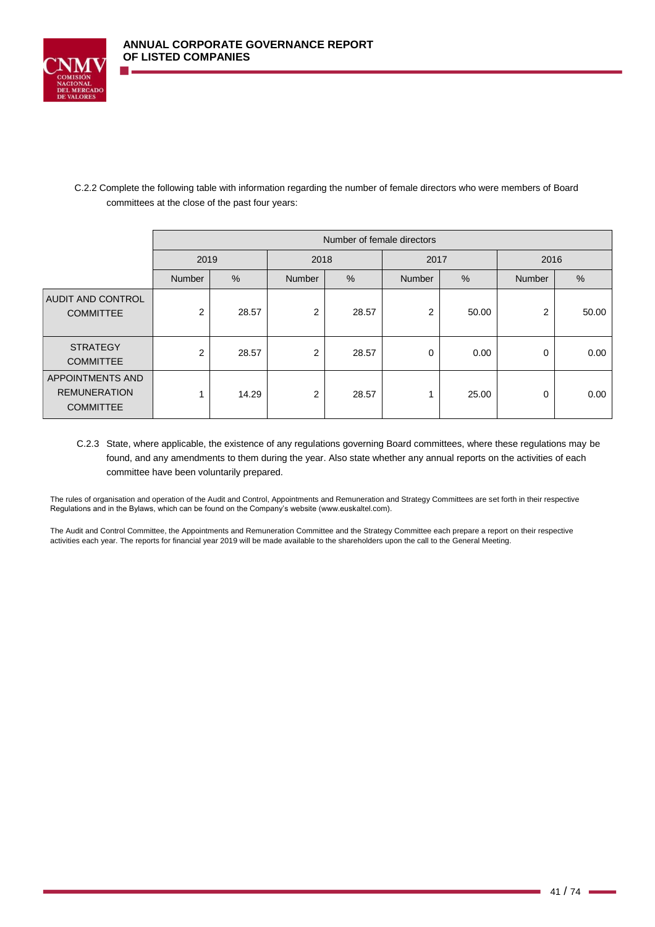

# C.2.2 Complete the following table with information regarding the number of female directors who were members of Board committees at the close of the past four years:

|                                                             | Number of female directors |               |                |       |                |       |                |       |
|-------------------------------------------------------------|----------------------------|---------------|----------------|-------|----------------|-------|----------------|-------|
|                                                             | 2019                       |               | 2018<br>2017   |       | 2016           |       |                |       |
|                                                             | <b>Number</b>              | $\frac{0}{0}$ | <b>Number</b>  | %     | <b>Number</b>  | $\%$  | Number         | %     |
| <b>AUDIT AND CONTROL</b><br><b>COMMITTEE</b>                | 2                          | 28.57         | $\overline{2}$ | 28.57 | $\overline{2}$ | 50.00 | $\overline{2}$ | 50.00 |
| <b>STRATEGY</b><br><b>COMMITTEE</b>                         | 2                          | 28.57         | $\overline{2}$ | 28.57 | 0              | 0.00  | 0              | 0.00  |
| APPOINTMENTS AND<br><b>REMUNERATION</b><br><b>COMMITTEE</b> |                            | 14.29         | 2              | 28.57 |                | 25.00 | 0              | 0.00  |

C.2.3 State, where applicable, the existence of any regulations governing Board committees, where these regulations may be found, and any amendments to them during the year. Also state whether any annual reports on the activities of each committee have been voluntarily prepared.

The rules of organisation and operation of the Audit and Control, Appointments and Remuneration and Strategy Committees are set forth in their respective Regulations and in the Bylaws, which can be found on the Company's website (www.euskaltel.com).

The Audit and Control Committee, the Appointments and Remuneration Committee and the Strategy Committee each prepare a report on their respective activities each year. The reports for financial year 2019 will be made available to the shareholders upon the call to the General Meeting.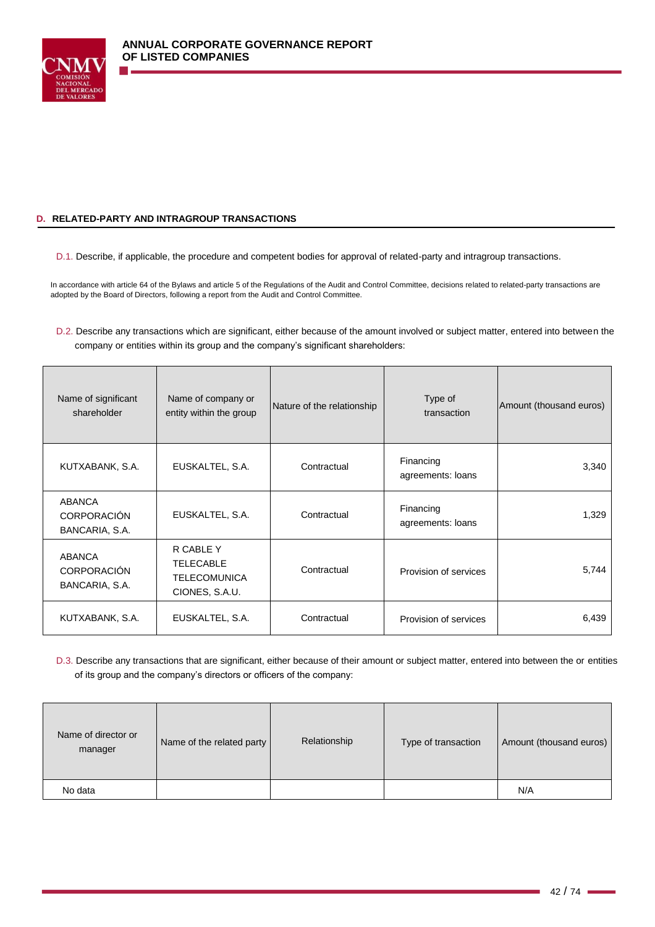

## **D. RELATED-PARTY AND INTRAGROUP TRANSACTIONS**

D.1. Describe, if applicable, the procedure and competent bodies for approval of related-party and intragroup transactions.

In accordance with article 64 of the Bylaws and article 5 of the Regulations of the Audit and Control Committee, decisions related to related-party transactions are adopted by the Board of Directors, following a report from the Audit and Control Committee.

D.2. Describe any transactions which are significant, either because of the amount involved or subject matter, entered into between the company or entities within its group and the company's significant shareholders:

| Name of significant<br>shareholder                    | Name of company or<br>entity within the group                          | Nature of the relationship | Type of<br>transaction         | Amount (thousand euros) |
|-------------------------------------------------------|------------------------------------------------------------------------|----------------------------|--------------------------------|-------------------------|
| KUTXABANK, S.A.                                       | EUSKALTEL, S.A.                                                        | Contractual                | Financing<br>agreements: loans | 3,340                   |
| <b>ABANCA</b><br><b>CORPORACIÓN</b><br>BANCARIA, S.A. | EUSKALTEL, S.A.                                                        | Contractual                | Financing<br>agreements: loans | 1,329                   |
| <b>ABANCA</b><br><b>CORPORACIÓN</b><br>BANCARIA, S.A. | R CABLE Y<br><b>TELECABLE</b><br><b>TELECOMUNICA</b><br>CIONES, S.A.U. | Contractual                | Provision of services          | 5,744                   |
| KUTXABANK, S.A.                                       | EUSKALTEL, S.A.                                                        | Contractual                | Provision of services          | 6,439                   |

D.3. Describe any transactions that are significant, either because of their amount or subject matter, entered into between the or entities of its group and the company's directors or officers of the company:

| Name of director or<br>manager | Name of the related party | Relationship | Type of transaction | Amount (thousand euros) |
|--------------------------------|---------------------------|--------------|---------------------|-------------------------|
| No data                        |                           |              |                     | N/A                     |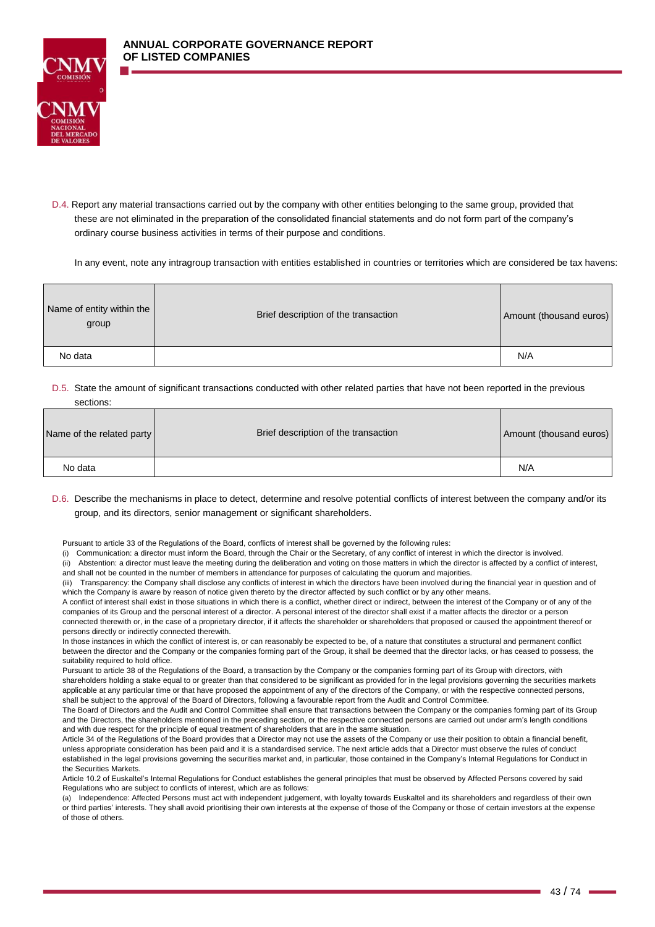

D.4. Report any material transactions carried out by the company with other entities belonging to the same group, provided that these are not eliminated in the preparation of the consolidated financial statements and do not form part of the company's ordinary course business activities in terms of their purpose and conditions.

In any event, note any intragroup transaction with entities established in countries or territories which are considered be tax havens:

| Name of entity within the<br>group | Brief description of the transaction | Amount (thousand euros) |
|------------------------------------|--------------------------------------|-------------------------|
| No data                            |                                      | N/A                     |

### D.5. State the amount of significant transactions conducted with other related parties that have not been reported in the previous sections:

| Name of the related party | Brief description of the transaction | Amount (thousand euros) |
|---------------------------|--------------------------------------|-------------------------|
| No data                   |                                      | N/A                     |

## D.6. Describe the mechanisms in place to detect, determine and resolve potential conflicts of interest between the company and/or its group, and its directors, senior management or significant shareholders.

Pursuant to article 33 of the Regulations of the Board, conflicts of interest shall be governed by the following rules:

(i) Communication: a director must inform the Board, through the Chair or the Secretary, of any conflict of interest in which the director is involved. (ii) Abstention: a director must leave the meeting during the deliberation and voting on those matters in which the director is affected by a conflict of interest, and shall not be counted in the number of members in attendance for purposes of calculating the quorum and majorities.

(iii) Transparency: the Company shall disclose any conflicts of interest in which the directors have been involved during the financial year in question and of which the Company is aware by reason of notice given thereto by the director affected by such conflict or by any other means

A conflict of interest shall exist in those situations in which there is a conflict, whether direct or indirect, between the interest of the Company or of any of the companies of its Group and the personal interest of a director. A personal interest of the director shall exist if a matter affects the director or a person connected therewith or, in the case of a proprietary director, if it affects the shareholder or shareholders that proposed or caused the appointment thereof or persons directly or indirectly connected therewith.

In those instances in which the conflict of interest is, or can reasonably be expected to be, of a nature that constitutes a structural and permanent conflict between the director and the Company or the companies forming part of the Group, it shall be deemed that the director lacks, or has ceased to possess, the suitability required to hold office.

Pursuant to article 38 of the Regulations of the Board, a transaction by the Company or the companies forming part of its Group with directors, with shareholders holding a stake equal to or greater than that considered to be significant as provided for in the legal provisions governing the securities markets applicable at any particular time or that have proposed the appointment of any of the directors of the Company, or with the respective connected persons, shall be subject to the approval of the Board of Directors, following a favourable report from the Audit and Control Committee.

The Board of Directors and the Audit and Control Committee shall ensure that transactions between the Company or the companies forming part of its Group and the Directors, the shareholders mentioned in the preceding section, or the respective connected persons are carried out under arm's length conditions and with due respect for the principle of equal treatment of shareholders that are in the same situation.

Article 34 of the Regulations of the Board provides that a Director may not use the assets of the Company or use their position to obtain a financial benefit, unless appropriate consideration has been paid and it is a standardised service. The next article adds that a Director must observe the rules of conduct established in the legal provisions governing the securities market and, in particular, those contained in the Company's Internal Regulations for Conduct in the Securities Markets.

Article 10.2 of Euskaltel's Internal Regulations for Conduct establishes the general principles that must be observed by Affected Persons covered by said Regulations who are subject to conflicts of interest, which are as follows:

(a) Independence: Affected Persons must act with independent judgement, with loyalty towards Euskaltel and its shareholders and regardless of their own or third parties' interests. They shall avoid prioritising their own interests at the expense of those of the Company or those of certain investors at the expense of those of others.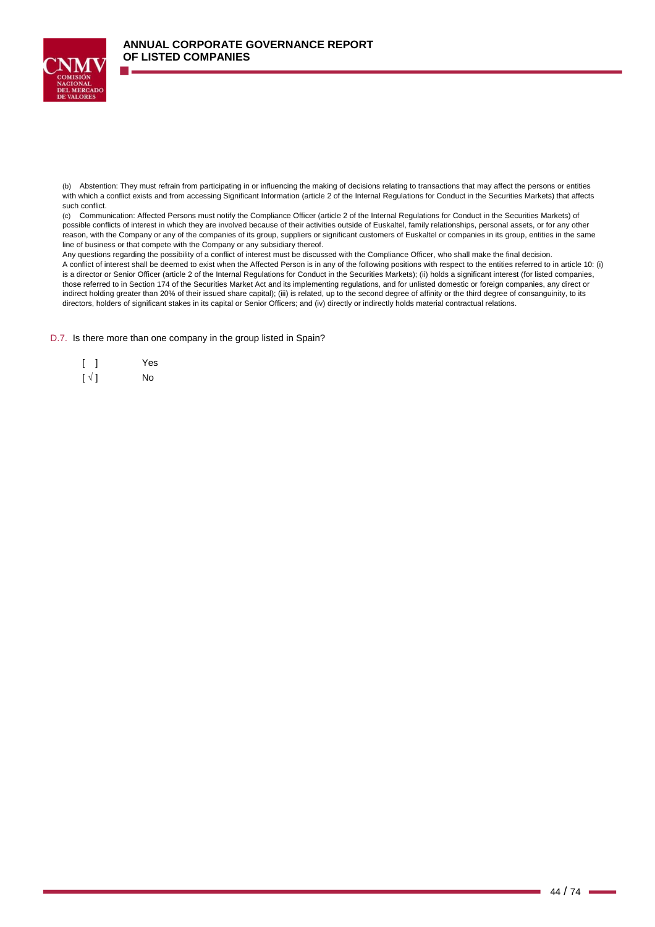

(b) Abstention: They must refrain from participating in or influencing the making of decisions relating to transactions that may affect the persons or entities with which a conflict exists and from accessing Significant Information (article 2 of the Internal Regulations for Conduct in the Securities Markets) that affects such conflict.

(c) Communication: Affected Persons must notify the Compliance Officer (article 2 of the Internal Regulations for Conduct in the Securities Markets) of possible conflicts of interest in which they are involved because of their activities outside of Euskaltel, family relationships, personal assets, or for any other reason, with the Company or any of the companies of its group, suppliers or significant customers of Euskaltel or companies in its group, entities in the same line of business or that compete with the Company or any subsidiary thereof.

Any questions regarding the possibility of a conflict of interest must be discussed with the Compliance Officer, who shall make the final decision. A conflict of interest shall be deemed to exist when the Affected Person is in any of the following positions with respect to the entities referred to in article 10: (i) is a director or Senior Officer (article 2 of the Internal Regulations for Conduct in the Securities Markets); (ii) holds a significant interest (for listed companies, those referred to in Section 174 of the Securities Market Act and its implementing regulations, and for unlisted domestic or foreign companies, any direct or indirect holding greater than 20% of their issued share capital); (iii) is related, up to the second degree of affinity or the third degree of consanguinity, to its directors, holders of significant stakes in its capital or Senior Officers; and (iv) directly or indirectly holds material contractual relations.

#### D.7. Is there more than one company in the group listed in Spain?

|                          | Yes |
|--------------------------|-----|
| $\lceil \sqrt{1} \rceil$ | No  |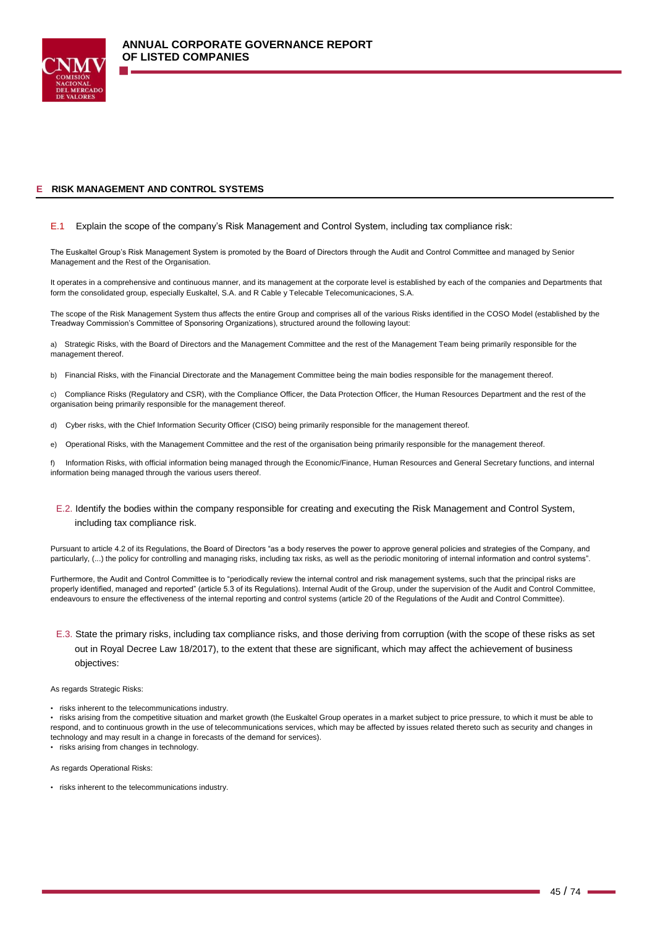

## **E RISK MANAGEMENT AND CONTROL SYSTEMS**

#### E.1 Explain the scope of the company's Risk Management and Control System, including tax compliance risk:

The Euskaltel Group's Risk Management System is promoted by the Board of Directors through the Audit and Control Committee and managed by Senior Management and the Rest of the Organisation.

It operates in a comprehensive and continuous manner, and its management at the corporate level is established by each of the companies and Departments that form the consolidated group, especially Euskaltel, S.A. and R Cable y Telecable Telecomunicaciones, S.A.

The scope of the Risk Management System thus affects the entire Group and comprises all of the various Risks identified in the COSO Model (established by the Treadway Commission's Committee of Sponsoring Organizations), structured around the following layout:

a) Strategic Risks, with the Board of Directors and the Management Committee and the rest of the Management Team being primarily responsible for the management thereof.

b) Financial Risks, with the Financial Directorate and the Management Committee being the main bodies responsible for the management thereof.

c) Compliance Risks (Regulatory and CSR), with the Compliance Officer, the Data Protection Officer, the Human Resources Department and the rest of the organisation being primarily responsible for the management thereof.

d) Cyber risks, with the Chief Information Security Officer (CISO) being primarily responsible for the management thereof.

e) Operational Risks, with the Management Committee and the rest of the organisation being primarily responsible for the management thereof.

f) Information Risks, with official information being managed through the Economic/Finance, Human Resources and General Secretary functions, and internal information being managed through the various users thereof.

E.2. Identify the bodies within the company responsible for creating and executing the Risk Management and Control System, including tax compliance risk.

Pursuant to article 4.2 of its Regulations, the Board of Directors "as a body reserves the power to approve general policies and strategies of the Company, and particularly, (...) the policy for controlling and managing risks, including tax risks, as well as the periodic monitoring of internal information and control systems".

Furthermore, the Audit and Control Committee is to "periodically review the internal control and risk management systems, such that the principal risks are properly identified, managed and reported" (article 5.3 of its Regulations). Internal Audit of the Group, under the supervision of the Audit and Control Committee, endeavours to ensure the effectiveness of the internal reporting and control systems (article 20 of the Regulations of the Audit and Control Committee).

E.3. State the primary risks, including tax compliance risks, and those deriving from corruption (with the scope of these risks as set out in Royal Decree Law 18/2017), to the extent that these are significant, which may affect the achievement of business objectives:

#### As regards Strategic Risks:

• risks inherent to the telecommunications industry.

• risks arising from the competitive situation and market growth (the Euskaltel Group operates in a market subject to price pressure, to which it must be able to respond, and to continuous growth in the use of telecommunications services, which may be affected by issues related thereto such as security and changes in technology and may result in a change in forecasts of the demand for services). • risks arising from changes in technology.

As regards Operational Risks:

• risks inherent to the telecommunications industry.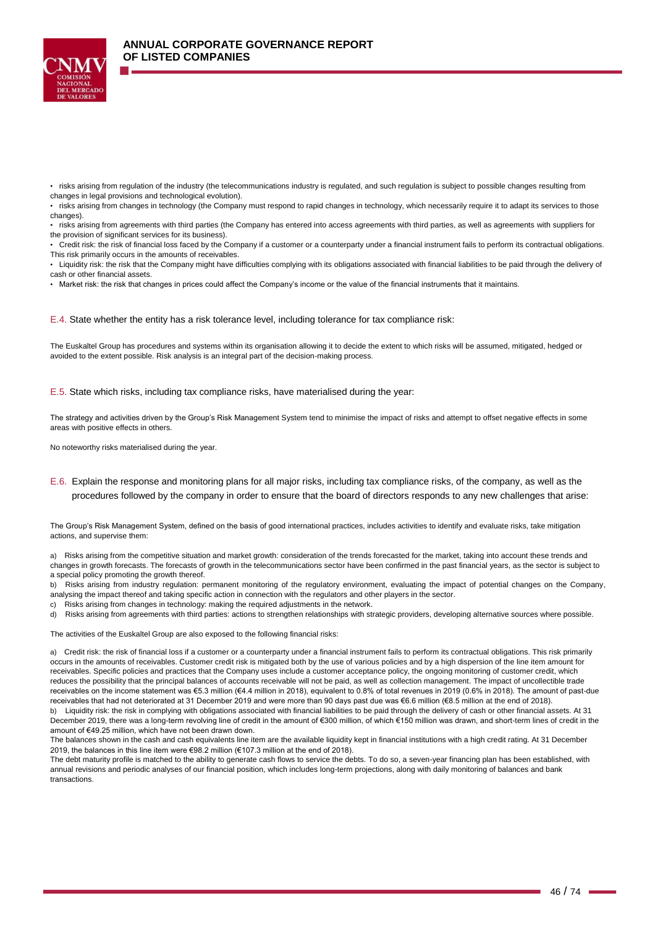

• risks arising from regulation of the industry (the telecommunications industry is regulated, and such regulation is subject to possible changes resulting from changes in legal provisions and technological evolution).

• risks arising from changes in technology (the Company must respond to rapid changes in technology, which necessarily require it to adapt its services to those changes).

• risks arising from agreements with third parties (the Company has entered into access agreements with third parties, as well as agreements with suppliers for the provision of significant services for its business).

• Credit risk: the risk of financial loss faced by the Company if a customer or a counterparty under a financial instrument fails to perform its contractual obligations. This risk primarily occurs in the amounts of receivables.

• Liquidity risk: the risk that the Company might have difficulties complying with its obligations associated with financial liabilities to be paid through the delivery of cash or other financial assets.

• Market risk: the risk that changes in prices could affect the Company's income or the value of the financial instruments that it maintains.

E.4. State whether the entity has a risk tolerance level, including tolerance for tax compliance risk:

The Euskaltel Group has procedures and systems within its organisation allowing it to decide the extent to which risks will be assumed, mitigated, hedged or avoided to the extent possible. Risk analysis is an integral part of the decision-making process.

E.5. State which risks, including tax compliance risks, have materialised during the year:

The strategy and activities driven by the Group's Risk Management System tend to minimise the impact of risks and attempt to offset negative effects in some areas with positive effects in others.

No noteworthy risks materialised during the year.

E.6. Explain the response and monitoring plans for all major risks, including tax compliance risks, of the company, as well as the procedures followed by the company in order to ensure that the board of directors responds to any new challenges that arise:

The Group's Risk Management System, defined on the basis of good international practices, includes activities to identify and evaluate risks, take mitigation actions, and supervise them:

a) Risks arising from the competitive situation and market growth: consideration of the trends forecasted for the market, taking into account these trends and changes in growth forecasts. The forecasts of growth in the telecommunications sector have been confirmed in the past financial years, as the sector is subject to a special policy promoting the growth thereof.

b) Risks arising from industry regulation: permanent monitoring of the regulatory environment, evaluating the impact of potential changes on the Company, analysing the impact thereof and taking specific action in connection with the regulators and other players in the sector.

c) Risks arising from changes in technology: making the required adjustments in the network.

d) Risks arising from agreements with third parties: actions to strengthen relationships with strategic providers, developing alternative sources where possible.

The activities of the Euskaltel Group are also exposed to the following financial risks:

a) Credit risk: the risk of financial loss if a customer or a counterparty under a financial instrument fails to perform its contractual obligations. This risk primarily occurs in the amounts of receivables. Customer credit risk is mitigated both by the use of various policies and by a high dispersion of the line item amount for receivables. Specific policies and practices that the Company uses include a customer acceptance policy, the ongoing monitoring of customer credit, which reduces the possibility that the principal balances of accounts receivable will not be paid, as well as collection management. The impact of uncollectible trade receivables on the income statement was €5.3 million (€4.4 million in 2018), equivalent to 0.8% of total revenues in 2019 (0.6% in 2018). The amount of past-due receivables that had not deteriorated at 31 December 2019 and were more than 90 days past due was €6.6 million (€8.5 million at the end of 2018). b) Liquidity risk: the risk in complying with obligations associated with financial liabilities to be paid through the delivery of cash or other financial assets. At 31 December 2019, there was a long-term revolving line of credit in the amount of €300 million, of which €150 million was drawn, and short-term lines of credit in the amount of €49.25 million, which have not been drawn down.

The balances shown in the cash and cash equivalents line item are the available liquidity kept in financial institutions with a high credit rating. At 31 December 2019, the balances in this line item were €98.2 million (€107.3 million at the end of 2018).

The debt maturity profile is matched to the ability to generate cash flows to service the debts. To do so, a seven-year financing plan has been established, with annual revisions and periodic analyses of our financial position, which includes long-term projections, along with daily monitoring of balances and bank transactions.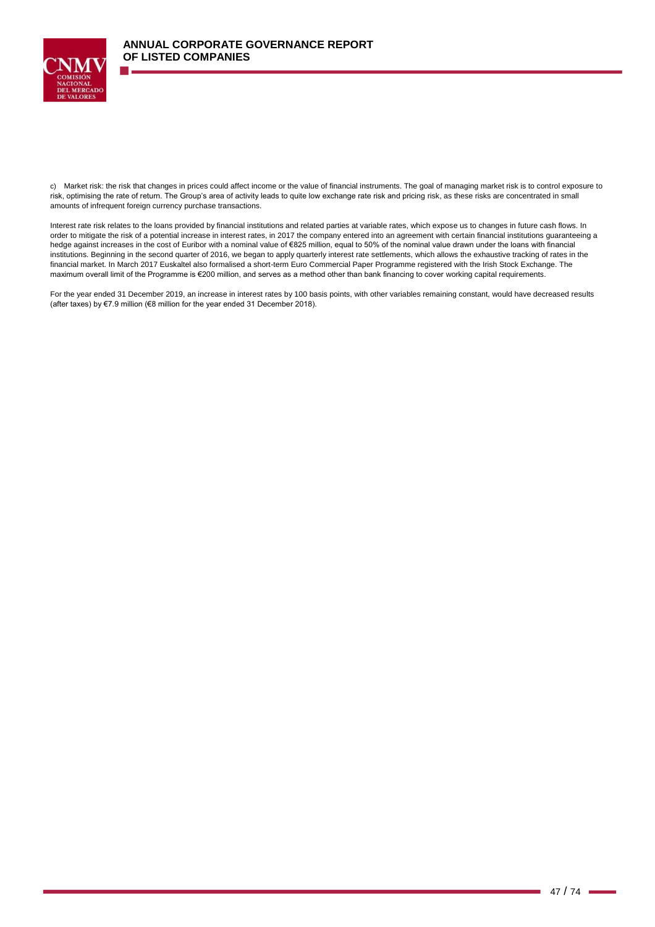

c) Market risk: the risk that changes in prices could affect income or the value of financial instruments. The goal of managing market risk is to control exposure to risk, optimising the rate of return. The Group's area of activity leads to quite low exchange rate risk and pricing risk, as these risks are concentrated in small amounts of infrequent foreign currency purchase transactions.

Interest rate risk relates to the loans provided by financial institutions and related parties at variable rates, which expose us to changes in future cash flows. In order to mitigate the risk of a potential increase in interest rates, in 2017 the company entered into an agreement with certain financial institutions guaranteeing a hedge against increases in the cost of Euribor with a nominal value of €825 million, equal to 50% of the nominal value drawn under the loans with financial institutions. Beginning in the second quarter of 2016, we began to apply quarterly interest rate settlements, which allows the exhaustive tracking of rates in the financial market. In March 2017 Euskaltel also formalised a short-term Euro Commercial Paper Programme registered with the Irish Stock Exchange. The maximum overall limit of the Programme is €200 million, and serves as a method other than bank financing to cover working capital requirements.

For the year ended 31 December 2019, an increase in interest rates by 100 basis points, with other variables remaining constant, would have decreased results (after taxes) by €7.9 million (€8 million for the year ended 31 December 2018).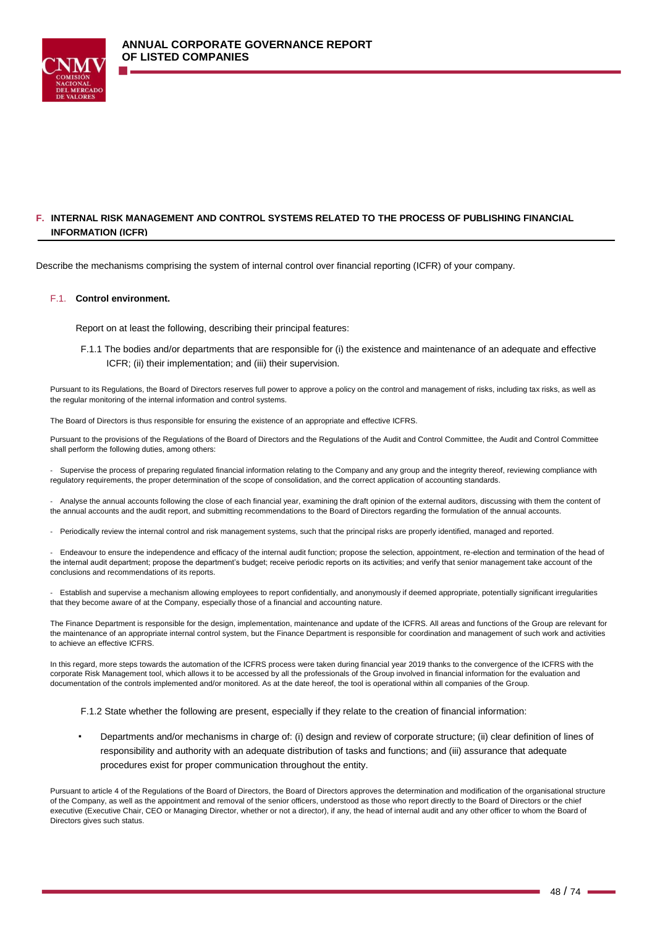

# **F. INTERNAL RISK MANAGEMENT AND CONTROL SYSTEMS RELATED TO THE PROCESS OF PUBLISHING FINANCIAL INFORMATION (ICFR)**

Describe the mechanisms comprising the system of internal control over financial reporting (ICFR) of your company.

### F.1. **Control environment.**

Report on at least the following, describing their principal features:

F.1.1 The bodies and/or departments that are responsible for (i) the existence and maintenance of an adequate and effective ICFR; (ii) their implementation; and (iii) their supervision.

Pursuant to its Regulations, the Board of Directors reserves full power to approve a policy on the control and management of risks, including tax risks, as well as the regular monitoring of the internal information and control systems.

The Board of Directors is thus responsible for ensuring the existence of an appropriate and effective ICFRS.

Pursuant to the provisions of the Regulations of the Board of Directors and the Regulations of the Audit and Control Committee, the Audit and Control Committee shall perform the following duties, among others:

- Supervise the process of preparing regulated financial information relating to the Company and any group and the integrity thereof, reviewing compliance with regulatory requirements, the proper determination of the scope of consolidation, and the correct application of accounting standards.

- Analyse the annual accounts following the close of each financial year, examining the draft opinion of the external auditors, discussing with them the content of the annual accounts and the audit report, and submitting recommendations to the Board of Directors regarding the formulation of the annual accounts.

Periodically review the internal control and risk management systems, such that the principal risks are properly identified, managed and reported.

- Endeavour to ensure the independence and efficacy of the internal audit function; propose the selection, appointment, re-election and termination of the head of the internal audit department; propose the department's budget; receive periodic reports on its activities; and verify that senior management take account of the conclusions and recommendations of its reports.

- Establish and supervise a mechanism allowing employees to report confidentially, and anonymously if deemed appropriate, potentially significant irregularities that they become aware of at the Company, especially those of a financial and accounting nature.

The Finance Department is responsible for the design, implementation, maintenance and update of the ICFRS. All areas and functions of the Group are relevant for the maintenance of an appropriate internal control system, but the Finance Department is responsible for coordination and management of such work and activities to achieve an effective ICFRS.

In this regard, more steps towards the automation of the ICFRS process were taken during financial year 2019 thanks to the convergence of the ICFRS with the corporate Risk Management tool, which allows it to be accessed by all the professionals of the Group involved in financial information for the evaluation and documentation of the controls implemented and/or monitored. As at the date hereof, the tool is operational within all companies of the Group.

- F.1.2 State whether the following are present, especially if they relate to the creation of financial information:
- Departments and/or mechanisms in charge of: (i) design and review of corporate structure; (ii) clear definition of lines of responsibility and authority with an adequate distribution of tasks and functions; and (iii) assurance that adequate procedures exist for proper communication throughout the entity.

Pursuant to article 4 of the Regulations of the Board of Directors, the Board of Directors approves the determination and modification of the organisational structure of the Company, as well as the appointment and removal of the senior officers, understood as those who report directly to the Board of Directors or the chief executive (Executive Chair, CEO or Managing Director, whether or not a director), if any, the head of internal audit and any other officer to whom the Board of Directors gives such status.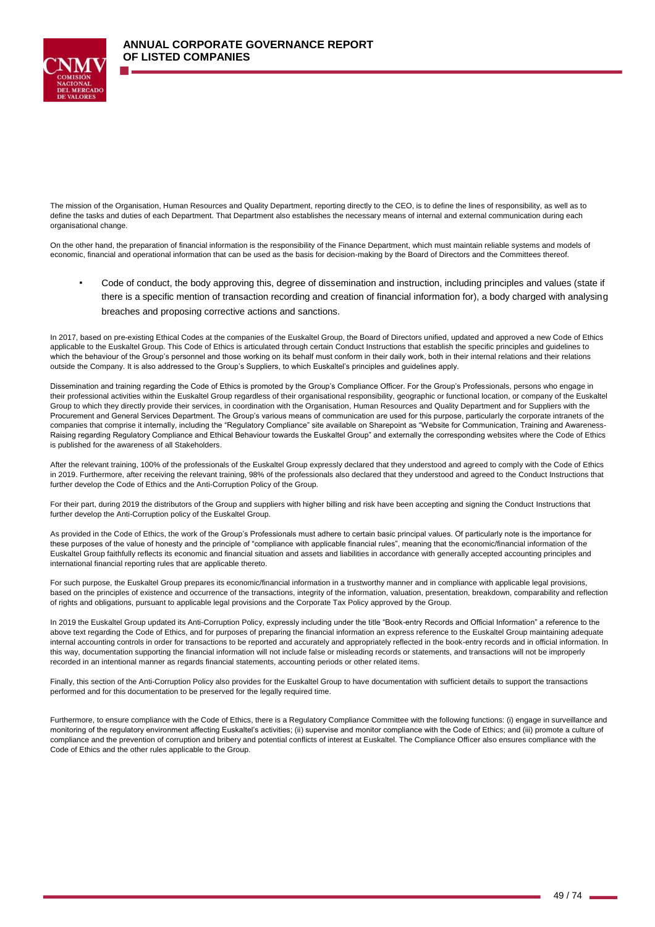

The mission of the Organisation, Human Resources and Quality Department, reporting directly to the CEO, is to define the lines of responsibility, as well as to define the tasks and duties of each Department. That Department also establishes the necessary means of internal and external communication during each organisational change.

On the other hand, the preparation of financial information is the responsibility of the Finance Department, which must maintain reliable systems and models of economic, financial and operational information that can be used as the basis for decision-making by the Board of Directors and the Committees thereof.

▪ Code of conduct, the body approving this, degree of dissemination and instruction, including principles and values (state if there is a specific mention of transaction recording and creation of financial information for), a body charged with analysing breaches and proposing corrective actions and sanctions.

In 2017, based on pre-existing Ethical Codes at the companies of the Euskaltel Group, the Board of Directors unified, updated and approved a new Code of Ethics applicable to the Euskaltel Group. This Code of Ethics is articulated through certain Conduct Instructions that establish the specific principles and guidelines to which the behaviour of the Group's personnel and those working on its behalf must conform in their daily work, both in their internal relations and their relations outside the Company. It is also addressed to the Group's Suppliers, to which Euskaltel's principles and guidelines apply.

Dissemination and training regarding the Code of Ethics is promoted by the Group's Compliance Officer. For the Group's Professionals, persons who engage in their professional activities within the Euskaltel Group regardless of their organisational responsibility, geographic or functional location, or company of the Euskaltel Group to which they directly provide their services, in coordination with the Organisation, Human Resources and Quality Department and for Suppliers with the Procurement and General Services Department. The Group's various means of communication are used for this purpose, particularly the corporate intranets of the companies that comprise it internally, including the "Regulatory Compliance" site available on Sharepoint as "Website for Communication, Training and Awareness-Raising regarding Regulatory Compliance and Ethical Behaviour towards the Euskaltel Group" and externally the corresponding websites where the Code of Ethics is published for the awareness of all Stakeholders.

After the relevant training, 100% of the professionals of the Euskaltel Group expressly declared that they understood and agreed to comply with the Code of Ethics in 2019. Furthermore, after receiving the relevant training, 98% of the professionals also declared that they understood and agreed to the Conduct Instructions that further develop the Code of Ethics and the Anti-Corruption Policy of the Group.

For their part, during 2019 the distributors of the Group and suppliers with higher billing and risk have been accepting and signing the Conduct Instructions that further develop the Anti-Corruption policy of the Euskaltel Group.

As provided in the Code of Ethics, the work of the Group's Professionals must adhere to certain basic principal values. Of particularly note is the importance for these purposes of the value of honesty and the principle of "compliance with applicable financial rules", meaning that the economic/financial information of the Euskaltel Group faithfully reflects its economic and financial situation and assets and liabilities in accordance with generally accepted accounting principles and international financial reporting rules that are applicable thereto.

For such purpose, the Euskaltel Group prepares its economic/financial information in a trustworthy manner and in compliance with applicable legal provisions, based on the principles of existence and occurrence of the transactions, integrity of the information, valuation, presentation, breakdown, comparability and reflection of rights and obligations, pursuant to applicable legal provisions and the Corporate Tax Policy approved by the Group.

In 2019 the Euskaltel Group updated its Anti-Corruption Policy, expressly including under the title "Book-entry Records and Official Information" a reference to the above text regarding the Code of Ethics, and for purposes of preparing the financial information an express reference to the Euskaltel Group maintaining adequate internal accounting controls in order for transactions to be reported and accurately and appropriately reflected in the book-entry records and in official information. In this way, documentation supporting the financial information will not include false or misleading records or statements, and transactions will not be improperly recorded in an intentional manner as regards financial statements, accounting periods or other related items.

Finally, this section of the Anti-Corruption Policy also provides for the Euskaltel Group to have documentation with sufficient details to support the transactions performed and for this documentation to be preserved for the legally required time.

Furthermore, to ensure compliance with the Code of Ethics, there is a Regulatory Compliance Committee with the following functions: (i) engage in surveillance and monitoring of the regulatory environment affecting Euskaltel's activities; (ii) supervise and monitor compliance with the Code of Ethics; and (iii) promote a culture of compliance and the prevention of corruption and bribery and potential conflicts of interest at Euskaltel. The Compliance Officer also ensures compliance with the Code of Ethics and the other rules applicable to the Group.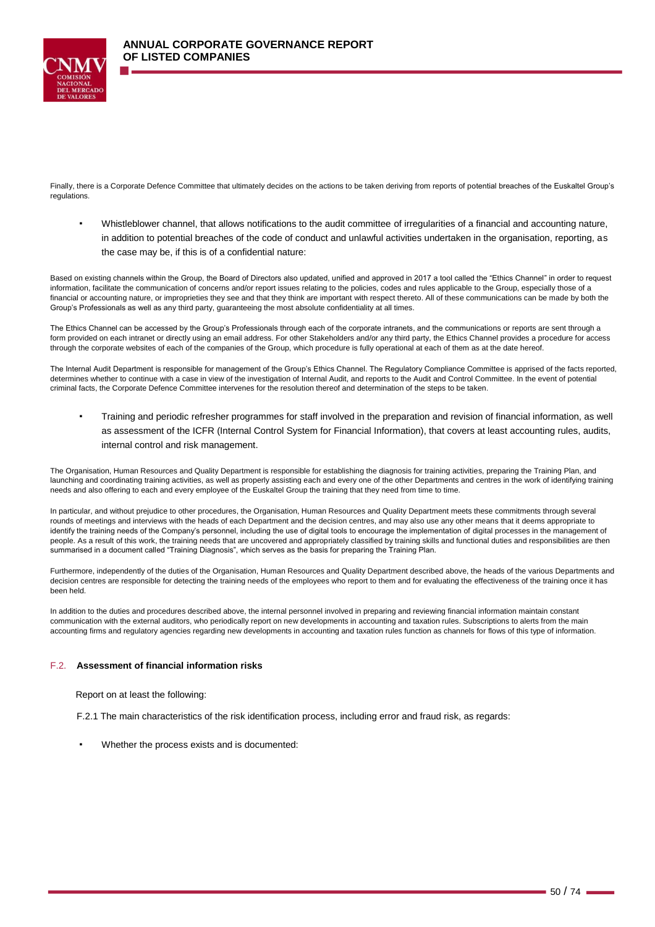

Finally, there is a Corporate Defence Committee that ultimately decides on the actions to be taken deriving from reports of potential breaches of the Euskaltel Group's regulations.

Whistleblower channel, that allows notifications to the audit committee of irregularities of a financial and accounting nature, in addition to potential breaches of the code of conduct and unlawful activities undertaken in the organisation, reporting, as the case may be, if this is of a confidential nature:

Based on existing channels within the Group, the Board of Directors also updated, unified and approved in 2017 a tool called the "Ethics Channel" in order to request information, facilitate the communication of concerns and/or report issues relating to the policies, codes and rules applicable to the Group, especially those of a financial or accounting nature, or improprieties they see and that they think are important with respect thereto. All of these communications can be made by both the Group's Professionals as well as any third party, guaranteeing the most absolute confidentiality at all times.

The Ethics Channel can be accessed by the Group's Professionals through each of the corporate intranets, and the communications or reports are sent through a form provided on each intranet or directly using an email address. For other Stakeholders and/or any third party, the Ethics Channel provides a procedure for access through the corporate websites of each of the companies of the Group, which procedure is fully operational at each of them as at the date hereof.

The Internal Audit Department is responsible for management of the Group's Ethics Channel. The Regulatory Compliance Committee is apprised of the facts reported, determines whether to continue with a case in view of the investigation of Internal Audit, and reports to the Audit and Control Committee. In the event of potential criminal facts, the Corporate Defence Committee intervenes for the resolution thereof and determination of the steps to be taken.

▪ Training and periodic refresher programmes for staff involved in the preparation and revision of financial information, as well as assessment of the ICFR (Internal Control System for Financial Information), that covers at least accounting rules, audits, internal control and risk management.

The Organisation, Human Resources and Quality Department is responsible for establishing the diagnosis for training activities, preparing the Training Plan, and launching and coordinating training activities, as well as properly assisting each and every one of the other Departments and centres in the work of identifying training needs and also offering to each and every employee of the Euskaltel Group the training that they need from time to time.

In particular, and without prejudice to other procedures, the Organisation, Human Resources and Quality Department meets these commitments through several rounds of meetings and interviews with the heads of each Department and the decision centres, and may also use any other means that it deems appropriate to identify the training needs of the Company's personnel, including the use of digital tools to encourage the implementation of digital processes in the management of people. As a result of this work, the training needs that are uncovered and appropriately classified by training skills and functional duties and responsibilities are then summarised in a document called "Training Diagnosis", which serves as the basis for preparing the Training Plan.

Furthermore, independently of the duties of the Organisation, Human Resources and Quality Department described above, the heads of the various Departments and decision centres are responsible for detecting the training needs of the employees who report to them and for evaluating the effectiveness of the training once it has been held.

In addition to the duties and procedures described above, the internal personnel involved in preparing and reviewing financial information maintain constant communication with the external auditors, who periodically report on new developments in accounting and taxation rules. Subscriptions to alerts from the main accounting firms and regulatory agencies regarding new developments in accounting and taxation rules function as channels for flows of this type of information.

## F.2. **Assessment of financial information risks**

Report on at least the following:

F.2.1 The main characteristics of the risk identification process, including error and fraud risk, as regards:

Whether the process exists and is documented: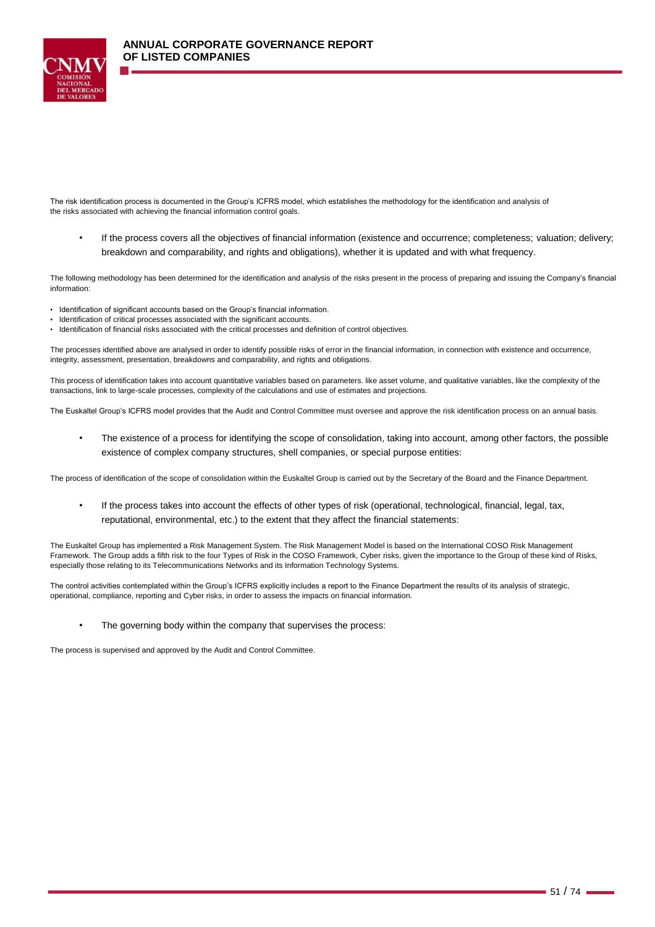

The risk identification process is documented in the Group's ICFRS model, which establishes the methodology for the identification and analysis of the risks associated with achieving the financial information control goals.

▪ If the process covers all the objectives of financial information (existence and occurrence; completeness; valuation; delivery; breakdown and comparability, and rights and obligations), whether it is updated and with what frequency.

The following methodology has been determined for the identification and analysis of the risks present in the process of preparing and issuing the Company's financial information:

- Identification of significant accounts based on the Group's financial information.
- Identification of critical processes associated with the significant accounts.
- Identification of financial risks associated with the critical processes and definition of control objectives.

The processes identified above are analysed in order to identify possible risks of error in the financial information, in connection with existence and occurrence, integrity, assessment, presentation, breakdowns and comparability, and rights and obligations.

This process of identification takes into account quantitative variables based on parameters. like asset volume, and qualitative variables, like the complexity of the transactions, link to large-scale processes, complexity of the calculations and use of estimates and projections.

The Euskaltel Group's ICFRS model provides that the Audit and Control Committee must oversee and approve the risk identification process on an annual basis.

The existence of a process for identifying the scope of consolidation, taking into account, among other factors, the possible existence of complex company structures, shell companies, or special purpose entities:

The process of identification of the scope of consolidation within the Euskaltel Group is carried out by the Secretary of the Board and the Finance Department.

▪ If the process takes into account the effects of other types of risk (operational, technological, financial, legal, tax, reputational, environmental, etc.) to the extent that they affect the financial statements:

The Euskaltel Group has implemented a Risk Management System. The Risk Management Model is based on the International COSO Risk Management Framework. The Group adds a fifth risk to the four Types of Risk in the COSO Framework, Cyber risks, given the importance to the Group of these kind of Risks, especially those relating to its Telecommunications Networks and its Information Technology Systems.

The control activities contemplated within the Group's ICFRS explicitly includes a report to the Finance Department the results of its analysis of strategic, operational, compliance, reporting and Cyber risks, in order to assess the impacts on financial information.

▪ The governing body within the company that supervises the process:

The process is supervised and approved by the Audit and Control Committee.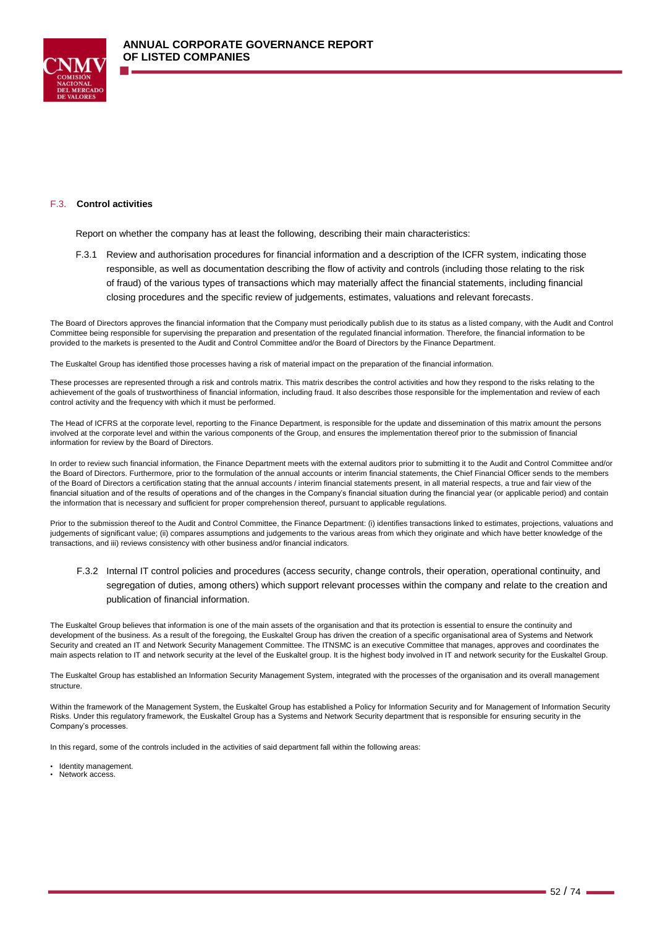

#### F.3. **Control activities**

Report on whether the company has at least the following, describing their main characteristics:

F.3.1 Review and authorisation procedures for financial information and a description of the ICFR system, indicating those responsible, as well as documentation describing the flow of activity and controls (including those relating to the risk of fraud) of the various types of transactions which may materially affect the financial statements, including financial closing procedures and the specific review of judgements, estimates, valuations and relevant forecasts.

The Board of Directors approves the financial information that the Company must periodically publish due to its status as a listed company, with the Audit and Control Committee being responsible for supervising the preparation and presentation of the regulated financial information. Therefore, the financial information to be provided to the markets is presented to the Audit and Control Committee and/or the Board of Directors by the Finance Department.

The Euskaltel Group has identified those processes having a risk of material impact on the preparation of the financial information.

These processes are represented through a risk and controls matrix. This matrix describes the control activities and how they respond to the risks relating to the achievement of the goals of trustworthiness of financial information, including fraud. It also describes those responsible for the implementation and review of each control activity and the frequency with which it must be performed.

The Head of ICFRS at the corporate level, reporting to the Finance Department, is responsible for the update and dissemination of this matrix amount the persons involved at the corporate level and within the various components of the Group, and ensures the implementation thereof prior to the submission of financial information for review by the Board of Directors.

In order to review such financial information, the Finance Department meets with the external auditors prior to submitting it to the Audit and Control Committee and/or the Board of Directors. Furthermore, prior to the formulation of the annual accounts or interim financial statements, the Chief Financial Officer sends to the members of the Board of Directors a certification stating that the annual accounts / interim financial statements present, in all material respects, a true and fair view of the financial situation and of the results of operations and of the changes in the Company's financial situation during the financial year (or applicable period) and contain the information that is necessary and sufficient for proper comprehension thereof, pursuant to applicable regulations.

Prior to the submission thereof to the Audit and Control Committee, the Finance Department: (i) identifies transactions linked to estimates, projections, valuations and judgements of significant value; (ii) compares assumptions and judgements to the various areas from which they originate and which have better knowledge of the transactions, and iii) reviews consistency with other business and/or financial indicators.

F.3.2 Internal IT control policies and procedures (access security, change controls, their operation, operational continuity, and segregation of duties, among others) which support relevant processes within the company and relate to the creation and publication of financial information.

The Euskaltel Group believes that information is one of the main assets of the organisation and that its protection is essential to ensure the continuity and development of the business. As a result of the foregoing, the Euskaltel Group has driven the creation of a specific organisational area of Systems and Network Security and created an IT and Network Security Management Committee. The ITNSMC is an executive Committee that manages, approves and coordinates the main aspects relation to IT and network security at the level of the Euskaltel group. It is the highest body involved in IT and network security for the Euskaltel Group.

The Euskaltel Group has established an Information Security Management System, integrated with the processes of the organisation and its overall management structure.

Within the framework of the Management System, the Euskaltel Group has established a Policy for Information Security and for Management of Information Security Risks. Under this regulatory framework, the Euskaltel Group has a Systems and Network Security department that is responsible for ensuring security in the Company's processes.

In this regard, some of the controls included in the activities of said department fall within the following areas:

- Identity management.
- Network access.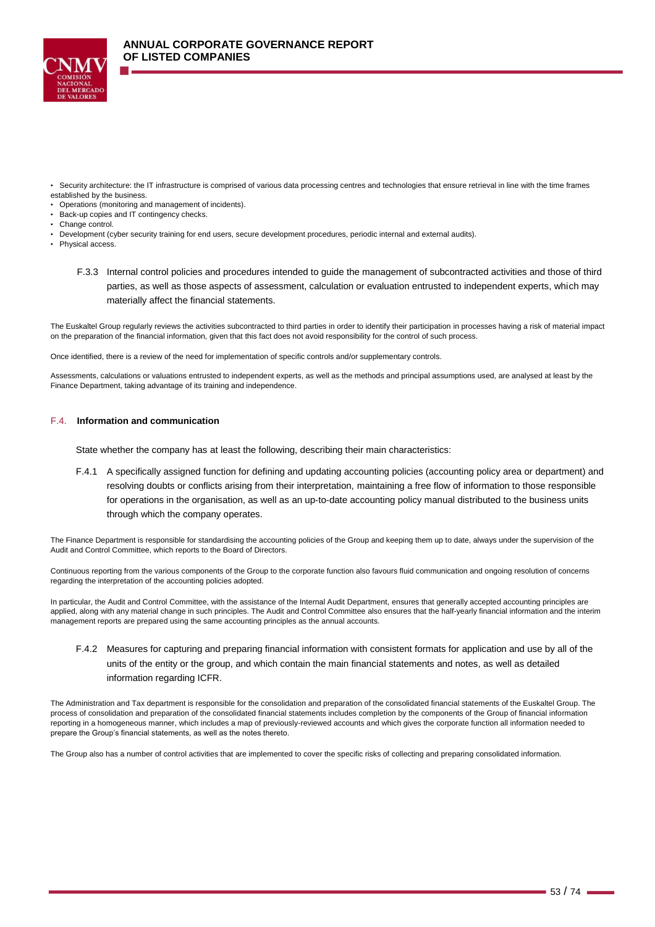

- Security architecture: the IT infrastructure is comprised of various data processing centres and technologies that ensure retrieval in line with the time frames established by the business.
- Operations (monitoring and management of incidents).
- Back-up copies and IT contingency checks.
- Change control.
- Development (cyber security training for end users, secure development procedures, periodic internal and external audits).
- Physical access.
	- F.3.3 Internal control policies and procedures intended to guide the management of subcontracted activities and those of third parties, as well as those aspects of assessment, calculation or evaluation entrusted to independent experts, which may materially affect the financial statements.

The Euskaltel Group regularly reviews the activities subcontracted to third parties in order to identify their participation in processes having a risk of material impact on the preparation of the financial information, given that this fact does not avoid responsibility for the control of such process.

Once identified, there is a review of the need for implementation of specific controls and/or supplementary controls.

Assessments, calculations or valuations entrusted to independent experts, as well as the methods and principal assumptions used, are analysed at least by the Finance Department, taking advantage of its training and independence.

### F.4. **Information and communication**

State whether the company has at least the following, describing their main characteristics:

F.4.1 A specifically assigned function for defining and updating accounting policies (accounting policy area or department) and resolving doubts or conflicts arising from their interpretation, maintaining a free flow of information to those responsible for operations in the organisation, as well as an up-to-date accounting policy manual distributed to the business units through which the company operates.

The Finance Department is responsible for standardising the accounting policies of the Group and keeping them up to date, always under the supervision of the Audit and Control Committee, which reports to the Board of Directors.

Continuous reporting from the various components of the Group to the corporate function also favours fluid communication and ongoing resolution of concerns regarding the interpretation of the accounting policies adopted.

In particular, the Audit and Control Committee, with the assistance of the Internal Audit Department, ensures that generally accepted accounting principles are applied, along with any material change in such principles. The Audit and Control Committee also ensures that the half-yearly financial information and the interim management reports are prepared using the same accounting principles as the annual accounts.

F.4.2 Measures for capturing and preparing financial information with consistent formats for application and use by all of the units of the entity or the group, and which contain the main financial statements and notes, as well as detailed information regarding ICFR.

The Administration and Tax department is responsible for the consolidation and preparation of the consolidated financial statements of the Euskaltel Group. The process of consolidation and preparation of the consolidated financial statements includes completion by the components of the Group of financial information reporting in a homogeneous manner, which includes a map of previously-reviewed accounts and which gives the corporate function all information needed to prepare the Group's financial statements, as well as the notes thereto.

The Group also has a number of control activities that are implemented to cover the specific risks of collecting and preparing consolidated information.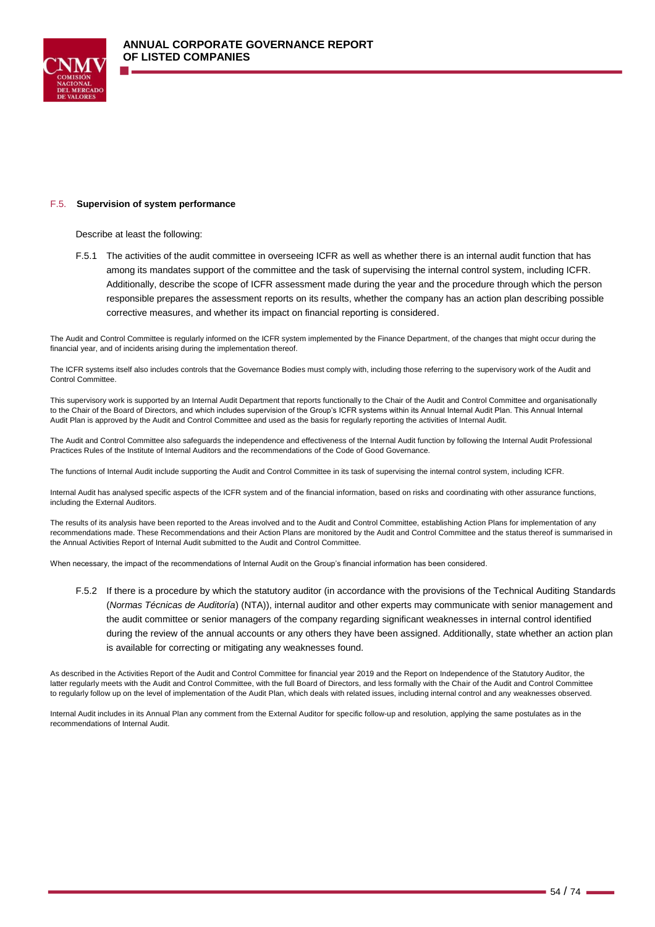

#### F.5. **Supervision of system performance**

Describe at least the following:

F.5.1 The activities of the audit committee in overseeing ICFR as well as whether there is an internal audit function that has among its mandates support of the committee and the task of supervising the internal control system, including ICFR. Additionally, describe the scope of ICFR assessment made during the year and the procedure through which the person responsible prepares the assessment reports on its results, whether the company has an action plan describing possible corrective measures, and whether its impact on financial reporting is considered.

The Audit and Control Committee is regularly informed on the ICFR system implemented by the Finance Department, of the changes that might occur during the financial year, and of incidents arising during the implementation thereof.

The ICFR systems itself also includes controls that the Governance Bodies must comply with, including those referring to the supervisory work of the Audit and Control Committee.

This supervisory work is supported by an Internal Audit Department that reports functionally to the Chair of the Audit and Control Committee and organisationally to the Chair of the Board of Directors, and which includes supervision of the Group's ICFR systems within its Annual Internal Audit Plan. This Annual Internal Audit Plan is approved by the Audit and Control Committee and used as the basis for regularly reporting the activities of Internal Audit.

The Audit and Control Committee also safeguards the independence and effectiveness of the Internal Audit function by following the Internal Audit Professional Practices Rules of the Institute of Internal Auditors and the recommendations of the Code of Good Governance.

The functions of Internal Audit include supporting the Audit and Control Committee in its task of supervising the internal control system, including ICFR.

Internal Audit has analysed specific aspects of the ICFR system and of the financial information, based on risks and coordinating with other assurance functions, including the External Auditors.

The results of its analysis have been reported to the Areas involved and to the Audit and Control Committee, establishing Action Plans for implementation of any recommendations made. These Recommendations and their Action Plans are monitored by the Audit and Control Committee and the status thereof is summarised in the Annual Activities Report of Internal Audit submitted to the Audit and Control Committee.

When necessary, the impact of the recommendations of Internal Audit on the Group's financial information has been considered.

F.5.2 If there is a procedure by which the statutory auditor (in accordance with the provisions of the Technical Auditing Standards (*Normas Técnicas de Auditoría*) (NTA)), internal auditor and other experts may communicate with senior management and the audit committee or senior managers of the company regarding significant weaknesses in internal control identified during the review of the annual accounts or any others they have been assigned. Additionally, state whether an action plan is available for correcting or mitigating any weaknesses found.

As described in the Activities Report of the Audit and Control Committee for financial year 2019 and the Report on Independence of the Statutory Auditor, the latter regularly meets with the Audit and Control Committee, with the full Board of Directors, and less formally with the Chair of the Audit and Control Committee to regularly follow up on the level of implementation of the Audit Plan, which deals with related issues, including internal control and any weaknesses observed.

Internal Audit includes in its Annual Plan any comment from the External Auditor for specific follow-up and resolution, applying the same postulates as in the recommendations of Internal Audit.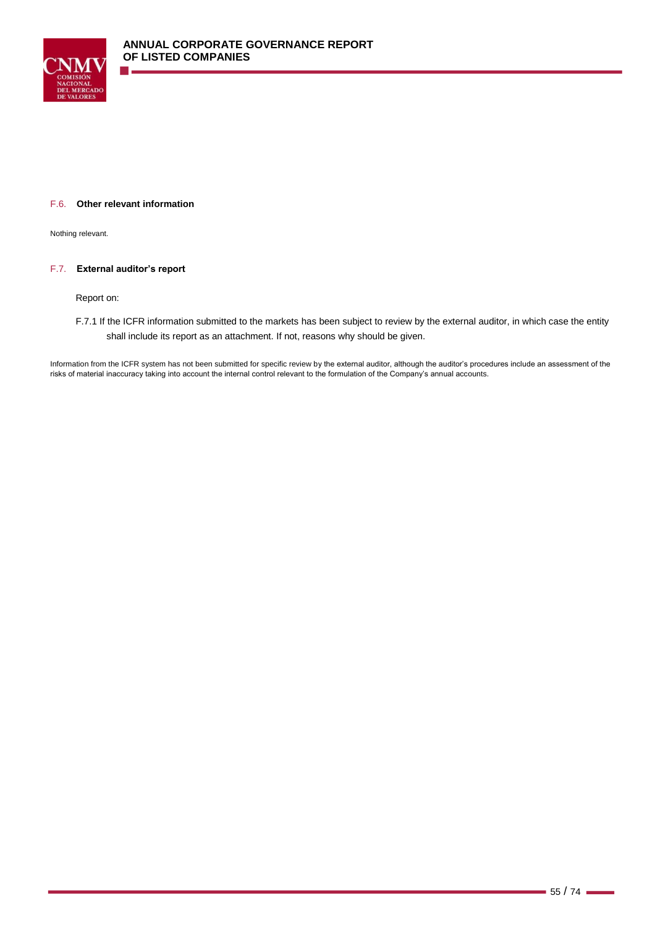

Nothing relevant.

## F.7. **External auditor's report**

Report on:

F.7.1 If the ICFR information submitted to the markets has been subject to review by the external auditor, in which case the entity shall include its report as an attachment. If not, reasons why should be given.

Information from the ICFR system has not been submitted for specific review by the external auditor, although the auditor's procedures include an assessment of the risks of material inaccuracy taking into account the internal control relevant to the formulation of the Company's annual accounts.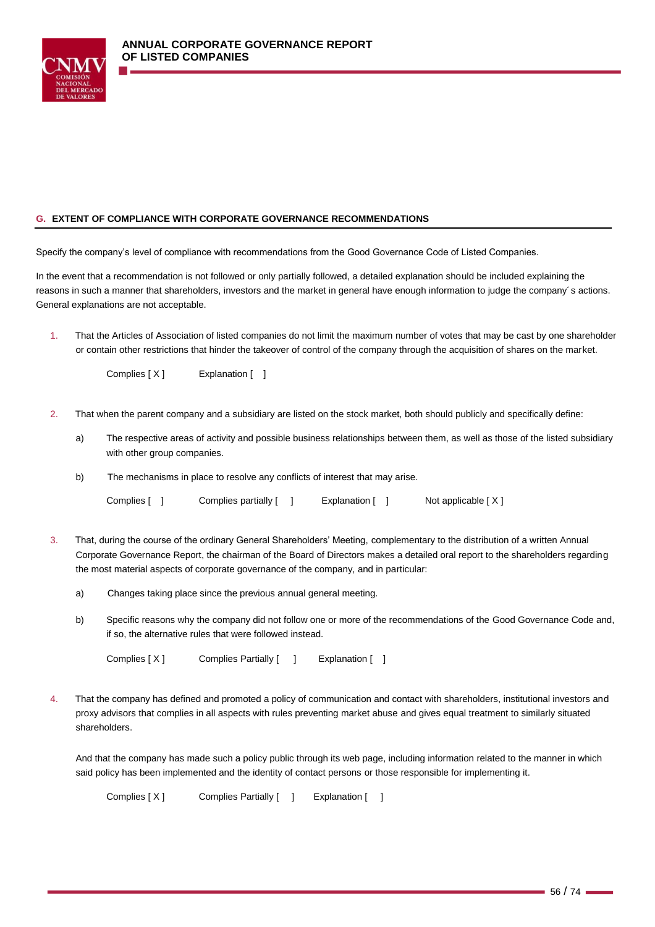

Specify the company's level of compliance with recommendations from the Good Governance Code of Listed Companies.

In the event that a recommendation is not followed or only partially followed, a detailed explanation should be included explaining the reasons in such a manner that shareholders, investors and the market in general have enough information to judge the company´s actions. General explanations are not acceptable.

1. That the Articles of Association of listed companies do not limit the maximum number of votes that may be cast by one shareholder or contain other restrictions that hinder the takeover of control of the company through the acquisition of shares on the market.

Complies [ X ] Explanation [ ]

- 2. That when the parent company and a subsidiary are listed on the stock market, both should publicly and specifically define:
	- a) The respective areas of activity and possible business relationships between them, as well as those of the listed subsidiary with other group companies.
	- b) The mechanisms in place to resolve any conflicts of interest that may arise.

Complies [ ] Complies partially [ ] Explanation [ ] Not applicable [X]

- 3. That, during the course of the ordinary General Shareholders' Meeting, complementary to the distribution of a written Annual Corporate Governance Report, the chairman of the Board of Directors makes a detailed oral report to the shareholders regarding the most material aspects of corporate governance of the company, and in particular:
	- a) Changes taking place since the previous annual general meeting.
	- b) Specific reasons why the company did not follow one or more of the recommendations of the Good Governance Code and, if so, the alternative rules that were followed instead.

Complies [ X ] Complies Partially [ ] Explanation [ ]

4. That the company has defined and promoted a policy of communication and contact with shareholders, institutional investors and proxy advisors that complies in all aspects with rules preventing market abuse and gives equal treatment to similarly situated shareholders.

And that the company has made such a policy public through its web page, including information related to the manner in which said policy has been implemented and the identity of contact persons or those responsible for implementing it.

Complies [ X ] Complies Partially [ ] Explanation [ ]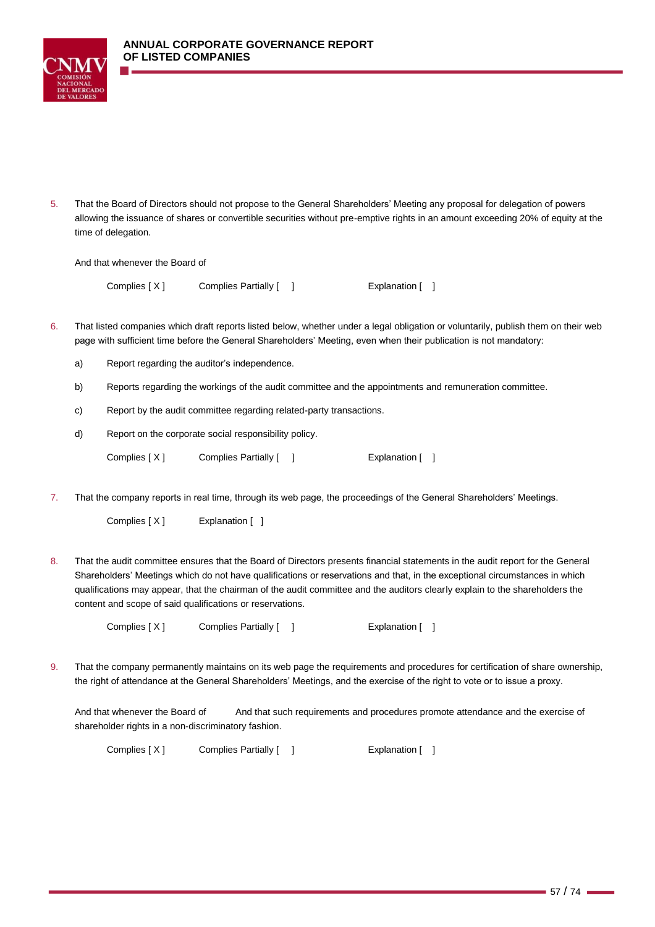

5. That the Board of Directors should not propose to the General Shareholders' Meeting any proposal for delegation of powers allowing the issuance of shares or convertible securities without pre-emptive rights in an amount exceeding 20% of equity at the time of delegation.

And that whenever the Board of

Complies [ X ] Complies Partially [ ] [ ] [ Explanation [ ]

- 6. That listed companies which draft reports listed below, whether under a legal obligation or voluntarily, publish them on their web page with sufficient time before the General Shareholders' Meeting, even when their publication is not mandatory:
	- a) Report regarding the auditor's independence.
	- b) Reports regarding the workings of the audit committee and the appointments and remuneration committee.
	- c) Report by the audit committee regarding related-party transactions.
	- d) Report on the corporate social responsibility policy.

| Complies [X] | Complies Partially [ | Explanation [ ] |
|--------------|----------------------|-----------------|
|              |                      |                 |

7. That the company reports in real time, through its web page, the proceedings of the General Shareholders' Meetings.

Complies [ X ] Explanation [ ]

8. That the audit committee ensures that the Board of Directors presents financial statements in the audit report for the General Shareholders' Meetings which do not have qualifications or reservations and that, in the exceptional circumstances in which qualifications may appear, that the chairman of the audit committee and the auditors clearly explain to the shareholders the content and scope of said qualifications or reservations.

Complies [ X ] Complies Partially [ ] [ ] Explanation [ ]

9. That the company permanently maintains on its web page the requirements and procedures for certification of share ownership, the right of attendance at the General Shareholders' Meetings, and the exercise of the right to vote or to issue a proxy.

And that whenever the Board of And that such requirements and procedures promote attendance and the exercise of shareholder rights in a non-discriminatory fashion.

Complies [ X ] Complies Partially [ ] [ ] Explanation [ ]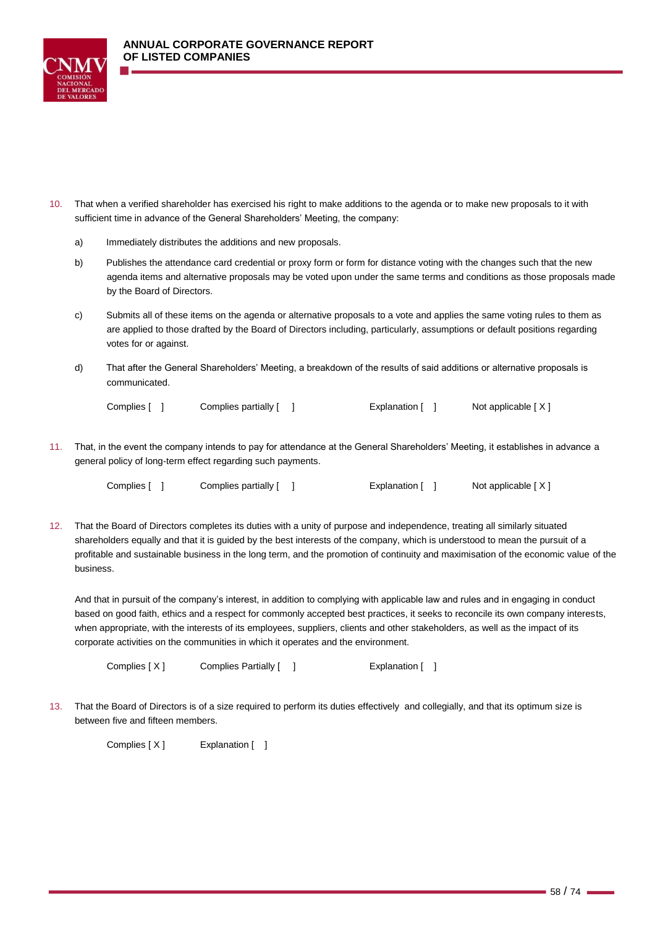



- 10. That when a verified shareholder has exercised his right to make additions to the agenda or to make new proposals to it with sufficient time in advance of the General Shareholders' Meeting, the company:
	- a) Immediately distributes the additions and new proposals.
	- b) Publishes the attendance card credential or proxy form or form for distance voting with the changes such that the new agenda items and alternative proposals may be voted upon under the same terms and conditions as those proposals made by the Board of Directors.
	- c) Submits all of these items on the agenda or alternative proposals to a vote and applies the same voting rules to them as are applied to those drafted by the Board of Directors including, particularly, assumptions or default positions regarding votes for or against.
	- d) That after the General Shareholders' Meeting, a breakdown of the results of said additions or alternative proposals is communicated.

| Complies [ ] | Complies partially [ ] | Explanation [ | Not applicable [X] |
|--------------|------------------------|---------------|--------------------|
|--------------|------------------------|---------------|--------------------|

11. That, in the event the company intends to pay for attendance at the General Shareholders' Meeting, it establishes in advance a general policy of long-term effect regarding such payments.

Complies [ ] Complies partially [ ] Explanation [ ] Not applicable [ X ]

12. That the Board of Directors completes its duties with a unity of purpose and independence, treating all similarly situated shareholders equally and that it is guided by the best interests of the company, which is understood to mean the pursuit of a profitable and sustainable business in the long term, and the promotion of continuity and maximisation of the economic value of the business.

And that in pursuit of the company's interest, in addition to complying with applicable law and rules and in engaging in conduct based on good faith, ethics and a respect for commonly accepted best practices, it seeks to reconcile its own company interests, when appropriate, with the interests of its employees, suppliers, clients and other stakeholders, as well as the impact of its corporate activities on the communities in which it operates and the environment.

Complies [ X ] Complies Partially [ ] [ ] [ Explanation [ ]

13. That the Board of Directors is of a size required to perform its duties effectively and collegially, and that its optimum size is between five and fifteen members.

Complies [ X ] Explanation [ ]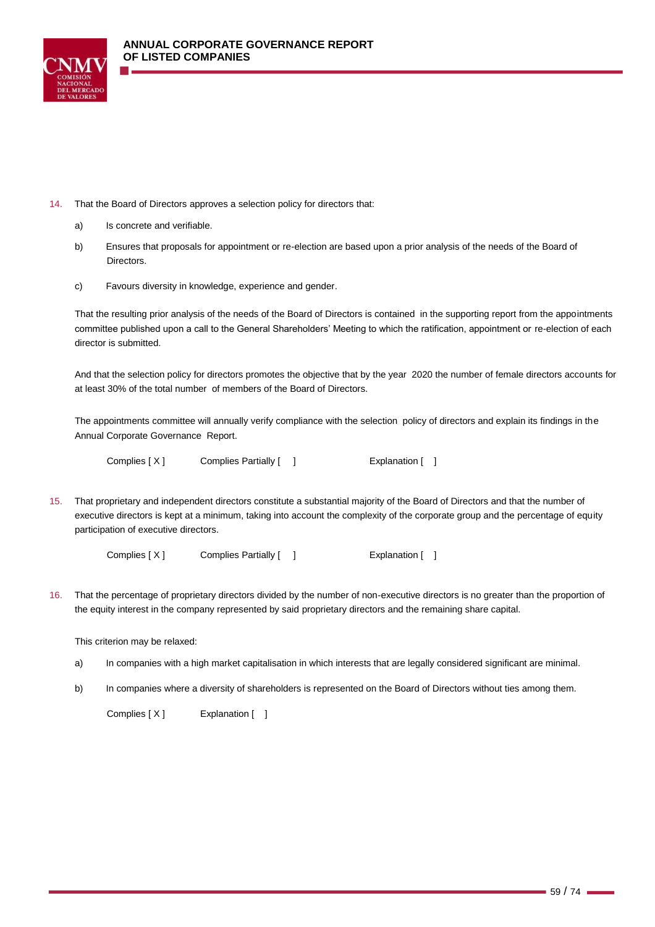

- 14. That the Board of Directors approves a selection policy for directors that:
	- a) Is concrete and verifiable.
	- b) Ensures that proposals for appointment or re-election are based upon a prior analysis of the needs of the Board of Directors.
	- c) Favours diversity in knowledge, experience and gender.

That the resulting prior analysis of the needs of the Board of Directors is contained in the supporting report from the appointments committee published upon a call to the General Shareholders' Meeting to which the ratification, appointment or re-election of each director is submitted.

And that the selection policy for directors promotes the objective that by the year 2020 the number of female directors accounts for at least 30% of the total number of members of the Board of Directors.

The appointments committee will annually verify compliance with the selection policy of directors and explain its findings in the Annual Corporate Governance Report.

Complies [ X ] Complies Partially [ ] [ | Explanation [ ]

15. That proprietary and independent directors constitute a substantial majority of the Board of Directors and that the number of executive directors is kept at a minimum, taking into account the complexity of the corporate group and the percentage of equity participation of executive directors.

Complies [ X ] Complies Partially [ ] [ ] Explanation [ ]

16. That the percentage of proprietary directors divided by the number of non-executive directors is no greater than the proportion of the equity interest in the company represented by said proprietary directors and the remaining share capital.

This criterion may be relaxed:

- a) In companies with a high market capitalisation in which interests that are legally considered significant are minimal.
- b) In companies where a diversity of shareholders is represented on the Board of Directors without ties among them.

Complies [ X ] Explanation [ ]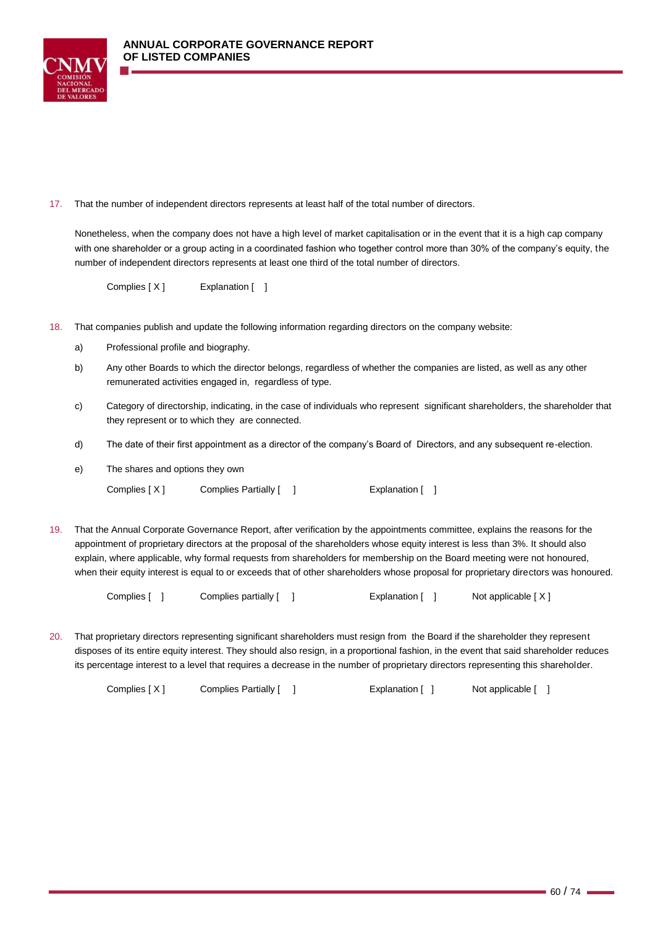

17. That the number of independent directors represents at least half of the total number of directors.

Nonetheless, when the company does not have a high level of market capitalisation or in the event that it is a high cap company with one shareholder or a group acting in a coordinated fashion who together control more than 30% of the company's equity, the number of independent directors represents at least one third of the total number of directors.

Complies [ X ] Explanation [ ]

- 18. That companies publish and update the following information regarding directors on the company website:
	- a) Professional profile and biography.
	- b) Any other Boards to which the director belongs, regardless of whether the companies are listed, as well as any other remunerated activities engaged in, regardless of type.
	- c) Category of directorship, indicating, in the case of individuals who represent significant shareholders, the shareholder that they represent or to which they are connected.
	- d) The date of their first appointment as a director of the company's Board of Directors, and any subsequent re-election.
	- e) The shares and options they own

Complies [ X ] Complies Partially [ ] [ | Explanation [ ]

19. That the Annual Corporate Governance Report, after verification by the appointments committee, explains the reasons for the appointment of proprietary directors at the proposal of the shareholders whose equity interest is less than 3%. It should also explain, where applicable, why formal requests from shareholders for membership on the Board meeting were not honoured, when their equity interest is equal to or exceeds that of other shareholders whose proposal for proprietary directors was honoured.

| Complies [ | Complies partially [ | Explanation [ | Not applicable [X] |
|------------|----------------------|---------------|--------------------|
|------------|----------------------|---------------|--------------------|

20. That proprietary directors representing significant shareholders must resign from the Board if the shareholder they represent disposes of its entire equity interest. They should also resign, in a proportional fashion, in the event that said shareholder reduces its percentage interest to a level that requires a decrease in the number of proprietary directors representing this shareholder.

Complies [ X ] Complies Partially [ ] [ | Explanation [ ] Not applicable [ ]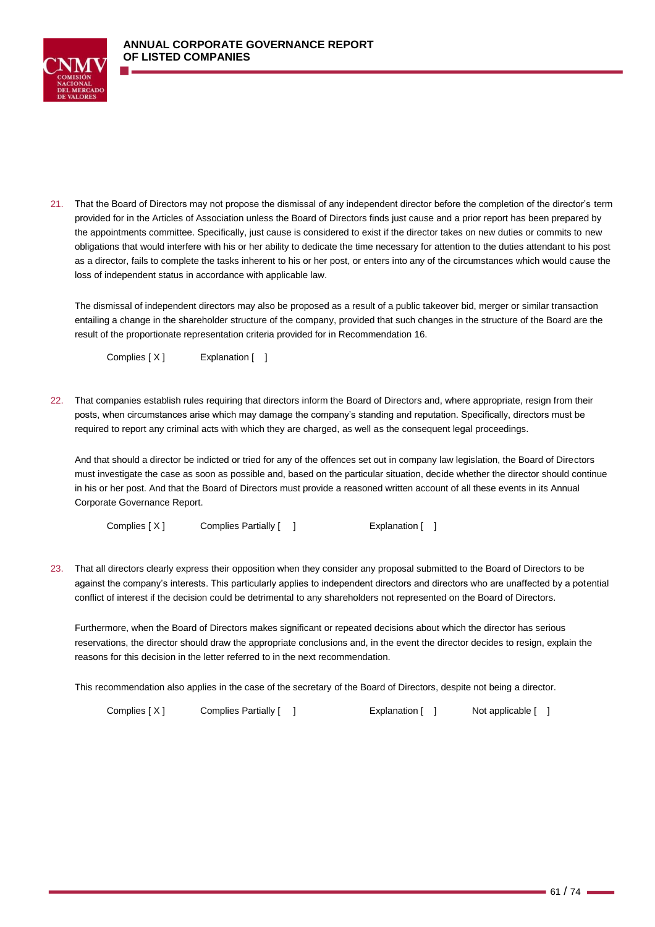

21. That the Board of Directors may not propose the dismissal of any independent director before the completion of the director's term provided for in the Articles of Association unless the Board of Directors finds just cause and a prior report has been prepared by the appointments committee. Specifically, just cause is considered to exist if the director takes on new duties or commits to new obligations that would interfere with his or her ability to dedicate the time necessary for attention to the duties attendant to his post as a director, fails to complete the tasks inherent to his or her post, or enters into any of the circumstances which would cause the loss of independent status in accordance with applicable law.

The dismissal of independent directors may also be proposed as a result of a public takeover bid, merger or similar transaction entailing a change in the shareholder structure of the company, provided that such changes in the structure of the Board are the result of the proportionate representation criteria provided for in Recommendation 16.

Complies [ X ] Explanation [ ]

22. That companies establish rules requiring that directors inform the Board of Directors and, where appropriate, resign from their posts, when circumstances arise which may damage the company's standing and reputation. Specifically, directors must be required to report any criminal acts with which they are charged, as well as the consequent legal proceedings.

And that should a director be indicted or tried for any of the offences set out in company law legislation, the Board of Directors must investigate the case as soon as possible and, based on the particular situation, decide whether the director should continue in his or her post. And that the Board of Directors must provide a reasoned written account of all these events in its Annual Corporate Governance Report.

Complies [ X ] Complies Partially [ ] [ ] Explanation [ ]

23. That all directors clearly express their opposition when they consider any proposal submitted to the Board of Directors to be against the company's interests. This particularly applies to independent directors and directors who are unaffected by a potential conflict of interest if the decision could be detrimental to any shareholders not represented on the Board of Directors.

Furthermore, when the Board of Directors makes significant or repeated decisions about which the director has serious reservations, the director should draw the appropriate conclusions and, in the event the director decides to resign, explain the reasons for this decision in the letter referred to in the next recommendation.

This recommendation also applies in the case of the secretary of the Board of Directors, despite not being a director.

Complies [ X ] Complies Partially [ ] [ | Explanation [ ] Not applicable [ ]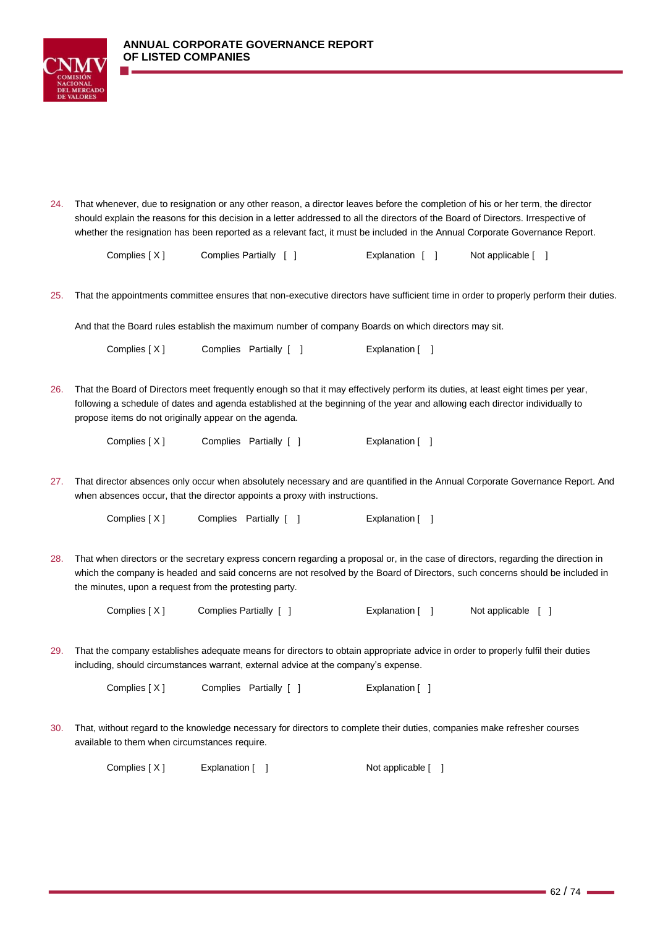

24. That whenever, due to resignation or any other reason, a director leaves before the completion of his or her term, the director should explain the reasons for this decision in a letter addressed to all the directors of the Board of Directors. Irrespective of whether the resignation has been reported as a relevant fact, it must be included in the Annual Corporate Governance Report.

| Complies [X] | Complies Partially [ | Explanation [ ] | Not applicable [ ] |
|--------------|----------------------|-----------------|--------------------|
|              |                      |                 |                    |

25. That the appointments committee ensures that non-executive directors have sufficient time in order to properly perform their duties.

And that the Board rules establish the maximum number of company Boards on which directors may sit.

Complies [ X ] Complies Partially [ ] [ [ Explanation [ ]

26. That the Board of Directors meet frequently enough so that it may effectively perform its duties, at least eight times per year, following a schedule of dates and agenda established at the beginning of the year and allowing each director individually to propose items do not originally appear on the agenda.

Complies [ X ] Complies Partially [ ] [ [ ] Explanation [ ]

27. That director absences only occur when absolutely necessary and are quantified in the Annual Corporate Governance Report. And when absences occur, that the director appoints a proxy with instructions.

Complies [ X ] Complies Partially [ ] [ [ ] Explanation [ ]

28. That when directors or the secretary express concern regarding a proposal or, in the case of directors, regarding the direction in which the company is headed and said concerns are not resolved by the Board of Directors, such concerns should be included in the minutes, upon a request from the protesting party.

Complies [ X ] Complies Partially [ ] [ [ ] Explanation [ ] [ ] Not applicable [ ]

29. That the company establishes adequate means for directors to obtain appropriate advice in order to properly fulfil their duties including, should circumstances warrant, external advice at the company's expense.

Complies [ X ] Complies Partially [ ] [ [ ] Explanation [ ]

30. That, without regard to the knowledge necessary for directors to complete their duties, companies make refresher courses available to them when circumstances require.

Complies [ X ] Explanation [ ] Not applicable [ ]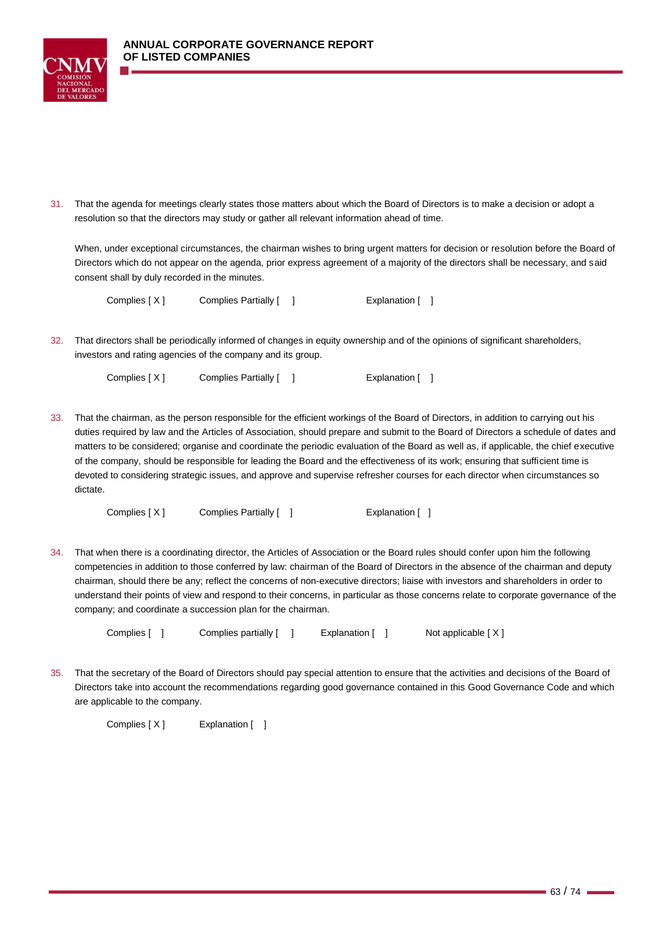

31. That the agenda for meetings clearly states those matters about which the Board of Directors is to make a decision or adopt a resolution so that the directors may study or gather all relevant information ahead of time.

When, under exceptional circumstances, the chairman wishes to bring urgent matters for decision or resolution before the Board of Directors which do not appear on the agenda, prior express agreement of a majority of the directors shall be necessary, and said consent shall by duly recorded in the minutes.

Complies [ X ] Complies Partially [ ] [ | Explanation [ ]

32. That directors shall be periodically informed of changes in equity ownership and of the opinions of significant shareholders, investors and rating agencies of the company and its group.

Complies [ X ] Complies Partially [ ] [ ] [ Explanation [ ]

33. That the chairman, as the person responsible for the efficient workings of the Board of Directors, in addition to carrying out his duties required by law and the Articles of Association, should prepare and submit to the Board of Directors a schedule of dates and matters to be considered; organise and coordinate the periodic evaluation of the Board as well as, if applicable, the chief executive of the company, should be responsible for leading the Board and the effectiveness of its work; ensuring that sufficient time is devoted to considering strategic issues, and approve and supervise refresher courses for each director when circumstances so dictate.

Complies [ X ] Complies Partially [ ] [ | Explanation [ ]

34. That when there is a coordinating director, the Articles of Association or the Board rules should confer upon him the following competencies in addition to those conferred by law: chairman of the Board of Directors in the absence of the chairman and deputy chairman, should there be any; reflect the concerns of non-executive directors; liaise with investors and shareholders in order to understand their points of view and respond to their concerns, in particular as those concerns relate to corporate governance of the company; and coordinate a succession plan for the chairman.

Complies [ ] Complies partially [ ] Explanation [ ] Not applicable [X]

35. That the secretary of the Board of Directors should pay special attention to ensure that the activities and decisions of the Board of Directors take into account the recommendations regarding good governance contained in this Good Governance Code and which are applicable to the company.

Complies [ X ] Explanation [ ]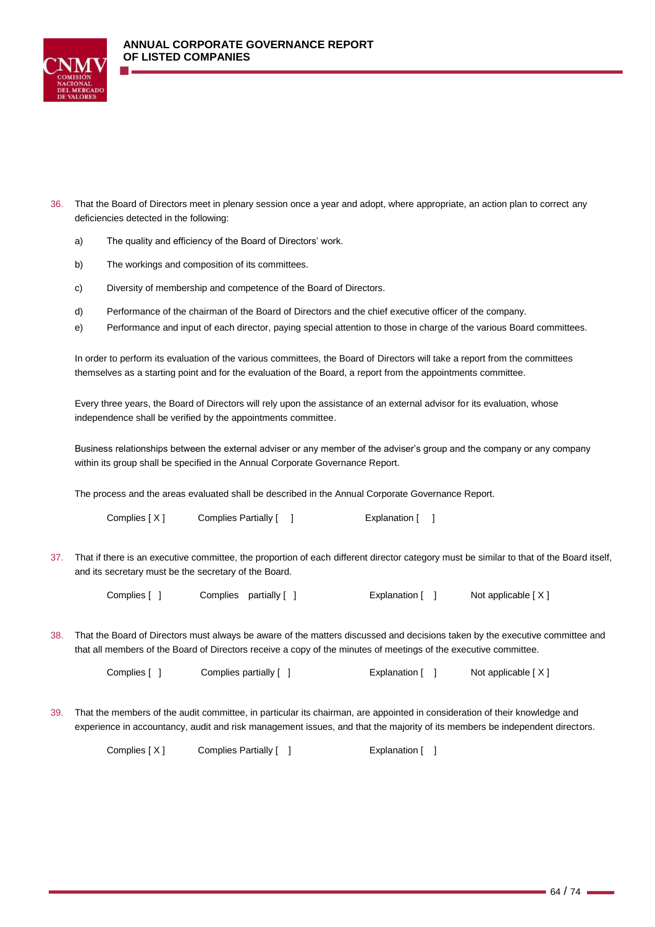

- 36. That the Board of Directors meet in plenary session once a year and adopt, where appropriate, an action plan to correct any deficiencies detected in the following:
	- a) The quality and efficiency of the Board of Directors' work.
	- b) The workings and composition of its committees.
	- c) Diversity of membership and competence of the Board of Directors.
	- d) Performance of the chairman of the Board of Directors and the chief executive officer of the company.
	- e) Performance and input of each director, paying special attention to those in charge of the various Board committees.

In order to perform its evaluation of the various committees, the Board of Directors will take a report from the committees themselves as a starting point and for the evaluation of the Board, a report from the appointments committee.

Every three years, the Board of Directors will rely upon the assistance of an external advisor for its evaluation, whose independence shall be verified by the appointments committee.

Business relationships between the external adviser or any member of the adviser's group and the company or any company within its group shall be specified in the Annual Corporate Governance Report.

The process and the areas evaluated shall be described in the Annual Corporate Governance Report.

Complies [ X ] Complies Partially [ ] [ ] [ Explanation [ ]

37. That if there is an executive committee, the proportion of each different director category must be similar to that of the Board itself, and its secretary must be the secretary of the Board.

Complies [ ] Complies partially [ ] Explanation [ ] Not applicable [ X ]

38. That the Board of Directors must always be aware of the matters discussed and decisions taken by the executive committee and that all members of the Board of Directors receive a copy of the minutes of meetings of the executive committee.

Complies [ ] Complies partially [ ] Explanation [ ] Not applicable [ X ]

39. That the members of the audit committee, in particular its chairman, are appointed in consideration of their knowledge and experience in accountancy, audit and risk management issues, and that the majority of its members be independent directors.

Complies [X] Complies Partially [ ] Explanation [ ]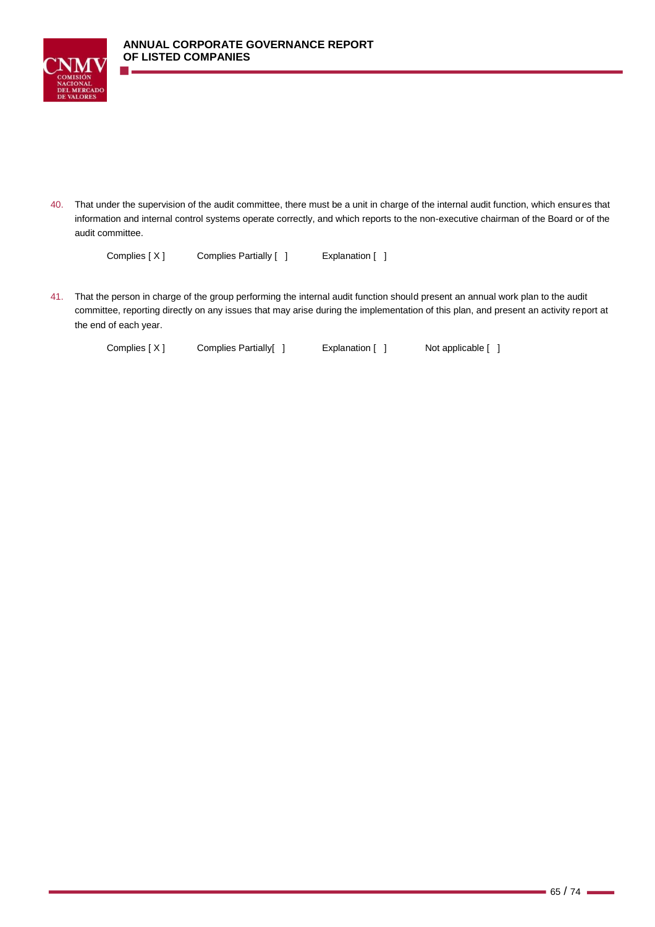



40. That under the supervision of the audit committee, there must be a unit in charge of the internal audit function, which ensures that information and internal control systems operate correctly, and which reports to the non-executive chairman of the Board or of the audit committee.

Complies [ X ] Complies Partially [ ] Explanation [ ]

41. That the person in charge of the group performing the internal audit function should present an annual work plan to the audit committee, reporting directly on any issues that may arise during the implementation of this plan, and present an activity report at the end of each year.

Complies [ X ] Complies Partially[ ] Explanation [ ] Not applicable [ ]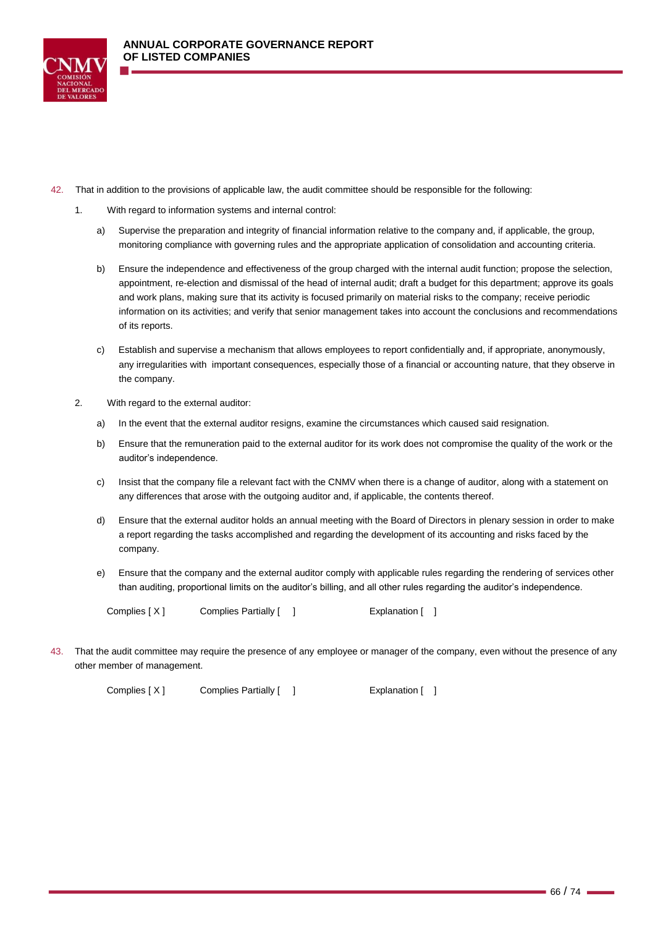

- 42. That in addition to the provisions of applicable law, the audit committee should be responsible for the following:
	- 1. With regard to information systems and internal control:
		- a) Supervise the preparation and integrity of financial information relative to the company and, if applicable, the group, monitoring compliance with governing rules and the appropriate application of consolidation and accounting criteria.
		- b) Ensure the independence and effectiveness of the group charged with the internal audit function; propose the selection, appointment, re-election and dismissal of the head of internal audit; draft a budget for this department; approve its goals and work plans, making sure that its activity is focused primarily on material risks to the company; receive periodic information on its activities; and verify that senior management takes into account the conclusions and recommendations of its reports.
		- c) Establish and supervise a mechanism that allows employees to report confidentially and, if appropriate, anonymously, any irregularities with important consequences, especially those of a financial or accounting nature, that they observe in the company.
	- 2. With regard to the external auditor:
		- a) In the event that the external auditor resigns, examine the circumstances which caused said resignation.
		- b) Ensure that the remuneration paid to the external auditor for its work does not compromise the quality of the work or the auditor's independence.
		- c) Insist that the company file a relevant fact with the CNMV when there is a change of auditor, along with a statement on any differences that arose with the outgoing auditor and, if applicable, the contents thereof.
		- d) Ensure that the external auditor holds an annual meeting with the Board of Directors in plenary session in order to make a report regarding the tasks accomplished and regarding the development of its accounting and risks faced by the company.
		- e) Ensure that the company and the external auditor comply with applicable rules regarding the rendering of services other than auditing, proportional limits on the auditor's billing, and all other rules regarding the auditor's independence.

Complies [ X ] Complies Partially [ ] [ | Explanation [ ]

43. That the audit committee may require the presence of any employee or manager of the company, even without the presence of any other member of management.

Complies [ X ] Complies Partially [ ] [ ] Explanation [ ]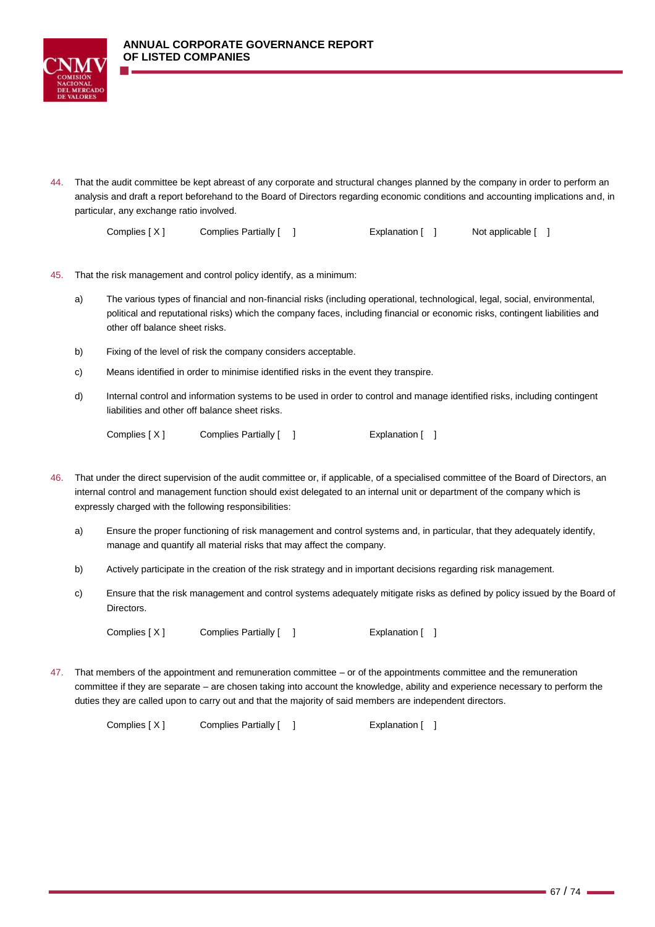

44. That the audit committee be kept abreast of any corporate and structural changes planned by the company in order to perform an analysis and draft a report beforehand to the Board of Directors regarding economic conditions and accounting implications and, in particular, any exchange ratio involved.

| Complies [X] | Complies Partially [ | Explanation [ | Not applicable [ ] |
|--------------|----------------------|---------------|--------------------|
|--------------|----------------------|---------------|--------------------|

- 45. That the risk management and control policy identify, as a minimum:
	- a) The various types of financial and non-financial risks (including operational, technological, legal, social, environmental, political and reputational risks) which the company faces, including financial or economic risks, contingent liabilities and other off balance sheet risks.
	- b) Fixing of the level of risk the company considers acceptable.
	- c) Means identified in order to minimise identified risks in the event they transpire.
	- d) Internal control and information systems to be used in order to control and manage identified risks, including contingent liabilities and other off balance sheet risks.

|  | Complies $[X]$ |  | Complies Partially [ |  |  | Explanation I |  |  |
|--|----------------|--|----------------------|--|--|---------------|--|--|
|--|----------------|--|----------------------|--|--|---------------|--|--|

- 46. That under the direct supervision of the audit committee or, if applicable, of a specialised committee of the Board of Directors, an internal control and management function should exist delegated to an internal unit or department of the company which is expressly charged with the following responsibilities:
	- a) Ensure the proper functioning of risk management and control systems and, in particular, that they adequately identify, manage and quantify all material risks that may affect the company.
	- b) Actively participate in the creation of the risk strategy and in important decisions regarding risk management.
	- c) Ensure that the risk management and control systems adequately mitigate risks as defined by policy issued by the Board of Directors.

Complies [ X ] Complies Partially [ ] [ ] Explanation [ ]

47. That members of the appointment and remuneration committee – or of the appointments committee and the remuneration committee if they are separate – are chosen taking into account the knowledge, ability and experience necessary to perform the duties they are called upon to carry out and that the majority of said members are independent directors.

Complies [ X ] Complies Partially [ ] [ ] Explanation [ ]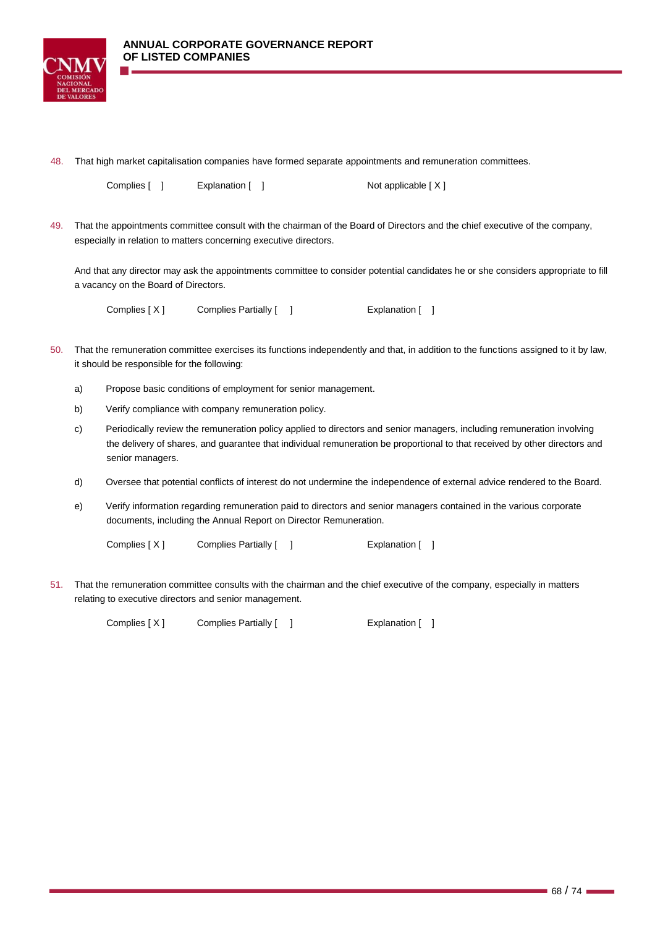

48. That high market capitalisation companies have formed separate appointments and remuneration committees.

| Complies [ | Explanation [ | Not applicable $[X]$ |
|------------|---------------|----------------------|
|            |               |                      |

49. That the appointments committee consult with the chairman of the Board of Directors and the chief executive of the company, especially in relation to matters concerning executive directors.

And that any director may ask the appointments committee to consider potential candidates he or she considers appropriate to fill a vacancy on the Board of Directors.

Complies [ X ] Complies Partially [ ] [ | Explanation [ ]

- 50. That the remuneration committee exercises its functions independently and that, in addition to the functions assigned to it by law, it should be responsible for the following:
	- a) Propose basic conditions of employment for senior management.
	- b) Verify compliance with company remuneration policy.
	- c) Periodically review the remuneration policy applied to directors and senior managers, including remuneration involving the delivery of shares, and guarantee that individual remuneration be proportional to that received by other directors and senior managers.
	- d) Oversee that potential conflicts of interest do not undermine the independence of external advice rendered to the Board.
	- e) Verify information regarding remuneration paid to directors and senior managers contained in the various corporate documents, including the Annual Report on Director Remuneration.

Complies [ X ] Complies Partially [ ] [ ] [ Explanation [ ]

51. That the remuneration committee consults with the chairman and the chief executive of the company, especially in matters relating to executive directors and senior management.

Complies [ X ] Complies Partially [ ] [ | Explanation [ ]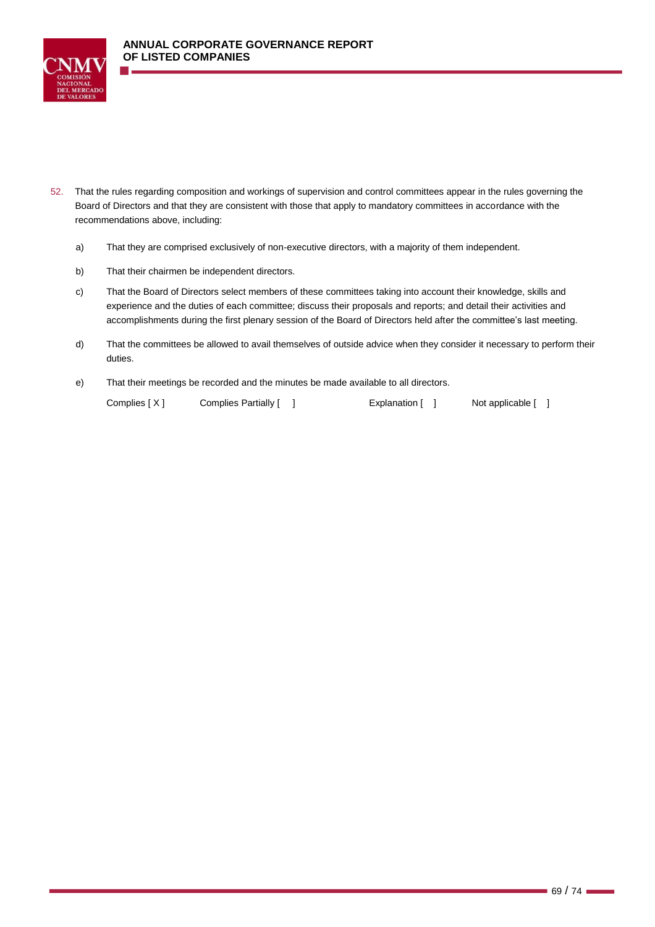

- 52. That the rules regarding composition and workings of supervision and control committees appear in the rules governing the Board of Directors and that they are consistent with those that apply to mandatory committees in accordance with the recommendations above, including:
	- a) That they are comprised exclusively of non-executive directors, with a majority of them independent.
	- b) That their chairmen be independent directors.
	- c) That the Board of Directors select members of these committees taking into account their knowledge, skills and experience and the duties of each committee; discuss their proposals and reports; and detail their activities and accomplishments during the first plenary session of the Board of Directors held after the committee's last meeting.
	- d) That the committees be allowed to avail themselves of outside advice when they consider it necessary to perform their duties.
	- e) That their meetings be recorded and the minutes be made available to all directors.

Complies [ X ] Complies Partially [ ] [ [ ] Explanation [ ] Not applicable [ ]

 $-69/74 -$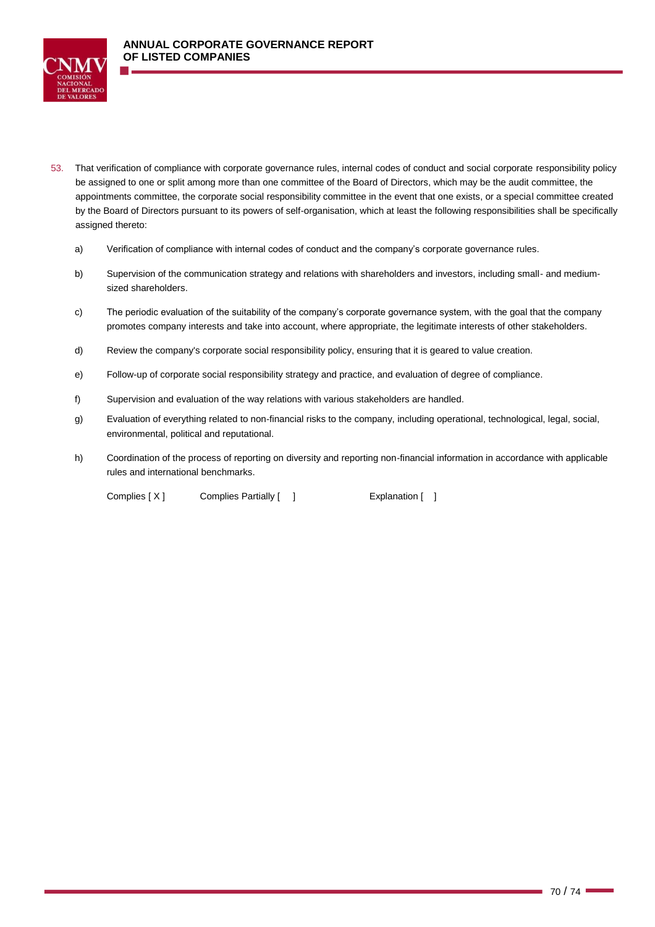

- 53. That verification of compliance with corporate governance rules, internal codes of conduct and social corporate responsibility policy be assigned to one or split among more than one committee of the Board of Directors, which may be the audit committee, the appointments committee, the corporate social responsibility committee in the event that one exists, or a special committee created by the Board of Directors pursuant to its powers of self-organisation, which at least the following responsibilities shall be specifically assigned thereto:
	- a) Verification of compliance with internal codes of conduct and the company's corporate governance rules.
	- b) Supervision of the communication strategy and relations with shareholders and investors, including small- and mediumsized shareholders.
	- c) The periodic evaluation of the suitability of the company's corporate governance system, with the goal that the company promotes company interests and take into account, where appropriate, the legitimate interests of other stakeholders.
	- d) Review the company's corporate social responsibility policy, ensuring that it is geared to value creation.
	- e) Follow-up of corporate social responsibility strategy and practice, and evaluation of degree of compliance.
	- f) Supervision and evaluation of the way relations with various stakeholders are handled.
	- g) Evaluation of everything related to non-financial risks to the company, including operational, technological, legal, social, environmental, political and reputational.
	- h) Coordination of the process of reporting on diversity and reporting non-financial information in accordance with applicable rules and international benchmarks.

Complies [ X ] Complies Partially [ ] [ ] Explanation [ ]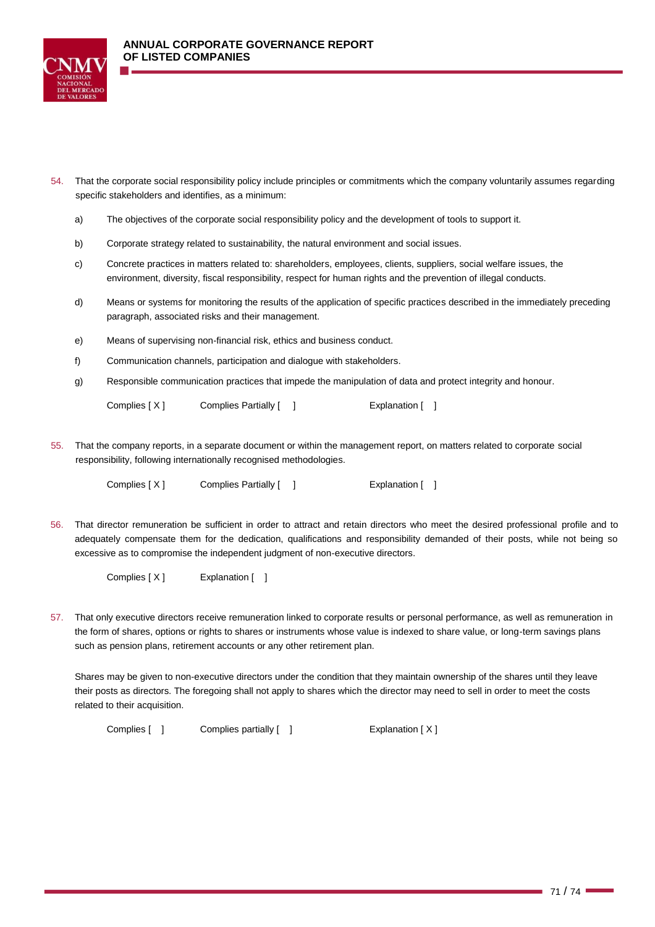

- 54. That the corporate social responsibility policy include principles or commitments which the company voluntarily assumes regarding specific stakeholders and identifies, as a minimum:
	- a) The objectives of the corporate social responsibility policy and the development of tools to support it.
	- b) Corporate strategy related to sustainability, the natural environment and social issues.
	- c) Concrete practices in matters related to: shareholders, employees, clients, suppliers, social welfare issues, the environment, diversity, fiscal responsibility, respect for human rights and the prevention of illegal conducts.
	- d) Means or systems for monitoring the results of the application of specific practices described in the immediately preceding paragraph, associated risks and their management.
	- e) Means of supervising non-financial risk, ethics and business conduct.
	- f) Communication channels, participation and dialogue with stakeholders.
	- g) Responsible communication practices that impede the manipulation of data and protect integrity and honour.

Complies [ X ] Complies Partially [ ] [ ] [ Explanation [ ]

55. That the company reports, in a separate document or within the management report, on matters related to corporate social responsibility, following internationally recognised methodologies.

Complies [ X ] Complies Partially [ ] [ ] [ Explanation [ ]

56. That director remuneration be sufficient in order to attract and retain directors who meet the desired professional profile and to adequately compensate them for the dedication, qualifications and responsibility demanded of their posts, while not being so excessive as to compromise the independent judgment of non-executive directors.

Complies [ X ] Explanation [ ]

57. That only executive directors receive remuneration linked to corporate results or personal performance, as well as remuneration in the form of shares, options or rights to shares or instruments whose value is indexed to share value, or long-term savings plans such as pension plans, retirement accounts or any other retirement plan.

Shares may be given to non-executive directors under the condition that they maintain ownership of the shares until they leave their posts as directors. The foregoing shall not apply to shares which the director may need to sell in order to meet the costs related to their acquisition.

Complies [ ] Complies partially [ ] Explanation [ X ]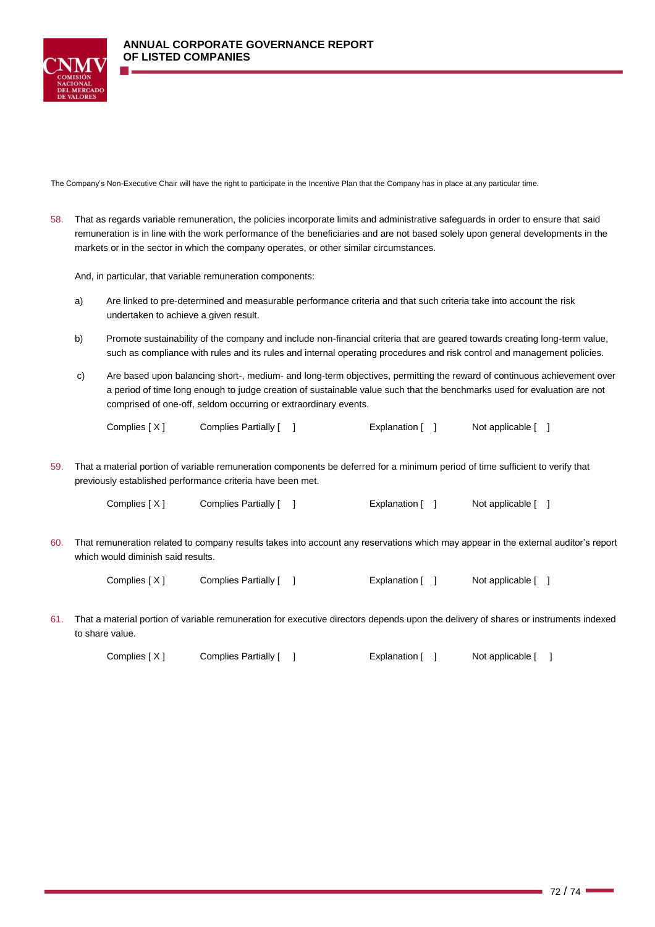

The Company's Non-Executive Chair will have the right to participate in the Incentive Plan that the Company has in place at any particular time.

58. That as regards variable remuneration, the policies incorporate limits and administrative safeguards in order to ensure that said remuneration is in line with the work performance of the beneficiaries and are not based solely upon general developments in the markets or in the sector in which the company operates, or other similar circumstances.

And, in particular, that variable remuneration components:

- a) Are linked to pre-determined and measurable performance criteria and that such criteria take into account the risk undertaken to achieve a given result.
- b) Promote sustainability of the company and include non-financial criteria that are geared towards creating long-term value, such as compliance with rules and its rules and internal operating procedures and risk control and management policies.
- c) Are based upon balancing short-, medium- and long-term objectives, permitting the reward of continuous achievement over a period of time long enough to judge creation of sustainable value such that the benchmarks used for evaluation are not comprised of one-off, seldom occurring or extraordinary events.

Complies [ X ] Complies Partially [ ] [ [ ] Explanation [ ] Not applicable [ ]

59. That a material portion of variable remuneration components be deferred for a minimum period of time sufficient to verify that previously established performance criteria have been met.

Complies [ X ] Complies Partially [ ] [ | Explanation [ ] Not applicable [ ]

60. That remuneration related to company results takes into account any reservations which may appear in the external auditor's report which would diminish said results.

Complies [X] Complies Partially [ ] Explanation [ ] Not applicable [ ]

61. That a material portion of variable remuneration for executive directors depends upon the delivery of shares or instruments indexed to share value.

Complies [ X ] Complies Partially [ ] [ [ ] Explanation [ ] Not applicable [ ]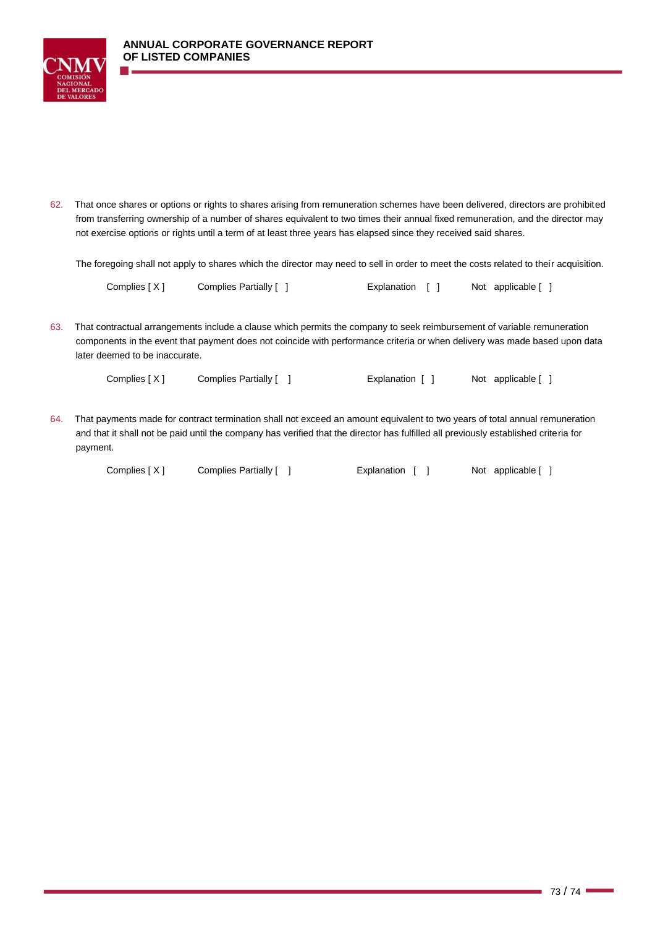

62. That once shares or options or rights to shares arising from remuneration schemes have been delivered, directors are prohibited from transferring ownership of a number of shares equivalent to two times their annual fixed remuneration, and the director may not exercise options or rights until a term of at least three years has elapsed since they received said shares.

The foregoing shall not apply to shares which the director may need to sell in order to meet the costs related to their acquisition.

| Complies [X] | Complies Partially [ | Explanation [ ] |  | Not applicable [ ] |
|--------------|----------------------|-----------------|--|--------------------|
|--------------|----------------------|-----------------|--|--------------------|

63. That contractual arrangements include a clause which permits the company to seek reimbursement of variable remuneration components in the event that payment does not coincide with performance criteria or when delivery was made based upon data later deemed to be inaccurate.

Complies [ X ] Complies Partially [ ] [ [ ] Explanation [ ] Not applicable [ ]

64. That payments made for contract termination shall not exceed an amount equivalent to two years of total annual remuneration and that it shall not be paid until the company has verified that the director has fulfilled all previously established criteria for payment.

Complies [ X ] Complies Partially [ ] [ [ ] Explanation [ ] Not applicable [ ]